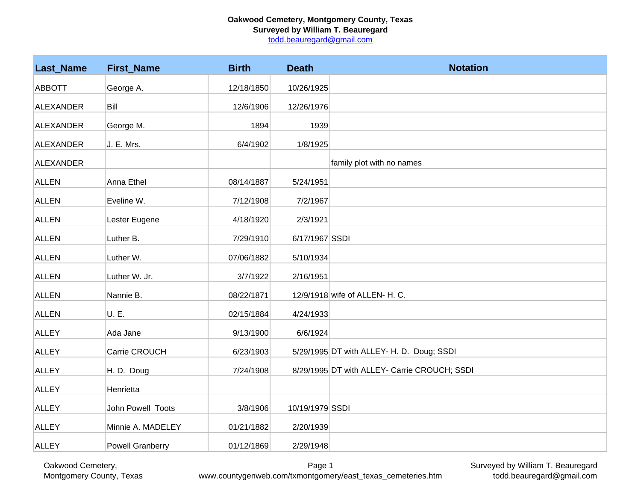## **Oakwood Cemetery, Montgomery County, Texas Surveyed by William T. Beauregard**

todd.beauregard@gmail.com

| <b>Last_Name</b> | <b>First_Name</b>       | <b>Birth</b> | <b>Death</b>    | <b>Notation</b>                              |
|------------------|-------------------------|--------------|-----------------|----------------------------------------------|
| <b>ABBOTT</b>    | George A.               | 12/18/1850   | 10/26/1925      |                                              |
| <b>ALEXANDER</b> | Bill                    | 12/6/1906    | 12/26/1976      |                                              |
| ALEXANDER        | George M.               | 1894         | 1939            |                                              |
| ALEXANDER        | J. E. Mrs.              | 6/4/1902     | 1/8/1925        |                                              |
| ALEXANDER        |                         |              |                 | family plot with no names                    |
| <b>ALLEN</b>     | Anna Ethel              | 08/14/1887   | 5/24/1951       |                                              |
| <b>ALLEN</b>     | Eveline W.              | 7/12/1908    | 7/2/1967        |                                              |
| <b>ALLEN</b>     | Lester Eugene           | 4/18/1920    | 2/3/1921        |                                              |
| <b>ALLEN</b>     | Luther B.               | 7/29/1910    | 6/17/1967 SSDI  |                                              |
| <b>ALLEN</b>     | Luther W.               | 07/06/1882   | 5/10/1934       |                                              |
| <b>ALLEN</b>     | Luther W. Jr.           | 3/7/1922     | 2/16/1951       |                                              |
| <b>ALLEN</b>     | Nannie B.               | 08/22/1871   |                 | 12/9/1918 wife of ALLEN- H. C.               |
|                  |                         |              |                 |                                              |
| <b>ALLEN</b>     | U. E.                   | 02/15/1884   | 4/24/1933       |                                              |
| <b>ALLEY</b>     | Ada Jane                | 9/13/1900    | 6/6/1924        |                                              |
| <b>ALLEY</b>     | Carrie CROUCH           | 6/23/1903    |                 | 5/29/1995 DT with ALLEY- H. D. Doug; SSDI    |
| <b>ALLEY</b>     | H. D. Doug              | 7/24/1908    |                 | 8/29/1995 DT with ALLEY- Carrie CROUCH; SSDI |
| <b>ALLEY</b>     | Henrietta               |              |                 |                                              |
| <b>ALLEY</b>     | John Powell Toots       | 3/8/1906     | 10/19/1979 SSDI |                                              |
| <b>ALLEY</b>     | Minnie A. MADELEY       | 01/21/1882   | 2/20/1939       |                                              |
| <b>ALLEY</b>     | <b>Powell Granberry</b> | 01/12/1869   | 2/29/1948       |                                              |

Surveyed by William T. Beauregard todd.beauregard@gmail.com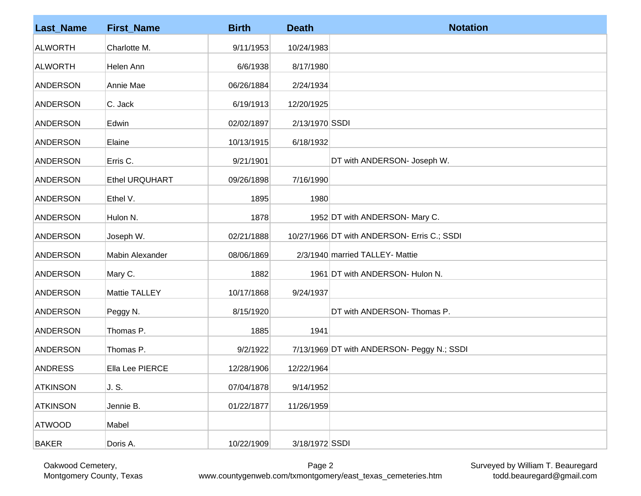| <b>Last_Name</b> | <b>First_Name</b> | <b>Birth</b> | <b>Death</b>   | <b>Notation</b>                             |
|------------------|-------------------|--------------|----------------|---------------------------------------------|
| <b>ALWORTH</b>   | Charlotte M.      | 9/11/1953    | 10/24/1983     |                                             |
| <b>ALWORTH</b>   | Helen Ann         | 6/6/1938     | 8/17/1980      |                                             |
| <b>ANDERSON</b>  | Annie Mae         | 06/26/1884   | 2/24/1934      |                                             |
| <b>ANDERSON</b>  | C. Jack           | 6/19/1913    | 12/20/1925     |                                             |
| <b>ANDERSON</b>  | Edwin             | 02/02/1897   | 2/13/1970 SSDI |                                             |
| <b>ANDERSON</b>  | Elaine            | 10/13/1915   | 6/18/1932      |                                             |
| <b>ANDERSON</b>  | Erris C.          | 9/21/1901    |                | DT with ANDERSON- Joseph W.                 |
| <b>ANDERSON</b>  | Ethel URQUHART    | 09/26/1898   | 7/16/1990      |                                             |
| <b>ANDERSON</b>  | Ethel V.          | 1895         | 1980           |                                             |
| <b>ANDERSON</b>  | Hulon N.          | 1878         |                | 1952 DT with ANDERSON- Mary C.              |
| <b>ANDERSON</b>  | Joseph W.         | 02/21/1888   |                | 10/27/1966 DT with ANDERSON- Erris C.; SSDI |
| <b>ANDERSON</b>  | Mabin Alexander   | 08/06/1869   |                | 2/3/1940 married TALLEY- Mattie             |
| <b>ANDERSON</b>  | Mary C.           | 1882         |                | 1961 DT with ANDERSON- Hulon N.             |
| <b>ANDERSON</b>  | Mattie TALLEY     | 10/17/1868   | 9/24/1937      |                                             |
| <b>ANDERSON</b>  | Peggy N.          | 8/15/1920    |                | DT with ANDERSON- Thomas P.                 |
| <b>ANDERSON</b>  | Thomas P.         | 1885         | 1941           |                                             |
| <b>ANDERSON</b>  | Thomas P.         | 9/2/1922     |                | 7/13/1969 DT with ANDERSON- Peggy N.; SSDI  |
| <b>ANDRESS</b>   | Ella Lee PIERCE   | 12/28/1906   | 12/22/1964     |                                             |
| <b>ATKINSON</b>  | J. S.             | 07/04/1878   | 9/14/1952      |                                             |
| <b>ATKINSON</b>  | Jennie B.         | 01/22/1877   | 11/26/1959     |                                             |
| <b>ATWOOD</b>    | Mabel             |              |                |                                             |
| <b>BAKER</b>     | Doris A.          | 10/22/1909   | 3/18/1972 SSDI |                                             |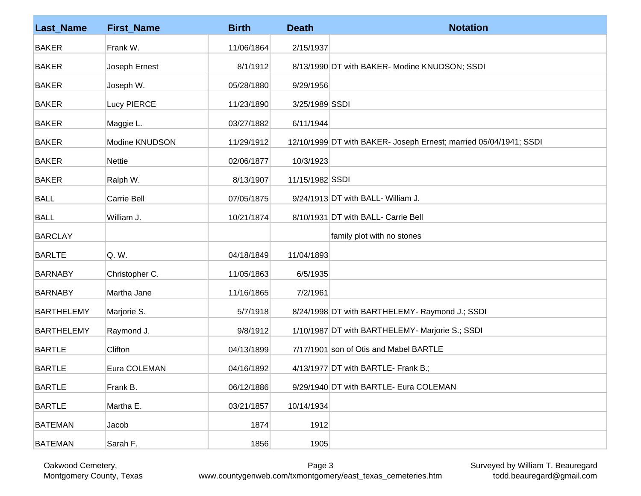| <b>Last_Name</b>  | <b>First_Name</b> | <b>Birth</b> | <b>Death</b>    | <b>Notation</b>                                                   |
|-------------------|-------------------|--------------|-----------------|-------------------------------------------------------------------|
| <b>BAKER</b>      | Frank W.          | 11/06/1864   | 2/15/1937       |                                                                   |
| <b>BAKER</b>      | Joseph Ernest     | 8/1/1912     |                 | 8/13/1990 DT with BAKER- Modine KNUDSON; SSDI                     |
| <b>BAKER</b>      | Joseph W.         | 05/28/1880   | 9/29/1956       |                                                                   |
| <b>BAKER</b>      | Lucy PIERCE       | 11/23/1890   | 3/25/1989 SSDI  |                                                                   |
| <b>BAKER</b>      | Maggie L.         | 03/27/1882   | 6/11/1944       |                                                                   |
| <b>BAKER</b>      | Modine KNUDSON    | 11/29/1912   |                 | 12/10/1999 DT with BAKER- Joseph Ernest; married 05/04/1941; SSDI |
| <b>BAKER</b>      | <b>Nettie</b>     | 02/06/1877   | 10/3/1923       |                                                                   |
| <b>BAKER</b>      | Ralph W.          | 8/13/1907    | 11/15/1982 SSDI |                                                                   |
| <b>BALL</b>       | Carrie Bell       | 07/05/1875   |                 | 9/24/1913 DT with BALL- William J.                                |
| <b>BALL</b>       | William J.        | 10/21/1874   |                 | 8/10/1931 DT with BALL- Carrie Bell                               |
| <b>BARCLAY</b>    |                   |              |                 | family plot with no stones                                        |
| <b>BARLTE</b>     | Q. W.             | 04/18/1849   | 11/04/1893      |                                                                   |
| <b>BARNABY</b>    | Christopher C.    | 11/05/1863   | 6/5/1935        |                                                                   |
| <b>BARNABY</b>    | Martha Jane       | 11/16/1865   | 7/2/1961        |                                                                   |
| <b>BARTHELEMY</b> | Marjorie S.       | 5/7/1918     |                 | 8/24/1998 DT with BARTHELEMY- Raymond J.; SSDI                    |
| <b>BARTHELEMY</b> | Raymond J.        | 9/8/1912     |                 | 1/10/1987 DT with BARTHELEMY- Marjorie S.; SSDI                   |
| <b>BARTLE</b>     | Clifton           | 04/13/1899   |                 | 7/17/1901 son of Otis and Mabel BARTLE                            |
| <b>BARTLE</b>     | Eura COLEMAN      | 04/16/1892   |                 | 4/13/1977 DT with BARTLE- Frank B.;                               |
| <b>BARTLE</b>     | Frank B.          | 06/12/1886   |                 | 9/29/1940 DT with BARTLE- Eura COLEMAN                            |
| <b>BARTLE</b>     | Martha E.         | 03/21/1857   | 10/14/1934      |                                                                   |
| <b>BATEMAN</b>    | Jacob             | 1874         | 1912            |                                                                   |
| <b>BATEMAN</b>    | Sarah F.          | 1856         | 1905            |                                                                   |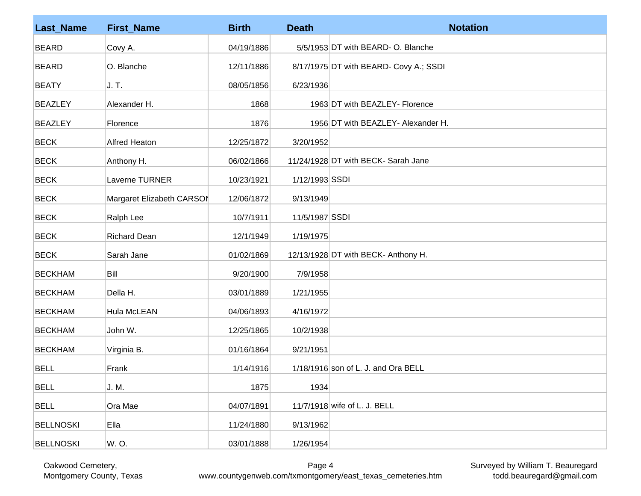| <b>Last_Name</b> | <b>First_Name</b>         | <b>Birth</b> | <b>Death</b>   | <b>Notation</b>                        |
|------------------|---------------------------|--------------|----------------|----------------------------------------|
| <b>BEARD</b>     | Covy A.                   | 04/19/1886   |                | 5/5/1953 DT with BEARD- O. Blanche     |
| <b>BEARD</b>     | O. Blanche                | 12/11/1886   |                | 8/17/1975 DT with BEARD- Covy A.; SSDI |
| <b>BEATY</b>     | J. T.                     | 08/05/1856   | 6/23/1936      |                                        |
| <b>BEAZLEY</b>   | Alexander H.              | 1868         |                | 1963 DT with BEAZLEY- Florence         |
| <b>BEAZLEY</b>   | Florence                  | 1876         |                | 1956 DT with BEAZLEY- Alexander H.     |
| <b>BECK</b>      | <b>Alfred Heaton</b>      | 12/25/1872   | 3/20/1952      |                                        |
| <b>BECK</b>      | Anthony H.                | 06/02/1866   |                | 11/24/1928 DT with BECK- Sarah Jane    |
| <b>BECK</b>      | Laverne TURNER            | 10/23/1921   | 1/12/1993 SSDI |                                        |
| <b>BECK</b>      | Margaret Elizabeth CARSOI | 12/06/1872   | 9/13/1949      |                                        |
| <b>BECK</b>      | Ralph Lee                 | 10/7/1911    | 11/5/1987 SSDI |                                        |
| <b>BECK</b>      | <b>Richard Dean</b>       | 12/1/1949    | 1/19/1975      |                                        |
| <b>BECK</b>      | Sarah Jane                | 01/02/1869   |                | 12/13/1928 DT with BECK- Anthony H.    |
| <b>BECKHAM</b>   | Bill                      | 9/20/1900    | 7/9/1958       |                                        |
| <b>BECKHAM</b>   | Della H.                  | 03/01/1889   | 1/21/1955      |                                        |
| <b>BECKHAM</b>   | Hula McLEAN               | 04/06/1893   | 4/16/1972      |                                        |
| <b>BECKHAM</b>   | John W.                   | 12/25/1865   | 10/2/1938      |                                        |
| <b>BECKHAM</b>   | Virginia B.               | 01/16/1864   | 9/21/1951      |                                        |
| <b>BELL</b>      | Frank                     | 1/14/1916    |                | $1/18/1916$ son of L. J. and Ora BELL  |
| <b>BELL</b>      | J. M.                     | 1875         | 1934           |                                        |
| <b>BELL</b>      | Ora Mae                   | 04/07/1891   |                | 11/7/1918 wife of L. J. BELL           |
| <b>BELLNOSKI</b> | Ella                      | 11/24/1880   | 9/13/1962      |                                        |
| <b>BELLNOSKI</b> | W.O.                      | 03/01/1888   | 1/26/1954      |                                        |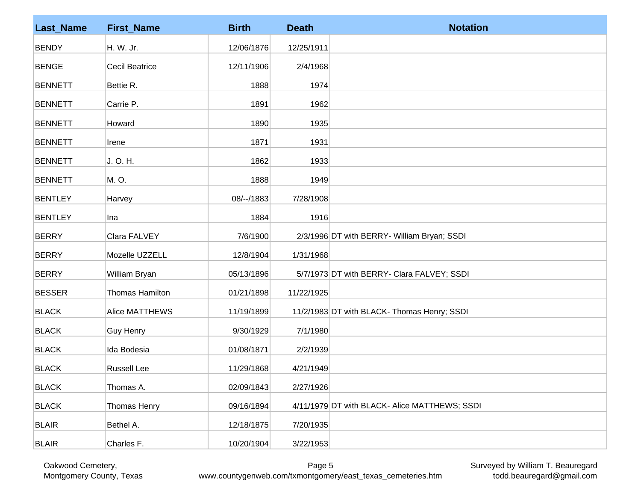| <b>Last_Name</b> | <b>First_Name</b>     | <b>Birth</b> | <b>Death</b> | <b>Notation</b>                               |
|------------------|-----------------------|--------------|--------------|-----------------------------------------------|
| <b>BENDY</b>     | H. W. Jr.             | 12/06/1876   | 12/25/1911   |                                               |
| <b>BENGE</b>     | <b>Cecil Beatrice</b> | 12/11/1906   | 2/4/1968     |                                               |
| <b>BENNETT</b>   | Bettie R.             | 1888         | 1974         |                                               |
| <b>BENNETT</b>   | Carrie P.             | 1891         | 1962         |                                               |
| <b>BENNETT</b>   | Howard                | 1890         | 1935         |                                               |
| <b>BENNETT</b>   | Irene                 | 1871         | 1931         |                                               |
| <b>BENNETT</b>   | J. O. H.              | 1862         | 1933         |                                               |
| <b>BENNETT</b>   | M. O.                 | 1888         | 1949         |                                               |
| <b>BENTLEY</b>   | Harvey                | 08/--/1883   | 7/28/1908    |                                               |
| <b>BENTLEY</b>   | Ina                   | 1884         | 1916         |                                               |
| <b>BERRY</b>     | Clara FALVEY          | 7/6/1900     |              | 2/3/1996 DT with BERRY- William Bryan; SSDI   |
| <b>BERRY</b>     | Mozelle UZZELL        | 12/8/1904    | 1/31/1968    |                                               |
| <b>BERRY</b>     | William Bryan         | 05/13/1896   |              | 5/7/1973 DT with BERRY- Clara FALVEY; SSDI    |
| <b>BESSER</b>    | Thomas Hamilton       | 01/21/1898   | 11/22/1925   |                                               |
| <b>BLACK</b>     | <b>Alice MATTHEWS</b> | 11/19/1899   |              | 11/2/1983 DT with BLACK- Thomas Henry; SSDI   |
| <b>BLACK</b>     | <b>Guy Henry</b>      | 9/30/1929    | 7/1/1980     |                                               |
| <b>BLACK</b>     | Ida Bodesia           | 01/08/1871   | 2/2/1939     |                                               |
| <b>BLACK</b>     | <b>Russell Lee</b>    | 11/29/1868   | 4/21/1949    |                                               |
| <b>BLACK</b>     | Thomas A.             | 02/09/1843   | 2/27/1926    |                                               |
| <b>BLACK</b>     | Thomas Henry          | 09/16/1894   |              | 4/11/1979 DT with BLACK- Alice MATTHEWS; SSDI |
| <b>BLAIR</b>     | Bethel A.             | 12/18/1875   | 7/20/1935    |                                               |
| <b>BLAIR</b>     | Charles F.            | 10/20/1904   | 3/22/1953    |                                               |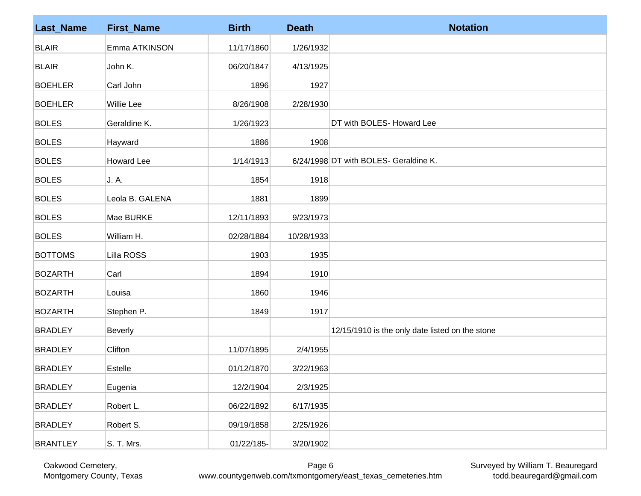| <b>Last_Name</b> | <b>First_Name</b> | <b>Birth</b> | <b>Death</b> | <b>Notation</b>                                 |
|------------------|-------------------|--------------|--------------|-------------------------------------------------|
| <b>BLAIR</b>     | Emma ATKINSON     | 11/17/1860   | 1/26/1932    |                                                 |
| <b>BLAIR</b>     | John K.           | 06/20/1847   | 4/13/1925    |                                                 |
| <b>BOEHLER</b>   | Carl John         | 1896         | 1927         |                                                 |
| <b>BOEHLER</b>   | <b>Willie Lee</b> | 8/26/1908    | 2/28/1930    |                                                 |
| <b>BOLES</b>     | Geraldine K.      | 1/26/1923    |              | DT with BOLES- Howard Lee                       |
| <b>BOLES</b>     | Hayward           | 1886         | 1908         |                                                 |
| <b>BOLES</b>     | <b>Howard Lee</b> | 1/14/1913    |              | 6/24/1998 DT with BOLES- Geraldine K.           |
| <b>BOLES</b>     | J. A.             | 1854         | 1918         |                                                 |
| <b>BOLES</b>     | Leola B. GALENA   | 1881         | 1899         |                                                 |
| <b>BOLES</b>     | Mae BURKE         | 12/11/1893   | 9/23/1973    |                                                 |
| <b>BOLES</b>     | William H.        | 02/28/1884   | 10/28/1933   |                                                 |
| <b>BOTTOMS</b>   | Lilla ROSS        | 1903         | 1935         |                                                 |
| <b>BOZARTH</b>   | Carl              | 1894         | 1910         |                                                 |
| <b>BOZARTH</b>   | Louisa            | 1860         | 1946         |                                                 |
| <b>BOZARTH</b>   | Stephen P.        | 1849         | 1917         |                                                 |
| <b>BRADLEY</b>   | <b>Beverly</b>    |              |              | 12/15/1910 is the only date listed on the stone |
| <b>BRADLEY</b>   | Clifton           | 11/07/1895   | 2/4/1955     |                                                 |
| <b>BRADLEY</b>   | Estelle           | 01/12/1870   | 3/22/1963    |                                                 |
| <b>BRADLEY</b>   | Eugenia           | 12/2/1904    | 2/3/1925     |                                                 |
| <b>BRADLEY</b>   | Robert L.         | 06/22/1892   | 6/17/1935    |                                                 |
| <b>BRADLEY</b>   | Robert S.         | 09/19/1858   | 2/25/1926    |                                                 |
| <b>BRANTLEY</b>  | S. T. Mrs.        | 01/22/185-   | 3/20/1902    |                                                 |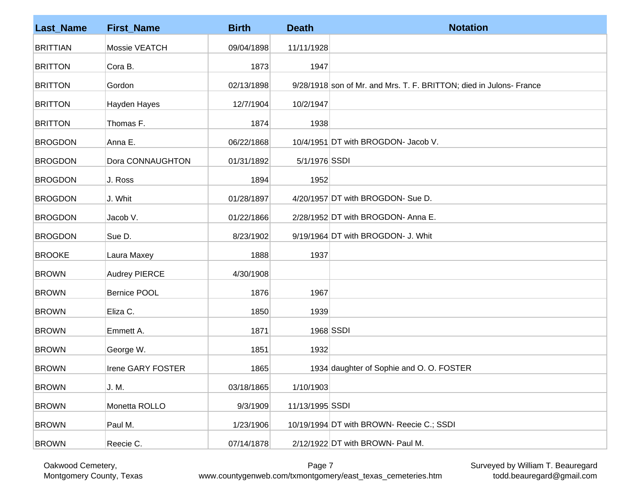| <b>Last_Name</b> | <b>First_Name</b>    | <b>Birth</b> | <b>Death</b>    | <b>Notation</b>                                                     |
|------------------|----------------------|--------------|-----------------|---------------------------------------------------------------------|
| <b>BRITTIAN</b>  | Mossie VEATCH        | 09/04/1898   | 11/11/1928      |                                                                     |
| <b>BRITTON</b>   | Cora B.              | 1873         | 1947            |                                                                     |
| <b>BRITTON</b>   | Gordon               | 02/13/1898   |                 | 9/28/1918 son of Mr. and Mrs. T. F. BRITTON; died in Julons- France |
| <b>BRITTON</b>   | Hayden Hayes         | 12/7/1904    | 10/2/1947       |                                                                     |
| <b>BRITTON</b>   | Thomas F.            | 1874         | 1938            |                                                                     |
| <b>BROGDON</b>   | Anna E.              | 06/22/1868   |                 | 10/4/1951 DT with BROGDON- Jacob V.                                 |
| <b>BROGDON</b>   | Dora CONNAUGHTON     | 01/31/1892   | 5/1/1976 SSDI   |                                                                     |
| <b>BROGDON</b>   | J. Ross              | 1894         | 1952            |                                                                     |
| <b>BROGDON</b>   | J. Whit              | 01/28/1897   |                 | 4/20/1957 DT with BROGDON- Sue D.                                   |
| <b>BROGDON</b>   | Jacob V.             | 01/22/1866   |                 | 2/28/1952 DT with BROGDON- Anna E.                                  |
| <b>BROGDON</b>   | Sue D.               | 8/23/1902    |                 | 9/19/1964 DT with BROGDON- J. Whit                                  |
| <b>BROOKE</b>    | Laura Maxey          | 1888         | 1937            |                                                                     |
| <b>BROWN</b>     | <b>Audrey PIERCE</b> | 4/30/1908    |                 |                                                                     |
| <b>BROWN</b>     | <b>Bernice POOL</b>  | 1876         | 1967            |                                                                     |
| <b>BROWN</b>     | Eliza C.             | 1850         | 1939            |                                                                     |
| <b>BROWN</b>     | Emmett A.            | 1871         |                 | 1968 SSDI                                                           |
| <b>BROWN</b>     | George W.            | 1851         | 1932            |                                                                     |
| <b>BROWN</b>     | Irene GARY FOSTER    | 1865         |                 | 1934 daughter of Sophie and O. O. FOSTER                            |
| <b>BROWN</b>     | J. M.                | 03/18/1865   | 1/10/1903       |                                                                     |
| <b>BROWN</b>     | Monetta ROLLO        | 9/3/1909     | 11/13/1995 SSDI |                                                                     |
| <b>BROWN</b>     | Paul M.              | 1/23/1906    |                 | 10/19/1994 DT with BROWN- Reecie C.; SSDI                           |
| <b>BROWN</b>     | Reecie C.            | 07/14/1878   |                 | 2/12/1922 DT with BROWN- Paul M.                                    |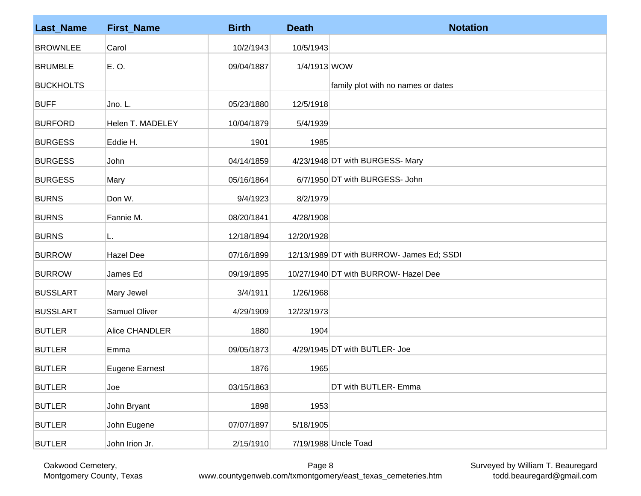| <b>Last_Name</b> | <b>First_Name</b>     | <b>Birth</b> | <b>Death</b> | <b>Notation</b>                           |
|------------------|-----------------------|--------------|--------------|-------------------------------------------|
| <b>BROWNLEE</b>  | Carol                 | 10/2/1943    | 10/5/1943    |                                           |
| <b>BRUMBLE</b>   | E.O.                  | 09/04/1887   | 1/4/1913 WOW |                                           |
| <b>BUCKHOLTS</b> |                       |              |              | family plot with no names or dates        |
| <b>BUFF</b>      | Jno. L.               | 05/23/1880   | 12/5/1918    |                                           |
| <b>BURFORD</b>   | Helen T. MADELEY      | 10/04/1879   | 5/4/1939     |                                           |
| <b>BURGESS</b>   | Eddie H.              | 1901         | 1985         |                                           |
| <b>BURGESS</b>   | John                  | 04/14/1859   |              | 4/23/1948 DT with BURGESS- Mary           |
| <b>BURGESS</b>   | Mary                  | 05/16/1864   |              | 6/7/1950 DT with BURGESS- John            |
| <b>BURNS</b>     | Don W.                | 9/4/1923     | 8/2/1979     |                                           |
| <b>BURNS</b>     | Fannie M.             | 08/20/1841   | 4/28/1908    |                                           |
| <b>BURNS</b>     | L.                    | 12/18/1894   | 12/20/1928   |                                           |
| <b>BURROW</b>    | <b>Hazel Dee</b>      | 07/16/1899   |              | 12/13/1989 DT with BURROW- James Ed; SSDI |
| <b>BURROW</b>    | James Ed              | 09/19/1895   |              | 10/27/1940 DT with BURROW- Hazel Dee      |
| <b>BUSSLART</b>  | Mary Jewel            | 3/4/1911     | 1/26/1968    |                                           |
| <b>BUSSLART</b>  | Samuel Oliver         | 4/29/1909    | 12/23/1973   |                                           |
| <b>BUTLER</b>    | Alice CHANDLER        | 1880         | 1904         |                                           |
| <b>BUTLER</b>    | Emma                  | 09/05/1873   |              | 4/29/1945 DT with BUTLER- Joe             |
| <b>BUTLER</b>    | <b>Eugene Earnest</b> | 1876         | 1965         |                                           |
| <b>BUTLER</b>    | Joe                   | 03/15/1863   |              | DT with BUTLER- Emma                      |
| <b>BUTLER</b>    | John Bryant           | 1898         | 1953         |                                           |
| <b>BUTLER</b>    | John Eugene           | 07/07/1897   | 5/18/1905    |                                           |
| <b>BUTLER</b>    | John Irion Jr.        | 2/15/1910    |              | 7/19/1988 Uncle Toad                      |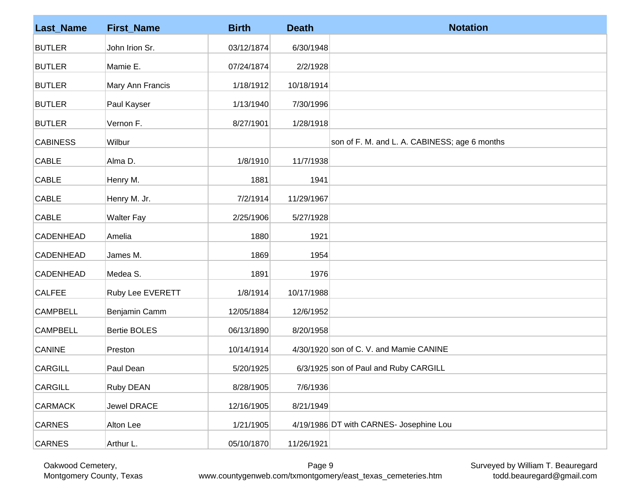| <b>Last_Name</b> | <b>First_Name</b>   | <b>Birth</b> | <b>Death</b> | <b>Notation</b>                               |
|------------------|---------------------|--------------|--------------|-----------------------------------------------|
| <b>BUTLER</b>    | John Irion Sr.      | 03/12/1874   | 6/30/1948    |                                               |
| <b>BUTLER</b>    | Mamie E.            | 07/24/1874   | 2/2/1928     |                                               |
| <b>BUTLER</b>    | Mary Ann Francis    | 1/18/1912    | 10/18/1914   |                                               |
| <b>BUTLER</b>    | Paul Kayser         | 1/13/1940    | 7/30/1996    |                                               |
| <b>BUTLER</b>    | Vernon F.           | 8/27/1901    | 1/28/1918    |                                               |
| <b>CABINESS</b>  | Wilbur              |              |              | son of F. M. and L. A. CABINESS; age 6 months |
| <b>CABLE</b>     | Alma D.             | 1/8/1910     | 11/7/1938    |                                               |
| <b>CABLE</b>     | Henry M.            | 1881         | 1941         |                                               |
| <b>CABLE</b>     | Henry M. Jr.        | 7/2/1914     | 11/29/1967   |                                               |
| <b>CABLE</b>     | <b>Walter Fay</b>   | 2/25/1906    | 5/27/1928    |                                               |
| <b>CADENHEAD</b> | Amelia              | 1880         | 1921         |                                               |
| <b>CADENHEAD</b> | James M.            | 1869         | 1954         |                                               |
| <b>CADENHEAD</b> | Medea S.            | 1891         | 1976         |                                               |
| <b>CALFEE</b>    | Ruby Lee EVERETT    | 1/8/1914     | 10/17/1988   |                                               |
| <b>CAMPBELL</b>  | Benjamin Camm       | 12/05/1884   | 12/6/1952    |                                               |
| <b>CAMPBELL</b>  | <b>Bertie BOLES</b> | 06/13/1890   | 8/20/1958    |                                               |
| <b>CANINE</b>    | Preston             | 10/14/1914   |              | 4/30/1920 son of C. V. and Mamie CANINE       |
| <b>CARGILL</b>   | Paul Dean           | 5/20/1925    |              | 6/3/1925 son of Paul and Ruby CARGILL         |
| <b>CARGILL</b>   | Ruby DEAN           | 8/28/1905    | 7/6/1936     |                                               |
| <b>CARMACK</b>   | Jewel DRACE         | 12/16/1905   | 8/21/1949    |                                               |
| <b>CARNES</b>    | Alton Lee           | 1/21/1905    |              | 4/19/1986 DT with CARNES- Josephine Lou       |
| <b>CARNES</b>    | Arthur L.           | 05/10/1870   | 11/26/1921   |                                               |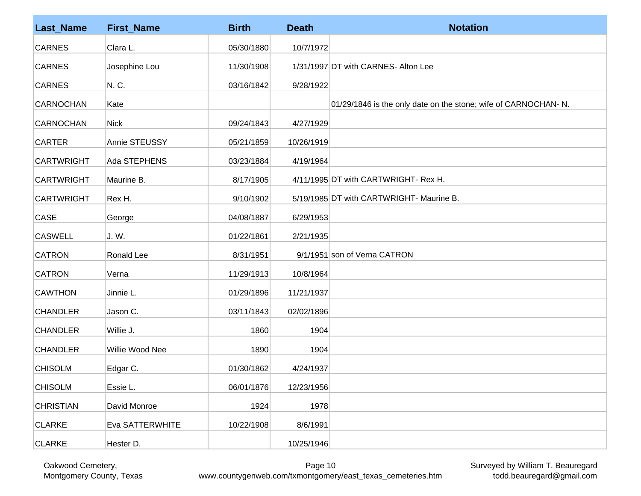| <b>Last_Name</b>  | <b>First_Name</b> | <b>Birth</b> | <b>Death</b> | <b>Notation</b>                                                |
|-------------------|-------------------|--------------|--------------|----------------------------------------------------------------|
| <b>CARNES</b>     | Clara L.          | 05/30/1880   | 10/7/1972    |                                                                |
| <b>CARNES</b>     | Josephine Lou     | 11/30/1908   |              | 1/31/1997 DT with CARNES- Alton Lee                            |
| <b>CARNES</b>     | N. C.             | 03/16/1842   | 9/28/1922    |                                                                |
| <b>CARNOCHAN</b>  | Kate              |              |              | 01/29/1846 is the only date on the stone; wife of CARNOCHAN-N. |
| <b>CARNOCHAN</b>  | <b>Nick</b>       | 09/24/1843   | 4/27/1929    |                                                                |
| <b>CARTER</b>     | Annie STEUSSY     | 05/21/1859   | 10/26/1919   |                                                                |
| <b>CARTWRIGHT</b> | Ada STEPHENS      | 03/23/1884   | 4/19/1964    |                                                                |
| <b>CARTWRIGHT</b> | Maurine B.        | 8/17/1905    |              | 4/11/1995 DT with CARTWRIGHT- Rex H.                           |
| <b>CARTWRIGHT</b> | Rex H.            | 9/10/1902    |              | 5/19/1985 DT with CARTWRIGHT- Maurine B.                       |
| <b>CASE</b>       | George            | 04/08/1887   | 6/29/1953    |                                                                |
| <b>CASWELL</b>    | J. W.             | 01/22/1861   | 2/21/1935    |                                                                |
| <b>CATRON</b>     | Ronald Lee        | 8/31/1951    |              | 9/1/1951 son of Verna CATRON                                   |
| <b>CATRON</b>     | Verna             | 11/29/1913   | 10/8/1964    |                                                                |
| <b>CAWTHON</b>    | Jinnie L.         | 01/29/1896   | 11/21/1937   |                                                                |
| <b>CHANDLER</b>   | Jason C.          | 03/11/1843   | 02/02/1896   |                                                                |
| <b>CHANDLER</b>   | Willie J.         | 1860         | 1904         |                                                                |
| <b>CHANDLER</b>   | Willie Wood Nee   | 1890         | 1904         |                                                                |
| <b>CHISOLM</b>    | Edgar C.          | 01/30/1862   | 4/24/1937    |                                                                |
| <b>CHISOLM</b>    | Essie L.          | 06/01/1876   | 12/23/1956   |                                                                |
| <b>CHRISTIAN</b>  | David Monroe      | 1924         | 1978         |                                                                |
| <b>CLARKE</b>     | Eva SATTERWHITE   | 10/22/1908   | 8/6/1991     |                                                                |
| <b>CLARKE</b>     | Hester D.         |              | 10/25/1946   |                                                                |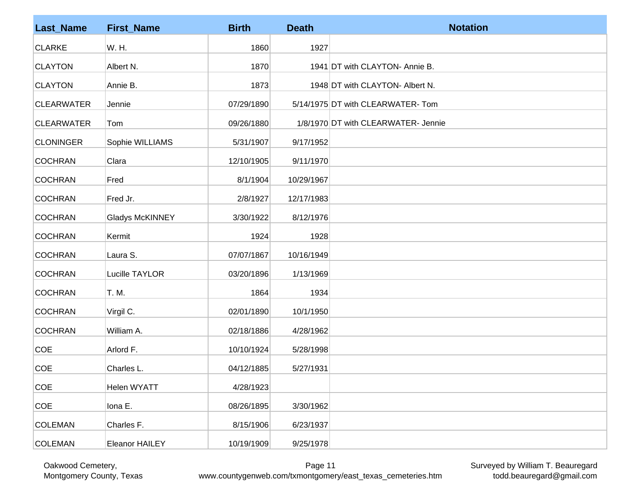| <b>Last_Name</b>  | <b>First_Name</b>      | <b>Birth</b> | <b>Death</b> | <b>Notation</b>                     |
|-------------------|------------------------|--------------|--------------|-------------------------------------|
| <b>CLARKE</b>     | W. H.                  | 1860         | 1927         |                                     |
| <b>CLAYTON</b>    | Albert N.              | 1870         |              | 1941 DT with CLAYTON- Annie B.      |
| <b>CLAYTON</b>    | Annie B.               | 1873         |              | 1948 DT with CLAYTON- Albert N.     |
| <b>CLEARWATER</b> | Jennie                 | 07/29/1890   |              | 5/14/1975 DT with CLEARWATER-Tom    |
| <b>CLEARWATER</b> | Tom                    | 09/26/1880   |              | 1/8/1970 DT with CLEARWATER- Jennie |
| <b>CLONINGER</b>  | Sophie WILLIAMS        | 5/31/1907    | 9/17/1952    |                                     |
| <b>COCHRAN</b>    | Clara                  | 12/10/1905   | 9/11/1970    |                                     |
| <b>COCHRAN</b>    | Fred                   | 8/1/1904     | 10/29/1967   |                                     |
| <b>COCHRAN</b>    | Fred Jr.               | 2/8/1927     | 12/17/1983   |                                     |
| <b>COCHRAN</b>    | <b>Gladys McKINNEY</b> | 3/30/1922    | 8/12/1976    |                                     |
| <b>COCHRAN</b>    | Kermit                 | 1924         | 1928         |                                     |
| <b>COCHRAN</b>    | Laura S.               | 07/07/1867   | 10/16/1949   |                                     |
| <b>COCHRAN</b>    | Lucille TAYLOR         | 03/20/1896   | 1/13/1969    |                                     |
| <b>COCHRAN</b>    | T. M.                  | 1864         | 1934         |                                     |
| <b>COCHRAN</b>    | Virgil C.              | 02/01/1890   | 10/1/1950    |                                     |
| <b>COCHRAN</b>    | William A.             | 02/18/1886   | 4/28/1962    |                                     |
| <b>COE</b>        | Arlord F.              | 10/10/1924   | 5/28/1998    |                                     |
| <b>COE</b>        | Charles L.             | 04/12/1885   | 5/27/1931    |                                     |
| COE               | Helen WYATT            | 4/28/1923    |              |                                     |
| COE               | Iona E.                | 08/26/1895   | 3/30/1962    |                                     |
| <b>COLEMAN</b>    | Charles F.             | 8/15/1906    | 6/23/1937    |                                     |
| <b>COLEMAN</b>    | <b>Eleanor HAILEY</b>  | 10/19/1909   | 9/25/1978    |                                     |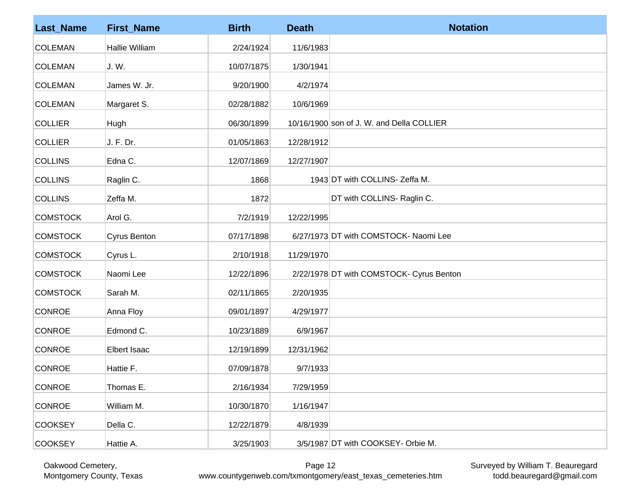| <b>Last_Name</b> | <b>First_Name</b>     | <b>Birth</b> | <b>Death</b> | <b>Notation</b>                           |
|------------------|-----------------------|--------------|--------------|-------------------------------------------|
| <b>COLEMAN</b>   | <b>Hallie William</b> | 2/24/1924    | 11/6/1983    |                                           |
| <b>COLEMAN</b>   | J. W.                 | 10/07/1875   | 1/30/1941    |                                           |
| <b>COLEMAN</b>   | James W. Jr.          | 9/20/1900    | 4/2/1974     |                                           |
| <b>COLEMAN</b>   | Margaret S.           | 02/28/1882   | 10/6/1969    |                                           |
| <b>COLLIER</b>   | Hugh                  | 06/30/1899   |              | 10/16/1900 son of J. W. and Della COLLIER |
| <b>COLLIER</b>   | J. F. Dr.             | 01/05/1863   | 12/28/1912   |                                           |
| <b>COLLINS</b>   | Edna C.               | 12/07/1869   | 12/27/1907   |                                           |
| <b>COLLINS</b>   | Raglin C.             | 1868         |              | 1943 DT with COLLINS- Zeffa M.            |
| <b>COLLINS</b>   | Zeffa M.              | 1872         |              | DT with COLLINS- Raglin C.                |
| <b>COMSTOCK</b>  | Arol G.               | 7/2/1919     | 12/22/1995   |                                           |
| <b>COMSTOCK</b>  | <b>Cyrus Benton</b>   | 07/17/1898   |              | 6/27/1973 DT with COMSTOCK- Naomi Lee     |
| <b>COMSTOCK</b>  | Cyrus L.              | 2/10/1918    | 11/29/1970   |                                           |
| <b>COMSTOCK</b>  | Naomi Lee             | 12/22/1896   |              | 2/22/1978 DT with COMSTOCK- Cyrus Benton  |
| <b>COMSTOCK</b>  | Sarah M.              | 02/11/1865   | 2/20/1935    |                                           |
| <b>CONROE</b>    | Anna Floy             | 09/01/1897   | 4/29/1977    |                                           |
| <b>CONROE</b>    | Edmond C.             | 10/23/1889   | 6/9/1967     |                                           |
| <b>CONROE</b>    | <b>Elbert Isaac</b>   | 12/19/1899   | 12/31/1962   |                                           |
| <b>CONROE</b>    | Hattie F.             | 07/09/1878   | 9/7/1933     |                                           |
| <b>CONROE</b>    | Thomas E.             | 2/16/1934    | 7/29/1959    |                                           |
| <b>CONROE</b>    | William M.            | 10/30/1870   | 1/16/1947    |                                           |
| <b>COOKSEY</b>   | Della C.              | 12/22/1879   | 4/8/1939     |                                           |
| <b>COOKSEY</b>   | Hattie A.             | 3/25/1903    |              | 3/5/1987 DT with COOKSEY- Orbie M.        |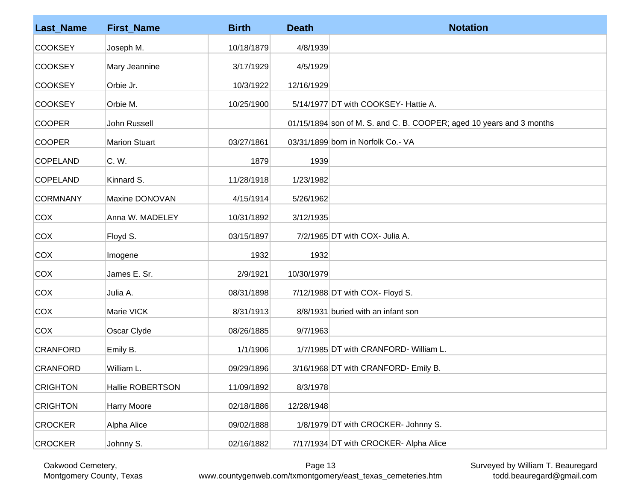| <b>Last_Name</b> | <b>First_Name</b>    | <b>Birth</b> | <b>Death</b> | <b>Notation</b>                                                      |
|------------------|----------------------|--------------|--------------|----------------------------------------------------------------------|
| <b>COOKSEY</b>   | Joseph M.            | 10/18/1879   | 4/8/1939     |                                                                      |
| <b>COOKSEY</b>   | Mary Jeannine        | 3/17/1929    | 4/5/1929     |                                                                      |
| <b>COOKSEY</b>   | Orbie Jr.            | 10/3/1922    | 12/16/1929   |                                                                      |
| <b>COOKSEY</b>   | Orbie M.             | 10/25/1900   |              | 5/14/1977 DT with COOKSEY- Hattie A.                                 |
| <b>COOPER</b>    | John Russell         |              |              | 01/15/1894 son of M. S. and C. B. COOPER; aged 10 years and 3 months |
| <b>COOPER</b>    | <b>Marion Stuart</b> | 03/27/1861   |              | 03/31/1899 born in Norfolk Co.- VA                                   |
| COPELAND         | C. W.                | 1879         | 1939         |                                                                      |
| COPELAND         | Kinnard S.           | 11/28/1918   | 1/23/1982    |                                                                      |
| <b>CORMNANY</b>  | Maxine DONOVAN       | 4/15/1914    | 5/26/1962    |                                                                      |
| COX              | Anna W. MADELEY      | 10/31/1892   | 3/12/1935    |                                                                      |
| COX              | Floyd S.             | 03/15/1897   |              | $7/2/1965$ DT with COX- Julia A.                                     |
| COX              | Imogene              | 1932         | 1932         |                                                                      |
| COX              | James E. Sr.         | 2/9/1921     | 10/30/1979   |                                                                      |
| COX              | Julia A.             | 08/31/1898   |              | 7/12/1988 DT with COX- Floyd S.                                      |
| COX              | Marie VICK           | 8/31/1913    |              | 8/8/1931 buried with an infant son                                   |
| COX              | Oscar Clyde          | 08/26/1885   | 9/7/1963     |                                                                      |
| <b>CRANFORD</b>  | Emily B.             | 1/1/1906     |              | 1/7/1985 DT with CRANFORD- William L.                                |
| <b>CRANFORD</b>  | William L.           | 09/29/1896   |              | 3/16/1968 DT with CRANFORD- Emily B.                                 |
| <b>CRIGHTON</b>  | Hallie ROBERTSON     | 11/09/1892   | 8/3/1978     |                                                                      |
| <b>CRIGHTON</b>  | Harry Moore          | 02/18/1886   | 12/28/1948   |                                                                      |
| <b>CROCKER</b>   | Alpha Alice          | 09/02/1888   |              | 1/8/1979 DT with CROCKER- Johnny S.                                  |
| <b>CROCKER</b>   | Johnny S.            | 02/16/1882   |              | 7/17/1934 DT with CROCKER- Alpha Alice                               |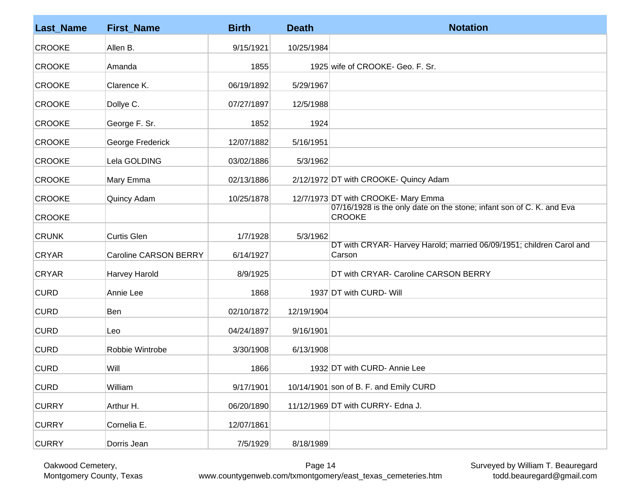| <b>Last_Name</b> | <b>First_Name</b>            | <b>Birth</b> | <b>Death</b> | <b>Notation</b>                                                                        |
|------------------|------------------------------|--------------|--------------|----------------------------------------------------------------------------------------|
| <b>CROOKE</b>    | Allen B.                     | 9/15/1921    | 10/25/1984   |                                                                                        |
| <b>CROOKE</b>    | Amanda                       | 1855         |              | 1925 wife of CROOKE- Geo. F. Sr.                                                       |
| <b>CROOKE</b>    | Clarence K.                  | 06/19/1892   | 5/29/1967    |                                                                                        |
| <b>CROOKE</b>    | Dollye C.                    | 07/27/1897   | 12/5/1988    |                                                                                        |
| <b>CROOKE</b>    | George F. Sr.                | 1852         | 1924         |                                                                                        |
| <b>CROOKE</b>    | George Frederick             | 12/07/1882   | 5/16/1951    |                                                                                        |
| <b>CROOKE</b>    | Lela GOLDING                 | 03/02/1886   | 5/3/1962     |                                                                                        |
| <b>CROOKE</b>    | Mary Emma                    | 02/13/1886   |              | 2/12/1972 DT with CROOKE- Quincy Adam                                                  |
| <b>CROOKE</b>    | Quincy Adam                  | 10/25/1878   |              | 12/7/1973 DT with CROOKE- Mary Emma                                                    |
| <b>CROOKE</b>    |                              |              |              | 07/16/1928 is the only date on the stone; infant son of C. K. and Eva<br><b>CROOKE</b> |
| <b>CRUNK</b>     | <b>Curtis Glen</b>           | 1/7/1928     | 5/3/1962     |                                                                                        |
| <b>CRYAR</b>     | <b>Caroline CARSON BERRY</b> | 6/14/1927    |              | DT with CRYAR- Harvey Harold; married 06/09/1951; children Carol and<br>Carson         |
| <b>CRYAR</b>     | Harvey Harold                | 8/9/1925     |              | DT with CRYAR- Caroline CARSON BERRY                                                   |
| <b>CURD</b>      | Annie Lee                    | 1868         |              | 1937 DT with CURD- Will                                                                |
| <b>CURD</b>      | Ben                          | 02/10/1872   | 12/19/1904   |                                                                                        |
| <b>CURD</b>      | Leo                          | 04/24/1897   | 9/16/1901    |                                                                                        |
| <b>CURD</b>      | Robbie Wintrobe              | 3/30/1908    | 6/13/1908    |                                                                                        |
| <b>CURD</b>      | Will                         | 1866         |              | 1932 DT with CURD- Annie Lee                                                           |
| <b>CURD</b>      | William                      | 9/17/1901    |              | 10/14/1901 son of B. F. and Emily CURD                                                 |
| <b>CURRY</b>     | Arthur H.                    | 06/20/1890   |              | 11/12/1969 DT with CURRY- Edna J.                                                      |
| <b>CURRY</b>     | Cornelia E.                  | 12/07/1861   |              |                                                                                        |
| <b>CURRY</b>     | Dorris Jean                  | 7/5/1929     | 8/18/1989    |                                                                                        |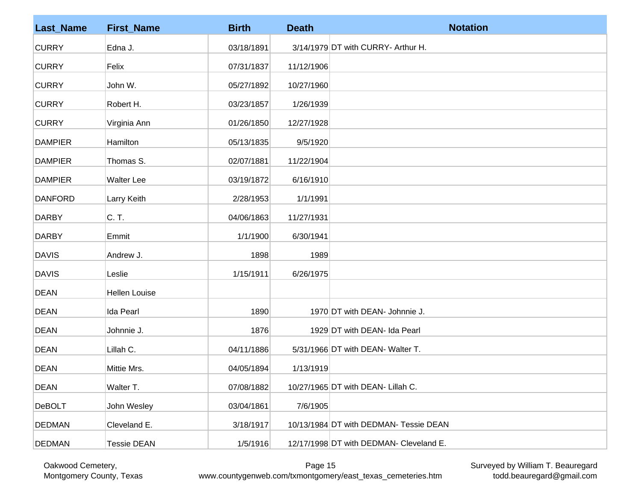| <b>Last_Name</b> | <b>First_Name</b>    | <b>Birth</b> | <b>Death</b> | <b>Notation</b>                         |
|------------------|----------------------|--------------|--------------|-----------------------------------------|
| <b>CURRY</b>     | Edna J.              | 03/18/1891   |              | 3/14/1979 DT with CURRY- Arthur H.      |
| <b>CURRY</b>     | Felix                | 07/31/1837   | 11/12/1906   |                                         |
| <b>CURRY</b>     | John W.              | 05/27/1892   | 10/27/1960   |                                         |
| <b>CURRY</b>     | Robert H.            | 03/23/1857   | 1/26/1939    |                                         |
| <b>CURRY</b>     | Virginia Ann         | 01/26/1850   | 12/27/1928   |                                         |
| <b>DAMPIER</b>   | Hamilton             | 05/13/1835   | 9/5/1920     |                                         |
| <b>DAMPIER</b>   | Thomas S.            | 02/07/1881   | 11/22/1904   |                                         |
| <b>DAMPIER</b>   | <b>Walter Lee</b>    | 03/19/1872   | 6/16/1910    |                                         |
| <b>DANFORD</b>   | Larry Keith          | 2/28/1953    | 1/1/1991     |                                         |
| <b>DARBY</b>     | C. T.                | 04/06/1863   | 11/27/1931   |                                         |
| <b>DARBY</b>     | Emmit                | 1/1/1900     | 6/30/1941    |                                         |
| <b>DAVIS</b>     | Andrew J.            | 1898         | 1989         |                                         |
| <b>DAVIS</b>     | Leslie               | 1/15/1911    | 6/26/1975    |                                         |
| <b>DEAN</b>      | <b>Hellen Louise</b> |              |              |                                         |
| <b>DEAN</b>      | Ida Pearl            | 1890         |              | 1970 DT with DEAN- Johnnie J.           |
| <b>DEAN</b>      | Johnnie J.           | 1876         |              | 1929 DT with DEAN- Ida Pearl            |
| <b>DEAN</b>      | Lillah C.            | 04/11/1886   |              | 5/31/1966 DT with DEAN- Walter T.       |
| <b>DEAN</b>      | Mittie Mrs.          | 04/05/1894   | 1/13/1919    |                                         |
| <b>DEAN</b>      | Walter T.            | 07/08/1882   |              | 10/27/1965 DT with DEAN- Lillah C.      |
| <b>DeBOLT</b>    | John Wesley          | 03/04/1861   | 7/6/1905     |                                         |
| <b>DEDMAN</b>    | Cleveland E.         | 3/18/1917    |              | 10/13/1984 DT with DEDMAN- Tessie DEAN  |
| <b>DEDMAN</b>    | <b>Tessie DEAN</b>   | 1/5/1916     |              | 12/17/1998 DT with DEDMAN- Cleveland E. |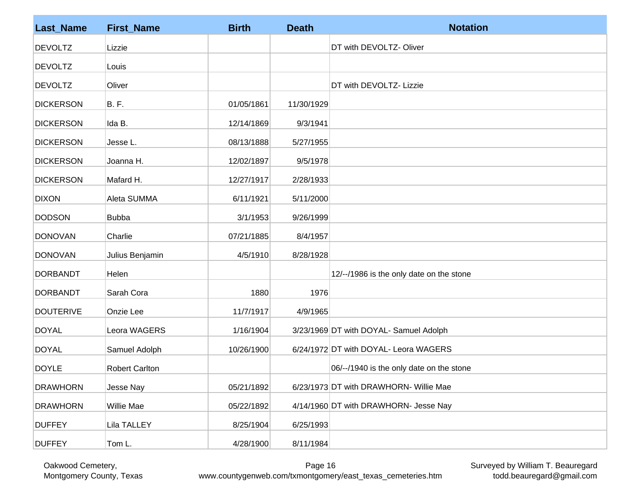| <b>Last_Name</b> | <b>First_Name</b> | <b>Birth</b> | <b>Death</b> | <b>Notation</b>                          |
|------------------|-------------------|--------------|--------------|------------------------------------------|
| <b>DEVOLTZ</b>   | Lizzie            |              |              | DT with DEVOLTZ-Oliver                   |
| <b>DEVOLTZ</b>   | Louis             |              |              |                                          |
| <b>DEVOLTZ</b>   | Oliver            |              |              | DT with DEVOLTZ- Lizzie                  |
| <b>DICKERSON</b> | B.F.              | 01/05/1861   | 11/30/1929   |                                          |
| <b>DICKERSON</b> | Ida B.            | 12/14/1869   | 9/3/1941     |                                          |
| <b>DICKERSON</b> | Jesse L.          | 08/13/1888   | 5/27/1955    |                                          |
| <b>DICKERSON</b> | Joanna H.         | 12/02/1897   | 9/5/1978     |                                          |
| <b>DICKERSON</b> | Mafard H.         | 12/27/1917   | 2/28/1933    |                                          |
| <b>DIXON</b>     | Aleta SUMMA       | 6/11/1921    | 5/11/2000    |                                          |
| <b>DODSON</b>    | <b>Bubba</b>      | 3/1/1953     | 9/26/1999    |                                          |
| <b>DONOVAN</b>   | Charlie           | 07/21/1885   | 8/4/1957     |                                          |
| <b>DONOVAN</b>   | Julius Benjamin   | 4/5/1910     | 8/28/1928    |                                          |
| <b>DORBANDT</b>  | Helen             |              |              | 12/--/1986 is the only date on the stone |
| <b>DORBANDT</b>  | Sarah Cora        | 1880         | 1976         |                                          |
| <b>DOUTERIVE</b> | Onzie Lee         | 11/7/1917    | 4/9/1965     |                                          |
| <b>DOYAL</b>     | Leora WAGERS      | 1/16/1904    |              | 3/23/1969 DT with DOYAL- Samuel Adolph   |
| <b>DOYAL</b>     | Samuel Adolph     | 10/26/1900   |              | 6/24/1972 DT with DOYAL- Leora WAGERS    |
| <b>DOYLE</b>     | Robert Carlton    |              |              | 06/--/1940 is the only date on the stone |
| <b>DRAWHORN</b>  | Jesse Nay         | 05/21/1892   |              | 6/23/1973 DT with DRAWHORN- Willie Mae   |
| <b>DRAWHORN</b>  | <b>Willie Mae</b> | 05/22/1892   |              | 4/14/1960 DT with DRAWHORN- Jesse Nay    |
| <b>DUFFEY</b>    | Lila TALLEY       | 8/25/1904    | 6/25/1993    |                                          |
| <b>DUFFEY</b>    | Tom L.            | 4/28/1900    | 8/11/1984    |                                          |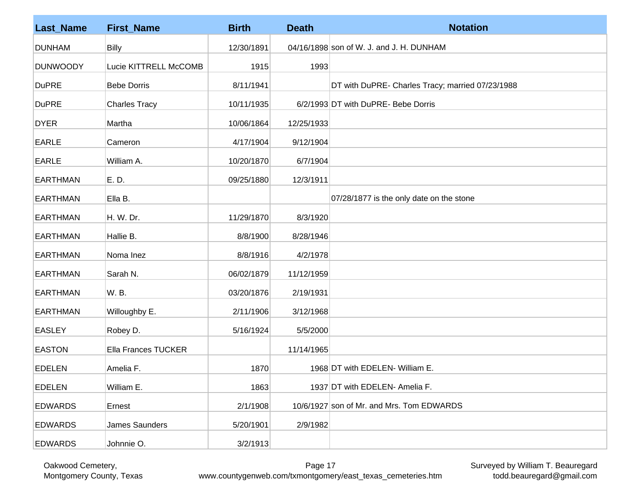| <b>Last_Name</b> | <b>First_Name</b>          | <b>Birth</b> | <b>Death</b> | <b>Notation</b>                                  |
|------------------|----------------------------|--------------|--------------|--------------------------------------------------|
| <b>DUNHAM</b>    | <b>Billy</b>               | 12/30/1891   |              | 04/16/1898 son of W. J. and J. H. DUNHAM         |
| <b>DUNWOODY</b>  | Lucie KITTRELL McCOMB      | 1915         | 1993         |                                                  |
| <b>DuPRE</b>     | <b>Bebe Dorris</b>         | 8/11/1941    |              | DT with DuPRE- Charles Tracy; married 07/23/1988 |
| <b>DuPRE</b>     | <b>Charles Tracy</b>       | 10/11/1935   |              | 6/2/1993 DT with DuPRE- Bebe Dorris              |
| <b>DYER</b>      | Martha                     | 10/06/1864   | 12/25/1933   |                                                  |
| <b>EARLE</b>     | Cameron                    | 4/17/1904    | 9/12/1904    |                                                  |
| <b>EARLE</b>     | William A.                 | 10/20/1870   | 6/7/1904     |                                                  |
| <b>EARTHMAN</b>  | E. D.                      | 09/25/1880   | 12/3/1911    |                                                  |
| <b>EARTHMAN</b>  | Ella B.                    |              |              | 07/28/1877 is the only date on the stone         |
| <b>EARTHMAN</b>  | H. W. Dr.                  | 11/29/1870   | 8/3/1920     |                                                  |
| <b>EARTHMAN</b>  | Hallie B.                  | 8/8/1900     | 8/28/1946    |                                                  |
| <b>EARTHMAN</b>  | Noma Inez                  | 8/8/1916     | 4/2/1978     |                                                  |
| <b>EARTHMAN</b>  | Sarah N.                   | 06/02/1879   | 11/12/1959   |                                                  |
| <b>EARTHMAN</b>  | W. B.                      | 03/20/1876   | 2/19/1931    |                                                  |
| <b>EARTHMAN</b>  | Willoughby E.              | 2/11/1906    | 3/12/1968    |                                                  |
| <b>EASLEY</b>    | Robey D.                   | 5/16/1924    | 5/5/2000     |                                                  |
| <b>EASTON</b>    | <b>Ella Frances TUCKER</b> |              | 11/14/1965   |                                                  |
| <b>EDELEN</b>    | Amelia F.                  | 1870         |              | 1968 DT with EDELEN- William E.                  |
| <b>EDELEN</b>    | William E.                 | 1863         |              | 1937 DT with EDELEN- Amelia F.                   |
| <b>EDWARDS</b>   | Ernest                     | 2/1/1908     |              | 10/6/1927 son of Mr. and Mrs. Tom EDWARDS        |
| <b>EDWARDS</b>   | James Saunders             | 5/20/1901    | 2/9/1982     |                                                  |
| <b>EDWARDS</b>   | Johnnie O.                 | 3/2/1913     |              |                                                  |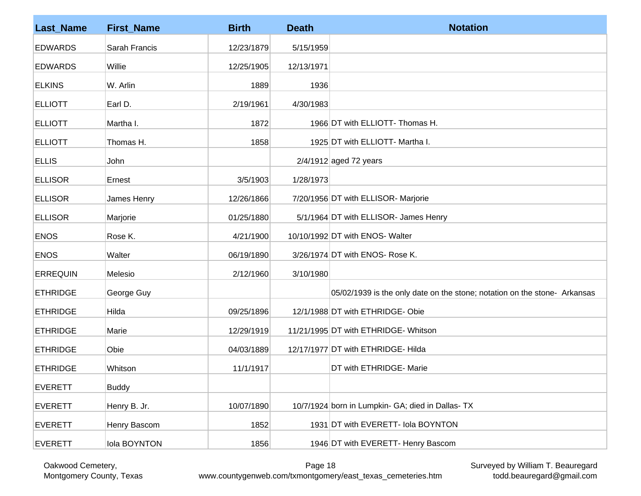| <b>Last_Name</b> | <b>First_Name</b> | <b>Birth</b> | <b>Death</b> | <b>Notation</b>                                                           |
|------------------|-------------------|--------------|--------------|---------------------------------------------------------------------------|
| <b>EDWARDS</b>   | Sarah Francis     | 12/23/1879   | 5/15/1959    |                                                                           |
| <b>EDWARDS</b>   | Willie            | 12/25/1905   | 12/13/1971   |                                                                           |
| <b>ELKINS</b>    | W. Arlin          | 1889         | 1936         |                                                                           |
| <b>ELLIOTT</b>   | Earl D.           | 2/19/1961    | 4/30/1983    |                                                                           |
| <b>ELLIOTT</b>   | Martha I.         | 1872         |              | 1966 DT with ELLIOTT- Thomas H.                                           |
| <b>ELLIOTT</b>   | Thomas H.         | 1858         |              | 1925 DT with ELLIOTT- Martha I.                                           |
| <b>ELLIS</b>     | John              |              |              | $2/4/1912$ aged 72 years                                                  |
| <b>ELLISOR</b>   | Ernest            | 3/5/1903     | 1/28/1973    |                                                                           |
| <b>ELLISOR</b>   | James Henry       | 12/26/1866   |              | 7/20/1956 DT with ELLISOR- Marjorie                                       |
| <b>ELLISOR</b>   | Marjorie          | 01/25/1880   |              | 5/1/1964 DT with ELLISOR- James Henry                                     |
| <b>ENOS</b>      | Rose K.           | 4/21/1900    |              | 10/10/1992 DT with ENOS- Walter                                           |
| <b>ENOS</b>      | Walter            | 06/19/1890   |              | 3/26/1974 DT with ENOS- Rose K.                                           |
| <b>ERREQUIN</b>  | Melesio           | 2/12/1960    | 3/10/1980    |                                                                           |
| <b>ETHRIDGE</b>  | George Guy        |              |              | 05/02/1939 is the only date on the stone; notation on the stone- Arkansas |
| <b>ETHRIDGE</b>  | Hilda             | 09/25/1896   |              | 12/1/1988 DT with ETHRIDGE-Obie                                           |
| <b>ETHRIDGE</b>  | Marie             | 12/29/1919   |              | 11/21/1995 DT with ETHRIDGE- Whitson                                      |
| <b>ETHRIDGE</b>  | Obie              | 04/03/1889   |              | 12/17/1977 DT with ETHRIDGE-Hilda                                         |
| <b>ETHRIDGE</b>  | Whitson           | 11/1/1917    |              | DT with ETHRIDGE- Marie                                                   |
| <b>EVERETT</b>   | <b>Buddy</b>      |              |              |                                                                           |
| <b>EVERETT</b>   | Henry B. Jr.      | 10/07/1890   |              | 10/7/1924 born in Lumpkin- GA; died in Dallas- TX                         |
| <b>EVERETT</b>   | Henry Bascom      | 1852         |              | 1931 DT with EVERETT- Iola BOYNTON                                        |
| <b>EVERETT</b>   | Iola BOYNTON      | 1856         |              | 1946 DT with EVERETT- Henry Bascom                                        |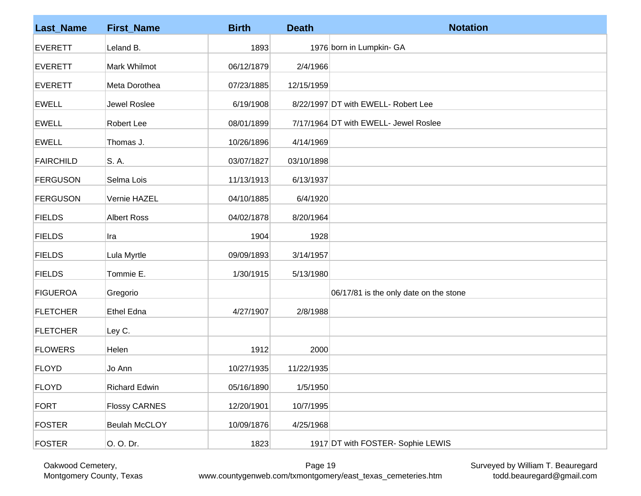| <b>Last_Name</b> | <b>First_Name</b>    | <b>Birth</b> | <b>Death</b> | <b>Notation</b>                        |
|------------------|----------------------|--------------|--------------|----------------------------------------|
| <b>EVERETT</b>   | Leland B.            | 1893         |              | 1976 born in Lumpkin- GA               |
| <b>EVERETT</b>   | Mark Whilmot         | 06/12/1879   | 2/4/1966     |                                        |
| <b>EVERETT</b>   | Meta Dorothea        | 07/23/1885   | 12/15/1959   |                                        |
| <b>EWELL</b>     | Jewel Roslee         | 6/19/1908    |              | 8/22/1997 DT with EWELL- Robert Lee    |
| <b>EWELL</b>     | Robert Lee           | 08/01/1899   |              | 7/17/1964 DT with EWELL- Jewel Roslee  |
| <b>EWELL</b>     | Thomas J.            | 10/26/1896   | 4/14/1969    |                                        |
| <b>FAIRCHILD</b> | S. A.                | 03/07/1827   | 03/10/1898   |                                        |
| <b>FERGUSON</b>  | Selma Lois           | 11/13/1913   | 6/13/1937    |                                        |
| <b>FERGUSON</b>  | Vernie HAZEL         | 04/10/1885   | 6/4/1920     |                                        |
| <b>FIELDS</b>    | <b>Albert Ross</b>   | 04/02/1878   | 8/20/1964    |                                        |
| <b>FIELDS</b>    | Ira                  | 1904         | 1928         |                                        |
| <b>FIELDS</b>    | Lula Myrtle          | 09/09/1893   | 3/14/1957    |                                        |
| <b>FIELDS</b>    | Tommie E.            | 1/30/1915    | 5/13/1980    |                                        |
| <b>FIGUEROA</b>  | Gregorio             |              |              | 06/17/81 is the only date on the stone |
| <b>FLETCHER</b>  | <b>Ethel Edna</b>    | 4/27/1907    | 2/8/1988     |                                        |
| <b>FLETCHER</b>  | Ley C.               |              |              |                                        |
| <b>FLOWERS</b>   | Helen                | 1912         | 2000         |                                        |
| FLOYD            | Jo Ann               | 10/27/1935   | 11/22/1935   |                                        |
| <b>FLOYD</b>     | <b>Richard Edwin</b> | 05/16/1890   | 1/5/1950     |                                        |
| <b>FORT</b>      | <b>Flossy CARNES</b> | 12/20/1901   | 10/7/1995    |                                        |
| <b>FOSTER</b>    | <b>Beulah McCLOY</b> | 10/09/1876   | 4/25/1968    |                                        |
| <b>FOSTER</b>    | 0. 0. Dr.            | 1823         |              | 1917 DT with FOSTER- Sophie LEWIS      |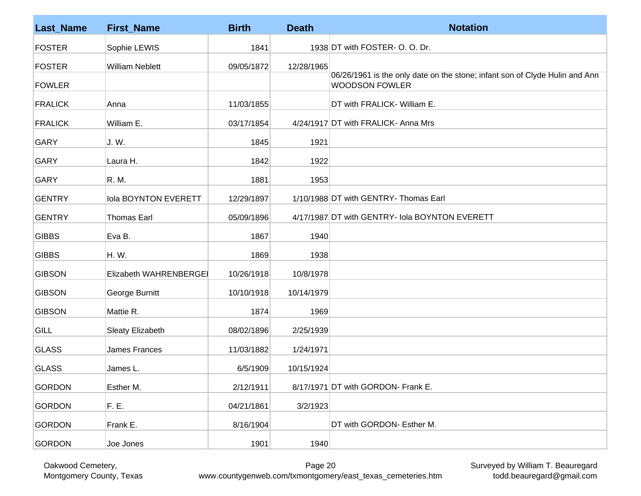| <b>Last Name</b> | <b>First_Name</b>           | <b>Birth</b> | <b>Death</b> | <b>Notation</b>                                                                                      |
|------------------|-----------------------------|--------------|--------------|------------------------------------------------------------------------------------------------------|
| <b>FOSTER</b>    | Sophie LEWIS                | 1841         |              | 1938 DT with FOSTER- O. O. Dr.                                                                       |
| <b>FOSTER</b>    | <b>William Neblett</b>      | 09/05/1872   | 12/28/1965   |                                                                                                      |
| <b>FOWLER</b>    |                             |              |              | 06/26/1961 is the only date on the stone; infant son of Clyde Hulin and Ann<br><b>WOODSON FOWLER</b> |
| <b>FRALICK</b>   | Anna                        | 11/03/1855   |              | DT with FRALICK- William E.                                                                          |
| <b>FRALICK</b>   | William E.                  | 03/17/1854   |              | 4/24/1917 DT with FRALICK- Anna Mrs                                                                  |
| <b>GARY</b>      | J. W.                       | 1845         | 1921         |                                                                                                      |
| <b>GARY</b>      | Laura H.                    | 1842         | 1922         |                                                                                                      |
| <b>GARY</b>      | R. M.                       | 1881         | 1953         |                                                                                                      |
| <b>GENTRY</b>    | <b>Iola BOYNTON EVERETT</b> | 12/29/1897   |              | 1/10/1988 DT with GENTRY- Thomas Earl                                                                |
| <b>GENTRY</b>    | <b>Thomas Earl</b>          | 05/09/1896   |              | 4/17/1987 DT with GENTRY- Iola BOYNTON EVERETT                                                       |
| <b>GIBBS</b>     | Eva B.                      | 1867         | 1940         |                                                                                                      |
| <b>GIBBS</b>     | H. W.                       | 1869         | 1938         |                                                                                                      |
| <b>GIBSON</b>    | Elizabeth WAHRENBERGEI      | 10/26/1918   | 10/8/1978    |                                                                                                      |
| <b>GIBSON</b>    | George Burnitt              | 10/10/1918   | 10/14/1979   |                                                                                                      |
| <b>GIBSON</b>    | Mattie R.                   | 1874         | 1969         |                                                                                                      |
| <b>GILL</b>      | <b>Sleaty Elizabeth</b>     | 08/02/1896   | 2/25/1939    |                                                                                                      |
| <b>GLASS</b>     | James Frances               | 11/03/1882   | 1/24/1971    |                                                                                                      |
| <b>GLASS</b>     | James L.                    | 6/5/1909     | 10/15/1924   |                                                                                                      |
| <b>GORDON</b>    | Esther M.                   | 2/12/1911    |              | 8/17/1971 DT with GORDON- Frank E.                                                                   |
| <b>GORDON</b>    | F. E.                       | 04/21/1861   | 3/2/1923     |                                                                                                      |
| <b>GORDON</b>    | Frank E.                    | 8/16/1904    |              | DT with GORDON- Esther M.                                                                            |
| <b>GORDON</b>    | Joe Jones                   | 1901         | 1940         |                                                                                                      |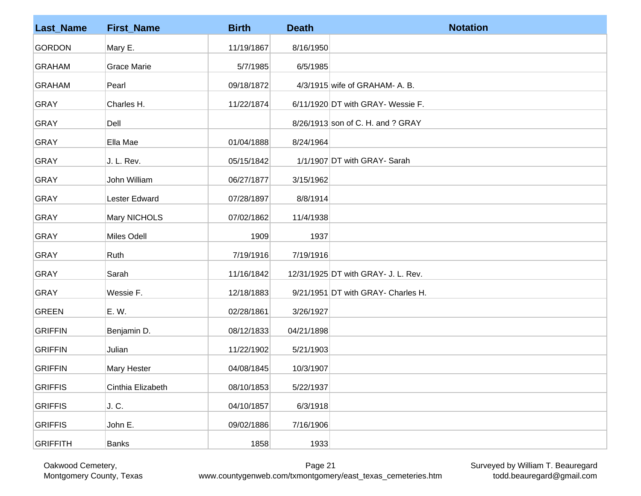| <b>Last_Name</b> | <b>First_Name</b>  | <b>Birth</b> | <b>Death</b> | <b>Notation</b>                     |
|------------------|--------------------|--------------|--------------|-------------------------------------|
| <b>GORDON</b>    | Mary E.            | 11/19/1867   | 8/16/1950    |                                     |
| <b>GRAHAM</b>    | <b>Grace Marie</b> | 5/7/1985     | 6/5/1985     |                                     |
| <b>GRAHAM</b>    | Pearl              | 09/18/1872   |              | 4/3/1915 wife of GRAHAM- A. B.      |
| <b>GRAY</b>      | Charles H.         | 11/22/1874   |              | 6/11/1920 DT with GRAY- Wessie F.   |
| <b>GRAY</b>      | Dell               |              |              | 8/26/1913 son of C. H. and ? GRAY   |
| <b>GRAY</b>      | Ella Mae           | 01/04/1888   | 8/24/1964    |                                     |
| <b>GRAY</b>      | J. L. Rev.         | 05/15/1842   |              | 1/1/1907 DT with GRAY- Sarah        |
| <b>GRAY</b>      | John William       | 06/27/1877   | 3/15/1962    |                                     |
| <b>GRAY</b>      | Lester Edward      | 07/28/1897   | 8/8/1914     |                                     |
| <b>GRAY</b>      | Mary NICHOLS       | 07/02/1862   | 11/4/1938    |                                     |
| <b>GRAY</b>      | Miles Odell        | 1909         | 1937         |                                     |
| <b>GRAY</b>      | Ruth               | 7/19/1916    | 7/19/1916    |                                     |
| <b>GRAY</b>      | Sarah              | 11/16/1842   |              | 12/31/1925 DT with GRAY- J. L. Rev. |
| <b>GRAY</b>      | Wessie F.          | 12/18/1883   |              | 9/21/1951 DT with GRAY- Charles H.  |
| <b>GREEN</b>     | E. W.              | 02/28/1861   | 3/26/1927    |                                     |
| <b>GRIFFIN</b>   | Benjamin D.        | 08/12/1833   | 04/21/1898   |                                     |
| <b>GRIFFIN</b>   | Julian             | 11/22/1902   | 5/21/1903    |                                     |
| <b>GRIFFIN</b>   | Mary Hester        | 04/08/1845   | 10/3/1907    |                                     |
| <b>GRIFFIS</b>   | Cinthia Elizabeth  | 08/10/1853   | 5/22/1937    |                                     |
| <b>GRIFFIS</b>   | J. C.              | 04/10/1857   | 6/3/1918     |                                     |
| <b>GRIFFIS</b>   | John E.            | 09/02/1886   | 7/16/1906    |                                     |
| <b>GRIFFITH</b>  | <b>Banks</b>       | 1858         | 1933         |                                     |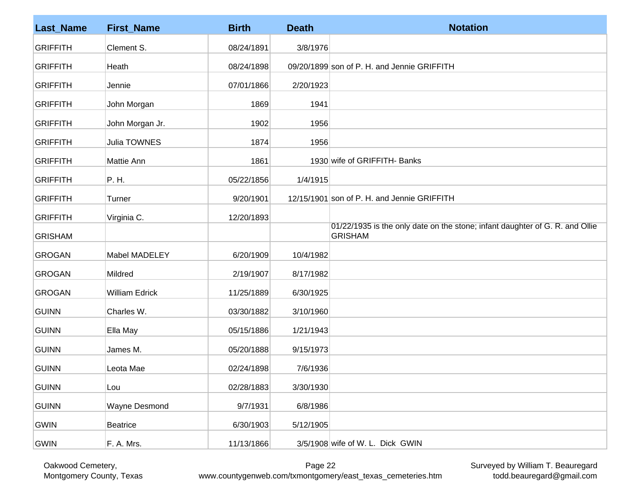| <b>Last_Name</b> | <b>First_Name</b>     | <b>Birth</b> | <b>Death</b> | <b>Notation</b>                                                                                |
|------------------|-----------------------|--------------|--------------|------------------------------------------------------------------------------------------------|
| <b>GRIFFITH</b>  | Clement S.            | 08/24/1891   | 3/8/1976     |                                                                                                |
| <b>GRIFFITH</b>  | Heath                 | 08/24/1898   |              | 09/20/1899 son of P. H. and Jennie GRIFFITH                                                    |
| <b>GRIFFITH</b>  | Jennie                | 07/01/1866   | 2/20/1923    |                                                                                                |
| <b>GRIFFITH</b>  | John Morgan           | 1869         | 1941         |                                                                                                |
| <b>GRIFFITH</b>  | John Morgan Jr.       | 1902         | 1956         |                                                                                                |
| <b>GRIFFITH</b>  | Julia TOWNES          | 1874         | 1956         |                                                                                                |
| <b>GRIFFITH</b>  | Mattie Ann            | 1861         |              | 1930 wife of GRIFFITH- Banks                                                                   |
| <b>GRIFFITH</b>  | P. H.                 | 05/22/1856   | 1/4/1915     |                                                                                                |
| <b>GRIFFITH</b>  | Turner                | 9/20/1901    |              | 12/15/1901 son of P. H. and Jennie GRIFFITH                                                    |
| <b>GRIFFITH</b>  | Virginia C.           | 12/20/1893   |              |                                                                                                |
| <b>GRISHAM</b>   |                       |              |              | 01/22/1935 is the only date on the stone; infant daughter of G. R. and Ollie<br><b>GRISHAM</b> |
| <b>GROGAN</b>    | Mabel MADELEY         | 6/20/1909    | 10/4/1982    |                                                                                                |
| GROGAN           | Mildred               | 2/19/1907    | 8/17/1982    |                                                                                                |
| <b>GROGAN</b>    | <b>William Edrick</b> | 11/25/1889   | 6/30/1925    |                                                                                                |
| <b>GUINN</b>     | Charles W.            | 03/30/1882   | 3/10/1960    |                                                                                                |
| GUINN            | Ella May              | 05/15/1886   | 1/21/1943    |                                                                                                |
| GUINN            | James M.              | 05/20/1888   | 9/15/1973    |                                                                                                |
| GUINN            | Leota Mae             | 02/24/1898   | 7/6/1936     |                                                                                                |
| <b>GUINN</b>     | Lou                   | 02/28/1883   | 3/30/1930    |                                                                                                |
| GUINN            | Wayne Desmond         | 9/7/1931     | 6/8/1986     |                                                                                                |
| GWIN             | <b>Beatrice</b>       | 6/30/1903    | 5/12/1905    |                                                                                                |
| GWIN             | F. A. Mrs.            | 11/13/1866   |              | 3/5/1908 wife of W. L. Dick GWIN                                                               |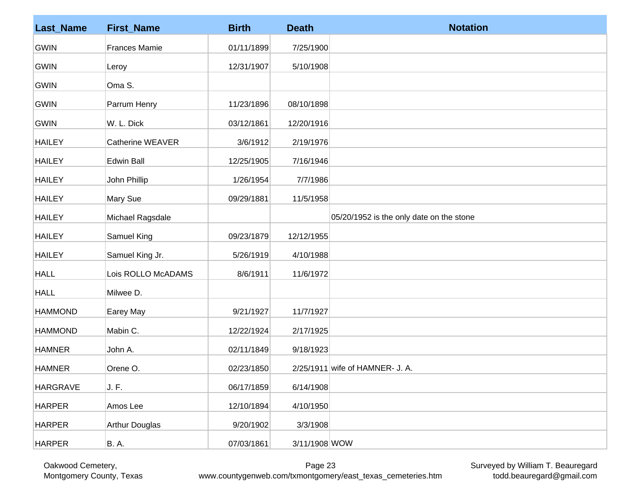| <b>Last_Name</b> | <b>First_Name</b>     | <b>Birth</b> | <b>Death</b>  | <b>Notation</b>                          |
|------------------|-----------------------|--------------|---------------|------------------------------------------|
| <b>GWIN</b>      | <b>Frances Mamie</b>  | 01/11/1899   | 7/25/1900     |                                          |
| <b>GWIN</b>      | Leroy                 | 12/31/1907   | 5/10/1908     |                                          |
| <b>GWIN</b>      | Oma S.                |              |               |                                          |
| <b>GWIN</b>      | Parrum Henry          | 11/23/1896   | 08/10/1898    |                                          |
| <b>GWIN</b>      | W. L. Dick            | 03/12/1861   | 12/20/1916    |                                          |
| <b>HAILEY</b>    | Catherine WEAVER      | 3/6/1912     | 2/19/1976     |                                          |
| <b>HAILEY</b>    | Edwin Ball            | 12/25/1905   | 7/16/1946     |                                          |
| <b>HAILEY</b>    | John Phillip          | 1/26/1954    | 7/7/1986      |                                          |
| <b>HAILEY</b>    | Mary Sue              | 09/29/1881   | 11/5/1958     |                                          |
| <b>HAILEY</b>    | Michael Ragsdale      |              |               | 05/20/1952 is the only date on the stone |
| <b>HAILEY</b>    | Samuel King           | 09/23/1879   | 12/12/1955    |                                          |
| <b>HAILEY</b>    | Samuel King Jr.       | 5/26/1919    | 4/10/1988     |                                          |
| <b>HALL</b>      | Lois ROLLO McADAMS    | 8/6/1911     | 11/6/1972     |                                          |
| <b>HALL</b>      | Milwee D.             |              |               |                                          |
| <b>HAMMOND</b>   | Earey May             | 9/21/1927    | 11/7/1927     |                                          |
| <b>HAMMOND</b>   | Mabin C.              | 12/22/1924   | 2/17/1925     |                                          |
| <b>HAMNER</b>    | John A.               | 02/11/1849   | 9/18/1923     |                                          |
| <b>HAMNER</b>    | Orene O.              | 02/23/1850   |               | 2/25/1911 wife of HAMNER- J. A.          |
| HARGRAVE         | J. F.                 | 06/17/1859   | 6/14/1908     |                                          |
| <b>HARPER</b>    | Amos Lee              | 12/10/1894   | 4/10/1950     |                                          |
| <b>HARPER</b>    | <b>Arthur Douglas</b> | 9/20/1902    | 3/3/1908      |                                          |
| <b>HARPER</b>    | <b>B.A.</b>           | 07/03/1861   | 3/11/1908 WOW |                                          |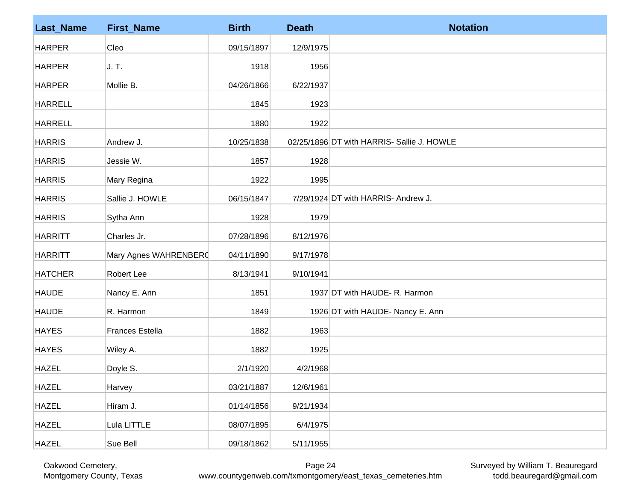| <b>Last_Name</b> | <b>First_Name</b>      | <b>Birth</b> | <b>Death</b> | <b>Notation</b>                            |
|------------------|------------------------|--------------|--------------|--------------------------------------------|
| <b>HARPER</b>    | Cleo                   | 09/15/1897   | 12/9/1975    |                                            |
| <b>HARPER</b>    | J. T.                  | 1918         | 1956         |                                            |
| <b>HARPER</b>    | Mollie B.              | 04/26/1866   | 6/22/1937    |                                            |
| <b>HARRELL</b>   |                        | 1845         | 1923         |                                            |
| <b>HARRELL</b>   |                        | 1880         | 1922         |                                            |
| <b>HARRIS</b>    | Andrew J.              | 10/25/1838   |              | 02/25/1896 DT with HARRIS- Sallie J. HOWLE |
| <b>HARRIS</b>    | Jessie W.              | 1857         | 1928         |                                            |
| <b>HARRIS</b>    | Mary Regina            | 1922         | 1995         |                                            |
| <b>HARRIS</b>    | Sallie J. HOWLE        | 06/15/1847   |              | 7/29/1924 DT with HARRIS- Andrew J.        |
| <b>HARRIS</b>    | Sytha Ann              | 1928         | 1979         |                                            |
| <b>HARRITT</b>   | Charles Jr.            | 07/28/1896   | 8/12/1976    |                                            |
| <b>HARRITT</b>   | Mary Agnes WAHRENBER(  | 04/11/1890   | 9/17/1978    |                                            |
| <b>HATCHER</b>   | Robert Lee             | 8/13/1941    | 9/10/1941    |                                            |
| <b>HAUDE</b>     | Nancy E. Ann           | 1851         |              | 1937 DT with HAUDE- R. Harmon              |
| <b>HAUDE</b>     | R. Harmon              | 1849         |              | 1926 DT with HAUDE- Nancy E. Ann           |
| <b>HAYES</b>     | <b>Frances Estella</b> | 1882         | 1963         |                                            |
| <b>HAYES</b>     | Wiley A.               | 1882         | 1925         |                                            |
| <b>HAZEL</b>     | Doyle S.               | 2/1/1920     | 4/2/1968     |                                            |
| <b>HAZEL</b>     | Harvey                 | 03/21/1887   | 12/6/1961    |                                            |
| <b>HAZEL</b>     | Hiram J.               | 01/14/1856   | 9/21/1934    |                                            |
| <b>HAZEL</b>     | Lula LITTLE            | 08/07/1895   | 6/4/1975     |                                            |
| <b>HAZEL</b>     | Sue Bell               | 09/18/1862   | 5/11/1955    |                                            |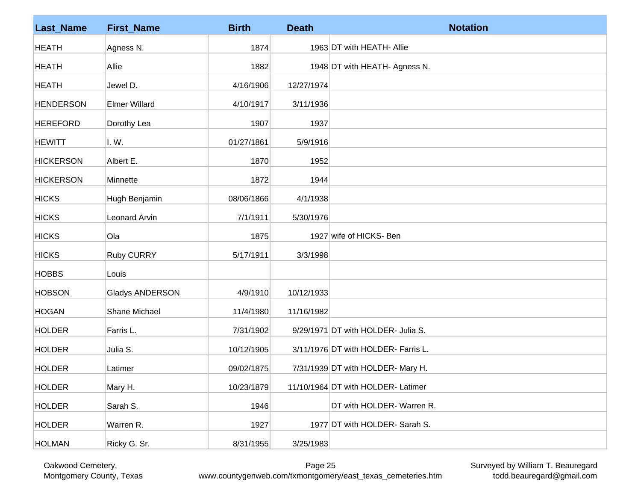| <b>Last_Name</b> | <b>First_Name</b>      | <b>Birth</b> | <b>Death</b> | <b>Notation</b>                     |
|------------------|------------------------|--------------|--------------|-------------------------------------|
| <b>HEATH</b>     | Agness N.              | 1874         |              | 1963 DT with HEATH- Allie           |
| <b>HEATH</b>     | Allie                  | 1882         |              | 1948 DT with HEATH- Agness N.       |
| <b>HEATH</b>     | Jewel D.               | 4/16/1906    | 12/27/1974   |                                     |
| <b>HENDERSON</b> | <b>Elmer Willard</b>   | 4/10/1917    | 3/11/1936    |                                     |
| <b>HEREFORD</b>  | Dorothy Lea            | 1907         | 1937         |                                     |
| <b>HEWITT</b>    | I. W.                  | 01/27/1861   | 5/9/1916     |                                     |
| <b>HICKERSON</b> | Albert E.              | 1870         | 1952         |                                     |
| <b>HICKERSON</b> | Minnette               | 1872         | 1944         |                                     |
| <b>HICKS</b>     | Hugh Benjamin          | 08/06/1866   | 4/1/1938     |                                     |
| <b>HICKS</b>     | Leonard Arvin          | 7/1/1911     | 5/30/1976    |                                     |
| <b>HICKS</b>     | Ola                    | 1875         |              | 1927 wife of HICKS- Ben             |
| <b>HICKS</b>     | <b>Ruby CURRY</b>      | 5/17/1911    | 3/3/1998     |                                     |
| <b>HOBBS</b>     | Louis                  |              |              |                                     |
| <b>HOBSON</b>    | <b>Gladys ANDERSON</b> | 4/9/1910     | 10/12/1933   |                                     |
| <b>HOGAN</b>     | Shane Michael          | 11/4/1980    | 11/16/1982   |                                     |
| <b>HOLDER</b>    | Farris L.              | 7/31/1902    |              | 9/29/1971 DT with HOLDER- Julia S.  |
| <b>HOLDER</b>    | Julia S.               | 10/12/1905   |              | 3/11/1976 DT with HOLDER- Farris L. |
| <b>HOLDER</b>    | Latimer                | 09/02/1875   |              | 7/31/1939 DT with HOLDER- Mary H.   |
| <b>HOLDER</b>    | Mary H.                | 10/23/1879   |              | 11/10/1964 DT with HOLDER- Latimer  |
| <b>HOLDER</b>    | Sarah S.               | 1946         |              | DT with HOLDER- Warren R.           |
| <b>HOLDER</b>    | Warren R.              | 1927         |              | 1977 DT with HOLDER- Sarah S.       |
| <b>HOLMAN</b>    | Ricky G. Sr.           | 8/31/1955    | 3/25/1983    |                                     |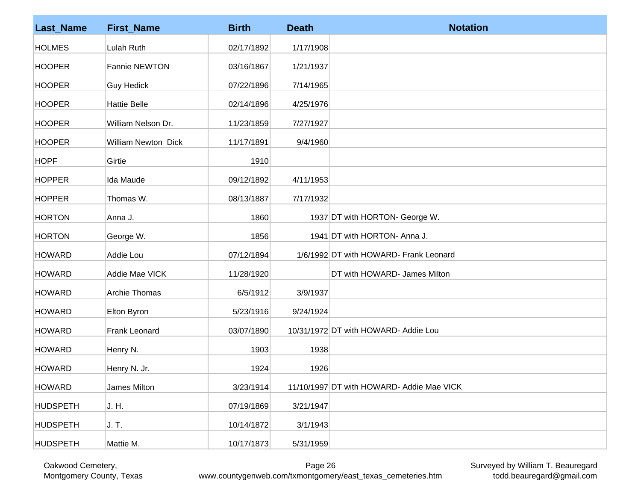| <b>Last_Name</b> | <b>First_Name</b>          | <b>Birth</b> | <b>Death</b> | <b>Notation</b>                           |
|------------------|----------------------------|--------------|--------------|-------------------------------------------|
| <b>HOLMES</b>    | Lulah Ruth                 | 02/17/1892   | 1/17/1908    |                                           |
| <b>HOOPER</b>    | Fannie NEWTON              | 03/16/1867   | 1/21/1937    |                                           |
| <b>HOOPER</b>    | <b>Guy Hedick</b>          | 07/22/1896   | 7/14/1965    |                                           |
| <b>HOOPER</b>    | <b>Hattie Belle</b>        | 02/14/1896   | 4/25/1976    |                                           |
| <b>HOOPER</b>    | William Nelson Dr.         | 11/23/1859   | 7/27/1927    |                                           |
| <b>HOOPER</b>    | <b>William Newton Dick</b> | 11/17/1891   | 9/4/1960     |                                           |
| <b>HOPF</b>      | Girtie                     | 1910         |              |                                           |
| <b>HOPPER</b>    | Ida Maude                  | 09/12/1892   | 4/11/1953    |                                           |
| <b>HOPPER</b>    | Thomas W.                  | 08/13/1887   | 7/17/1932    |                                           |
| <b>HORTON</b>    | Anna J.                    | 1860         |              | 1937 DT with HORTON- George W.            |
| <b>HORTON</b>    | George W.                  | 1856         |              | 1941 DT with HORTON- Anna J.              |
| <b>HOWARD</b>    | Addie Lou                  | 07/12/1894   |              | 1/6/1992 DT with HOWARD- Frank Leonard    |
| <b>HOWARD</b>    | Addie Mae VICK             | 11/28/1920   |              | DT with HOWARD- James Milton              |
| <b>HOWARD</b>    | Archie Thomas              | 6/5/1912     | 3/9/1937     |                                           |
| <b>HOWARD</b>    | Elton Byron                | 5/23/1916    | 9/24/1924    |                                           |
| <b>HOWARD</b>    | Frank Leonard              | 03/07/1890   |              | 10/31/1972 DT with HOWARD- Addie Lou      |
| <b>HOWARD</b>    | Henry N.                   | 1903         | 1938         |                                           |
| <b>HOWARD</b>    | Henry N. Jr.               | 1924         | 1926         |                                           |
| <b>HOWARD</b>    | James Milton               | 3/23/1914    |              | 11/10/1997 DT with HOWARD- Addie Mae VICK |
| <b>HUDSPETH</b>  | J. H.                      | 07/19/1869   | 3/21/1947    |                                           |
| <b>HUDSPETH</b>  | J. T.                      | 10/14/1872   | 3/1/1943     |                                           |
| <b>HUDSPETH</b>  | Mattie M.                  | 10/17/1873   | 5/31/1959    |                                           |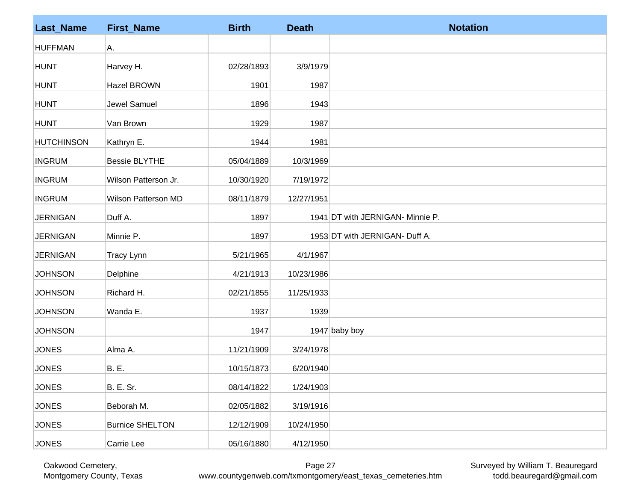| <b>Last_Name</b>  | <b>First_Name</b>          | <b>Birth</b> | <b>Death</b> | <b>Notation</b>                  |
|-------------------|----------------------------|--------------|--------------|----------------------------------|
| <b>HUFFMAN</b>    | Α.                         |              |              |                                  |
| <b>HUNT</b>       | Harvey H.                  | 02/28/1893   | 3/9/1979     |                                  |
| HUNT              | <b>Hazel BROWN</b>         | 1901         | 1987         |                                  |
| <b>HUNT</b>       | Jewel Samuel               | 1896         | 1943         |                                  |
| <b>HUNT</b>       | Van Brown                  | 1929         | 1987         |                                  |
| <b>HUTCHINSON</b> | Kathryn E.                 | 1944         | 1981         |                                  |
| <b>INGRUM</b>     | <b>Bessie BLYTHE</b>       | 05/04/1889   | 10/3/1969    |                                  |
| <b>INGRUM</b>     | Wilson Patterson Jr.       | 10/30/1920   | 7/19/1972    |                                  |
| <b>INGRUM</b>     | <b>Wilson Patterson MD</b> | 08/11/1879   | 12/27/1951   |                                  |
| <b>JERNIGAN</b>   | Duff A.                    | 1897         |              | 1941 DT with JERNIGAN- Minnie P. |
| <b>JERNIGAN</b>   | Minnie P.                  | 1897         |              | 1953 DT with JERNIGAN- Duff A.   |
| <b>JERNIGAN</b>   | Tracy Lynn                 | 5/21/1965    | 4/1/1967     |                                  |
| <b>JOHNSON</b>    | Delphine                   | 4/21/1913    | 10/23/1986   |                                  |
| <b>JOHNSON</b>    | Richard H.                 | 02/21/1855   | 11/25/1933   |                                  |
| <b>JOHNSON</b>    | Wanda E.                   | 1937         | 1939         |                                  |
| <b>JOHNSON</b>    |                            | 1947         |              | 1947 baby boy                    |
| <b>JONES</b>      | Alma A.                    | 11/21/1909   | 3/24/1978    |                                  |
| <b>JONES</b>      | <b>B.</b> E.               | 10/15/1873   | 6/20/1940    |                                  |
| <b>JONES</b>      | <b>B. E. Sr.</b>           | 08/14/1822   | 1/24/1903    |                                  |
| <b>JONES</b>      | Beborah M.                 | 02/05/1882   | 3/19/1916    |                                  |
| <b>JONES</b>      | <b>Burnice SHELTON</b>     | 12/12/1909   | 10/24/1950   |                                  |
| <b>JONES</b>      | Carrie Lee                 | 05/16/1880   | 4/12/1950    |                                  |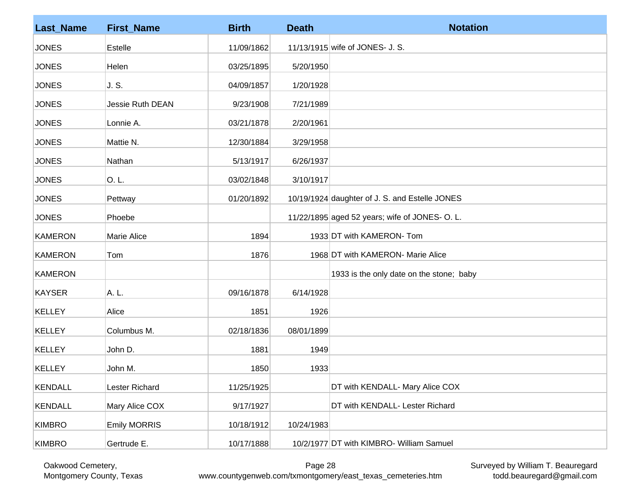| <b>Last_Name</b> | <b>First_Name</b>       | <b>Birth</b> | <b>Death</b> | <b>Notation</b>                                |
|------------------|-------------------------|--------------|--------------|------------------------------------------------|
| <b>JONES</b>     | Estelle                 | 11/09/1862   |              | 11/13/1915 wife of JONES- J. S.                |
| <b>JONES</b>     | Helen                   | 03/25/1895   | 5/20/1950    |                                                |
| <b>JONES</b>     | J. S.                   | 04/09/1857   | 1/20/1928    |                                                |
| <b>JONES</b>     | <b>Jessie Ruth DEAN</b> | 9/23/1908    | 7/21/1989    |                                                |
| <b>JONES</b>     | Lonnie A.               | 03/21/1878   | 2/20/1961    |                                                |
| <b>JONES</b>     | Mattie N.               | 12/30/1884   | 3/29/1958    |                                                |
| <b>JONES</b>     | Nathan                  | 5/13/1917    | 6/26/1937    |                                                |
| <b>JONES</b>     | O. L.                   | 03/02/1848   | 3/10/1917    |                                                |
| <b>JONES</b>     | Pettway                 | 01/20/1892   |              | 10/19/1924 daughter of J. S. and Estelle JONES |
| <b>JONES</b>     | Phoebe                  |              |              | 11/22/1895 aged 52 years; wife of JONES- O. L. |
| <b>KAMERON</b>   | Marie Alice             | 1894         |              | 1933 DT with KAMERON- Tom                      |
| <b>KAMERON</b>   | Tom                     | 1876         |              | 1968 DT with KAMERON- Marie Alice              |
| <b>KAMERON</b>   |                         |              |              | 1933 is the only date on the stone; baby       |
| <b>KAYSER</b>    | A. L.                   | 09/16/1878   | 6/14/1928    |                                                |
| <b>KELLEY</b>    | Alice                   | 1851         | 1926         |                                                |
| <b>KELLEY</b>    | Columbus M.             | 02/18/1836   | 08/01/1899   |                                                |
| <b>KELLEY</b>    | John D.                 | 1881         | 1949         |                                                |
| <b>KELLEY</b>    | John M.                 | 1850         | 1933         |                                                |
| <b>KENDALL</b>   | Lester Richard          | 11/25/1925   |              | DT with KENDALL- Mary Alice COX                |
| <b>KENDALL</b>   | Mary Alice COX          | 9/17/1927    |              | DT with KENDALL- Lester Richard                |
| <b>KIMBRO</b>    | <b>Emily MORRIS</b>     | 10/18/1912   | 10/24/1983   |                                                |
| <b>KIMBRO</b>    | Gertrude E.             | 10/17/1888   |              | 10/2/1977 DT with KIMBRO- William Samuel       |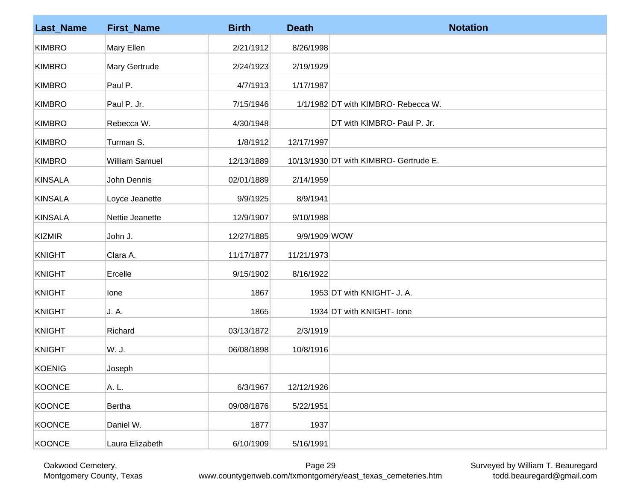| <b>Last_Name</b> | <b>First_Name</b> | <b>Birth</b> | <b>Death</b> | <b>Notation</b>                        |
|------------------|-------------------|--------------|--------------|----------------------------------------|
| <b>KIMBRO</b>    | Mary Ellen        | 2/21/1912    | 8/26/1998    |                                        |
| <b>KIMBRO</b>    | Mary Gertrude     | 2/24/1923    | 2/19/1929    |                                        |
| <b>KIMBRO</b>    | Paul P.           | 4/7/1913     | 1/17/1987    |                                        |
| <b>KIMBRO</b>    | Paul P. Jr.       | 7/15/1946    |              | 1/1/1982 DT with KIMBRO- Rebecca W.    |
| <b>KIMBRO</b>    | Rebecca W.        | 4/30/1948    |              | DT with KIMBRO- Paul P. Jr.            |
| <b>KIMBRO</b>    | Turman S.         | 1/8/1912     | 12/17/1997   |                                        |
| <b>KIMBRO</b>    | William Samuel    | 12/13/1889   |              | 10/13/1930 DT with KIMBRO- Gertrude E. |
| <b>KINSALA</b>   | John Dennis       | 02/01/1889   | 2/14/1959    |                                        |
| <b>KINSALA</b>   | Loyce Jeanette    | 9/9/1925     | 8/9/1941     |                                        |
| <b>KINSALA</b>   | Nettie Jeanette   | 12/9/1907    | 9/10/1988    |                                        |
| <b>KIZMIR</b>    | John J.           | 12/27/1885   | 9/9/1909 WOW |                                        |
| <b>KNIGHT</b>    | Clara A.          | 11/17/1877   | 11/21/1973   |                                        |
| <b>KNIGHT</b>    | Ercelle           | 9/15/1902    | 8/16/1922    |                                        |
| <b>KNIGHT</b>    | lone              | 1867         |              | 1953 DT with KNIGHT- J. A.             |
| <b>KNIGHT</b>    | J. A.             | 1865         |              | 1934 DT with KNIGHT- Ione              |
| <b>KNIGHT</b>    | Richard           | 03/13/1872   | 2/3/1919     |                                        |
| <b>KNIGHT</b>    | W. J.             | 06/08/1898   | 10/8/1916    |                                        |
| <b>KOENIG</b>    | Joseph            |              |              |                                        |
| <b>KOONCE</b>    | A. L.             | 6/3/1967     | 12/12/1926   |                                        |
| <b>KOONCE</b>    | Bertha            | 09/08/1876   | 5/22/1951    |                                        |
| <b>KOONCE</b>    | Daniel W.         | 1877         | 1937         |                                        |
| <b>KOONCE</b>    | Laura Elizabeth   | 6/10/1909    | 5/16/1991    |                                        |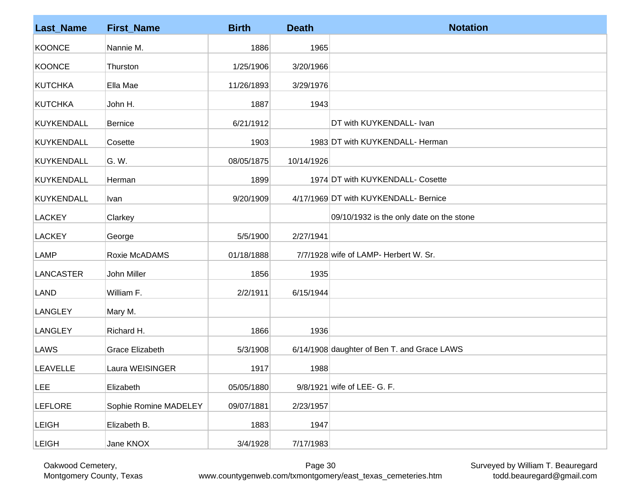| <b>Last_Name</b>  | <b>First_Name</b>      | <b>Birth</b> | <b>Death</b> | <b>Notation</b>                             |
|-------------------|------------------------|--------------|--------------|---------------------------------------------|
| <b>KOONCE</b>     | Nannie M.              | 1886         | 1965         |                                             |
| <b>KOONCE</b>     | Thurston               | 1/25/1906    | 3/20/1966    |                                             |
| <b>KUTCHKA</b>    | Ella Mae               | 11/26/1893   | 3/29/1976    |                                             |
| <b>KUTCHKA</b>    | John H.                | 1887         | 1943         |                                             |
| <b>KUYKENDALL</b> | Bernice                | 6/21/1912    |              | DT with KUYKENDALL- Ivan                    |
| <b>KUYKENDALL</b> | Cosette                | 1903         |              | 1983 DT with KUYKENDALL- Herman             |
| <b>KUYKENDALL</b> | G. W.                  | 08/05/1875   | 10/14/1926   |                                             |
| <b>KUYKENDALL</b> | Herman                 | 1899         |              | 1974 DT with KUYKENDALL- Cosette            |
| <b>KUYKENDALL</b> | <u>Ivan</u>            | 9/20/1909    |              | 4/17/1969 DT with KUYKENDALL- Bernice       |
| <b>LACKEY</b>     | Clarkey                |              |              | 09/10/1932 is the only date on the stone    |
| <b>LACKEY</b>     | George                 | 5/5/1900     | 2/27/1941    |                                             |
| <b>LAMP</b>       | Roxie McADAMS          | 01/18/1888   |              | 7/7/1928 wife of LAMP- Herbert W. Sr.       |
| <b>LANCASTER</b>  | John Miller            | 1856         | 1935         |                                             |
| <b>LAND</b>       | William F.             | 2/2/1911     | 6/15/1944    |                                             |
| <b>LANGLEY</b>    | Mary M.                |              |              |                                             |
| <b>LANGLEY</b>    | Richard H.             | 1866         | 1936         |                                             |
| LAWS              | <b>Grace Elizabeth</b> | 5/3/1908     |              | 6/14/1908 daughter of Ben T. and Grace LAWS |
| <b>LEAVELLE</b>   | Laura WEISINGER        | 1917         | 1988         |                                             |
| <b>LEE</b>        | Elizabeth              | 05/05/1880   |              | 9/8/1921 wife of LEE- G. F.                 |
| <b>LEFLORE</b>    | Sophie Romine MADELEY  | 09/07/1881   | 2/23/1957    |                                             |
| <b>LEIGH</b>      | Elizabeth B.           | 1883         | 1947         |                                             |
| <b>LEIGH</b>      | Jane KNOX              | 3/4/1928     | 7/17/1983    |                                             |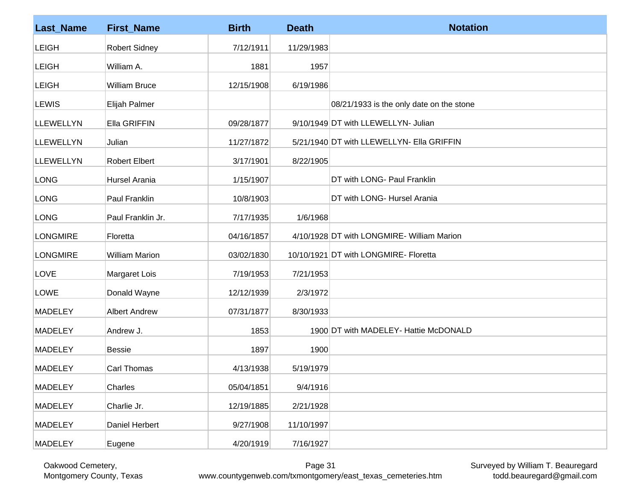| <b>Last_Name</b> | <b>First_Name</b>     | <b>Birth</b> | <b>Death</b> | <b>Notation</b>                            |
|------------------|-----------------------|--------------|--------------|--------------------------------------------|
| <b>LEIGH</b>     | <b>Robert Sidney</b>  | 7/12/1911    | 11/29/1983   |                                            |
| <b>LEIGH</b>     | William A.            | 1881         | 1957         |                                            |
| <b>LEIGH</b>     | <b>William Bruce</b>  | 12/15/1908   | 6/19/1986    |                                            |
| <b>LEWIS</b>     | Elijah Palmer         |              |              | 08/21/1933 is the only date on the stone   |
| <b>LLEWELLYN</b> | Ella GRIFFIN          | 09/28/1877   |              | 9/10/1949 DT with LLEWELLYN- Julian        |
| <b>LLEWELLYN</b> | Julian                | 11/27/1872   |              | 5/21/1940 DT with LLEWELLYN- Ella GRIFFIN  |
| <b>LLEWELLYN</b> | <b>Robert Elbert</b>  | 3/17/1901    | 8/22/1905    |                                            |
| <b>LONG</b>      | Hursel Arania         | 1/15/1907    |              | DT with LONG- Paul Franklin                |
| <b>LONG</b>      | Paul Franklin         | 10/8/1903    |              | DT with LONG- Hursel Arania                |
| <b>LONG</b>      | Paul Franklin Jr.     | 7/17/1935    | 1/6/1968     |                                            |
| <b>LONGMIRE</b>  | Floretta              | 04/16/1857   |              | 4/10/1928 DT with LONGMIRE- William Marion |
| <b>LONGMIRE</b>  | <b>William Marion</b> | 03/02/1830   |              | 10/10/1921 DT with LONGMIRE- Floretta      |
| LOVE             | Margaret Lois         | 7/19/1953    | 7/21/1953    |                                            |
| LOWE             | Donald Wayne          | 12/12/1939   | 2/3/1972     |                                            |
| <b>MADELEY</b>   | <b>Albert Andrew</b>  | 07/31/1877   | 8/30/1933    |                                            |
| <b>MADELEY</b>   | Andrew J.             | 1853         |              | 1900 DT with MADELEY- Hattie McDONALD      |
| <b>MADELEY</b>   | <b>Bessie</b>         | 1897         | 1900         |                                            |
| <b>MADELEY</b>   | Carl Thomas           | 4/13/1938    | 5/19/1979    |                                            |
| <b>MADELEY</b>   | Charles               | 05/04/1851   | 9/4/1916     |                                            |
| <b>MADELEY</b>   | Charlie Jr.           | 12/19/1885   | 2/21/1928    |                                            |
| <b>MADELEY</b>   | Daniel Herbert        | 9/27/1908    | 11/10/1997   |                                            |
| <b>MADELEY</b>   | Eugene                | 4/20/1919    | 7/16/1927    |                                            |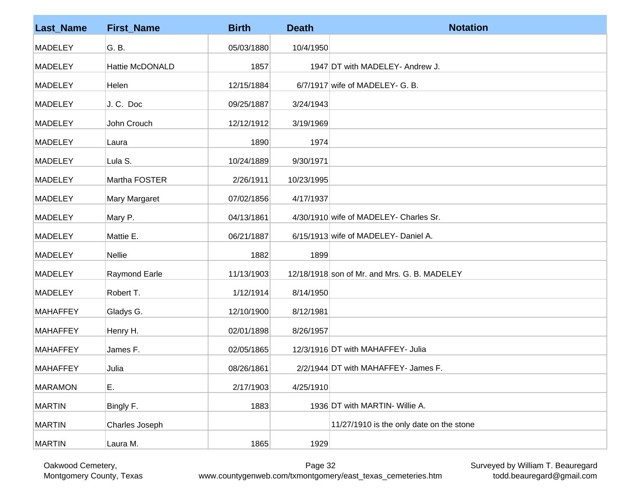| <b>Last_Name</b> | <b>First_Name</b>      | <b>Birth</b> | <b>Death</b> | <b>Notation</b>                              |
|------------------|------------------------|--------------|--------------|----------------------------------------------|
| <b>MADELEY</b>   | G. B.                  | 05/03/1880   | 10/4/1950    |                                              |
| <b>MADELEY</b>   | <b>Hattie McDONALD</b> | 1857         |              | 1947 DT with MADELEY- Andrew J.              |
| <b>MADELEY</b>   | Helen                  | 12/15/1884   |              | $6/7/1917$ wife of MADELEY- G. B.            |
| <b>MADELEY</b>   | J.C. Doc               | 09/25/1887   | 3/24/1943    |                                              |
| <b>MADELEY</b>   | John Crouch            | 12/12/1912   | 3/19/1969    |                                              |
| <b>MADELEY</b>   | Laura                  | 1890         | 1974         |                                              |
| <b>MADELEY</b>   | Lula S.                | 10/24/1889   | 9/30/1971    |                                              |
| <b>MADELEY</b>   | Martha FOSTER          | 2/26/1911    | 10/23/1995   |                                              |
| <b>MADELEY</b>   | Mary Margaret          | 07/02/1856   | 4/17/1937    |                                              |
| <b>MADELEY</b>   | Mary P.                | 04/13/1861   |              | 4/30/1910 wife of MADELEY- Charles Sr.       |
| <b>MADELEY</b>   | Mattie E.              | 06/21/1887   |              | 6/15/1913 wife of MADELEY- Daniel A.         |
| <b>MADELEY</b>   | <b>Nellie</b>          | 1882         | 1899         |                                              |
| <b>MADELEY</b>   | <b>Raymond Earle</b>   | 11/13/1903   |              | 12/18/1918 son of Mr. and Mrs. G. B. MADELEY |
| <b>MADELEY</b>   | Robert T.              | 1/12/1914    | 8/14/1950    |                                              |
| <b>MAHAFFEY</b>  | Gladys G.              | 12/10/1900   | 8/12/1981    |                                              |
| <b>MAHAFFEY</b>  | Henry H.               | 02/01/1898   | 8/26/1957    |                                              |
| <b>MAHAFFEY</b>  | James F.               | 02/05/1865   |              | 12/3/1916 DT with MAHAFFEY- Julia            |
| <b>MAHAFFEY</b>  | Julia                  | 08/26/1861   |              | 2/2/1944 DT with MAHAFFEY- James F.          |
| <b>MARAMON</b>   | E.                     | 2/17/1903    | 4/25/1910    |                                              |
| <b>MARTIN</b>    | Bingly F.              | 1883         |              | 1936 DT with MARTIN- Willie A.               |
| <b>MARTIN</b>    | Charles Joseph         |              |              | 11/27/1910 is the only date on the stone     |
| <b>MARTIN</b>    | Laura M.               | 1865         | 1929         |                                              |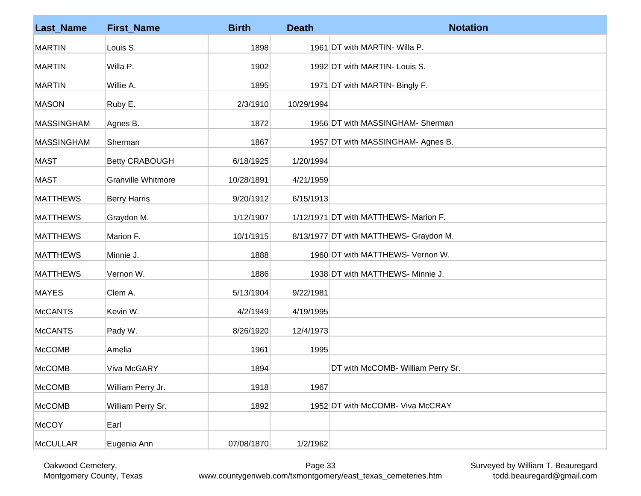| <b>Last_Name</b>  | <b>First_Name</b>     | <b>Birth</b> | <b>Death</b> | <b>Notation</b>                        |
|-------------------|-----------------------|--------------|--------------|----------------------------------------|
| <b>MARTIN</b>     | Louis S.              | 1898         |              | 1961 DT with MARTIN- Willa P.          |
| <b>MARTIN</b>     | Willa P.              | 1902         |              | 1992 DT with MARTIN- Louis S.          |
| <b>MARTIN</b>     | Willie A.             | 1895         |              | 1971 DT with MARTIN- Bingly F.         |
| <b>MASON</b>      | Ruby E.               | 2/3/1910     | 10/29/1994   |                                        |
| <b>MASSINGHAM</b> | Agnes B.              | 1872         |              | 1956 DT with MASSINGHAM- Sherman       |
| <b>MASSINGHAM</b> | Sherman               | 1867         |              | 1957 DT with MASSINGHAM- Agnes B.      |
| <b>MAST</b>       | <b>Betty CRABOUGH</b> | 6/18/1925    | 1/20/1994    |                                        |
| <b>MAST</b>       | Granville Whitmore    | 10/28/1891   | 4/21/1959    |                                        |
| <b>MATTHEWS</b>   | <b>Berry Harris</b>   | 9/20/1912    | 6/15/1913    |                                        |
| <b>MATTHEWS</b>   | Graydon M.            | 1/12/1907    |              | 1/12/1971 DT with MATTHEWS- Marion F.  |
| <b>MATTHEWS</b>   | Marion F.             | 10/1/1915    |              | 8/13/1977 DT with MATTHEWS- Graydon M. |
| <b>MATTHEWS</b>   | Minnie J.             | 1888         |              | 1960 DT with MATTHEWS- Vernon W.       |
| <b>MATTHEWS</b>   | Vernon W.             | 1886         |              | 1938 DT with MATTHEWS- Minnie J.       |
| <b>MAYES</b>      | Clem A.               | 5/13/1904    | 9/22/1981    |                                        |
| <b>McCANTS</b>    | Kevin W.              | 4/2/1949     | 4/19/1995    |                                        |
| <b>McCANTS</b>    | Pady W.               | 8/26/1920    | 12/4/1973    |                                        |
| <b>McCOMB</b>     | Amelia                | 1961         | 1995         |                                        |
| <b>McCOMB</b>     | Viva McGARY           | 1894         |              | DT with McCOMB- William Perry Sr.      |
| <b>McCOMB</b>     | William Perry Jr.     | 1918         | 1967         |                                        |
| McCOMB            | William Perry Sr.     | 1892         |              | 1952 DT with McCOMB- Viva McCRAY       |
| McCOY             | Earl                  |              |              |                                        |
| <b>McCULLAR</b>   | Eugenia Ann           | 07/08/1870   | 1/2/1962     |                                        |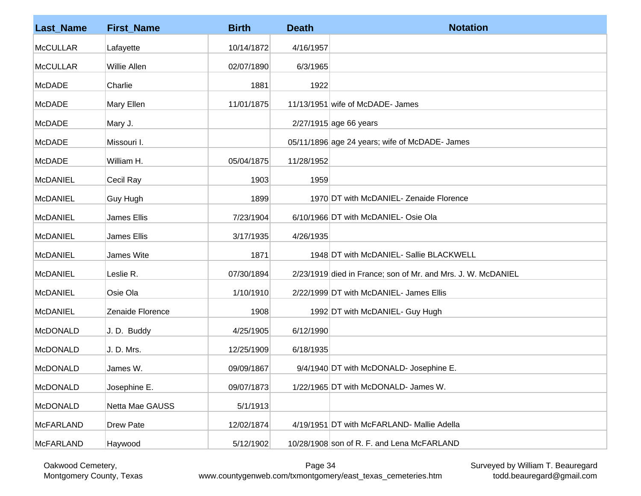| <b>Last_Name</b> | <b>First_Name</b>   | <b>Birth</b> | <b>Death</b> | <b>Notation</b>                                              |
|------------------|---------------------|--------------|--------------|--------------------------------------------------------------|
| <b>McCULLAR</b>  | Lafayette           | 10/14/1872   | 4/16/1957    |                                                              |
| <b>McCULLAR</b>  | <b>Willie Allen</b> | 02/07/1890   | 6/3/1965     |                                                              |
| <b>McDADE</b>    | Charlie             | 1881         | 1922         |                                                              |
| <b>McDADE</b>    | Mary Ellen          | 11/01/1875   |              | 11/13/1951 wife of McDADE- James                             |
| <b>McDADE</b>    | Mary J.             |              |              | 2/27/1915 age 66 years                                       |
| <b>McDADE</b>    | Missouri I.         |              |              | 05/11/1896 age 24 years; wife of McDADE- James               |
| <b>McDADE</b>    | William H.          | 05/04/1875   | 11/28/1952   |                                                              |
| <b>McDANIEL</b>  | Cecil Ray           | 1903         | 1959         |                                                              |
| <b>McDANIEL</b>  | Guy Hugh            | 1899         |              | 1970 DT with McDANIEL- Zenaide Florence                      |
| <b>McDANIEL</b>  | James Ellis         | 7/23/1904    |              | 6/10/1966 DT with McDANIEL- Osie Ola                         |
| <b>McDANIEL</b>  | James Ellis         | 3/17/1935    | 4/26/1935    |                                                              |
| <b>McDANIEL</b>  | James Wite          | 1871         |              | 1948 DT with McDANIEL- Sallie BLACKWELL                      |
| <b>McDANIEL</b>  | Leslie R.           | 07/30/1894   |              | 2/23/1919 died in France; son of Mr. and Mrs. J. W. McDANIEL |
| <b>McDANIEL</b>  | Osie Ola            | 1/10/1910    |              | 2/22/1999 DT with McDANIEL- James Ellis                      |
| <b>McDANIEL</b>  | Zenaide Florence    | 1908         |              | 1992 DT with McDANIEL- Guy Hugh                              |
| <b>McDONALD</b>  | J.D. Buddy          | 4/25/1905    | 6/12/1990    |                                                              |
| <b>McDONALD</b>  | J. D. Mrs.          | 12/25/1909   | 6/18/1935    |                                                              |
| <b>McDONALD</b>  | James W.            | 09/09/1867   |              | 9/4/1940 DT with McDONALD- Josephine E.                      |
| <b>McDONALD</b>  | Josephine E.        | 09/07/1873   |              | 1/22/1965 DT with McDONALD- James W.                         |
| <b>McDONALD</b>  | Netta Mae GAUSS     | 5/1/1913     |              |                                                              |
| <b>McFARLAND</b> | <b>Drew Pate</b>    | 12/02/1874   |              | 4/19/1951 DT with McFARLAND- Mallie Adella                   |
| <b>McFARLAND</b> | Haywood             | 5/12/1902    |              | 10/28/1908 son of R. F. and Lena McFARLAND                   |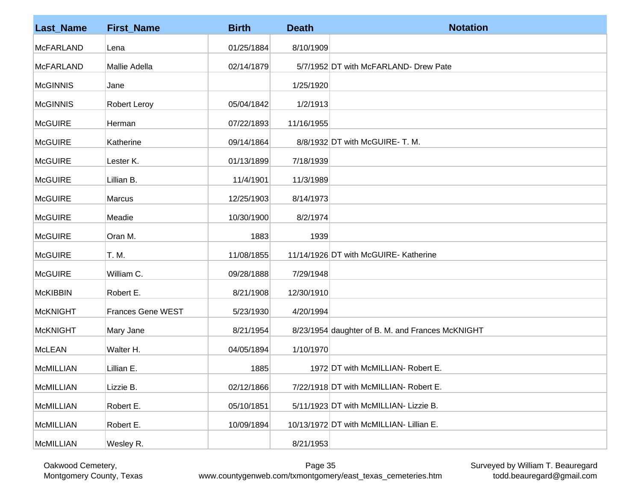| <b>Last_Name</b> | <b>First_Name</b>        | <b>Birth</b> | <b>Death</b> | <b>Notation</b>                                  |
|------------------|--------------------------|--------------|--------------|--------------------------------------------------|
| <b>McFARLAND</b> | Lena                     | 01/25/1884   | 8/10/1909    |                                                  |
| <b>McFARLAND</b> | Mallie Adella            | 02/14/1879   |              | 5/7/1952 DT with McFARLAND- Drew Pate            |
| <b>McGINNIS</b>  | Jane                     |              | 1/25/1920    |                                                  |
| <b>McGINNIS</b>  | <b>Robert Leroy</b>      | 05/04/1842   | 1/2/1913     |                                                  |
| <b>McGUIRE</b>   | Herman                   | 07/22/1893   | 11/16/1955   |                                                  |
| <b>McGUIRE</b>   | Katherine                | 09/14/1864   |              | 8/8/1932 DT with McGUIRE- T. M.                  |
| <b>McGUIRE</b>   | Lester K.                | 01/13/1899   | 7/18/1939    |                                                  |
| <b>McGUIRE</b>   | Lillian B.               | 11/4/1901    | 11/3/1989    |                                                  |
| <b>McGUIRE</b>   | <b>Marcus</b>            | 12/25/1903   | 8/14/1973    |                                                  |
| <b>McGUIRE</b>   | Meadie                   | 10/30/1900   | 8/2/1974     |                                                  |
| <b>McGUIRE</b>   | Oran M.                  | 1883         | 1939         |                                                  |
| <b>McGUIRE</b>   | T. M.                    | 11/08/1855   |              | 11/14/1926 DT with McGUIRE- Katherine            |
| <b>McGUIRE</b>   | William C.               | 09/28/1888   | 7/29/1948    |                                                  |
| <b>McKIBBIN</b>  | Robert E.                | 8/21/1908    | 12/30/1910   |                                                  |
| <b>McKNIGHT</b>  | <b>Frances Gene WEST</b> | 5/23/1930    | 4/20/1994    |                                                  |
| <b>McKNIGHT</b>  | Mary Jane                | 8/21/1954    |              | 8/23/1954 daughter of B. M. and Frances McKNIGHT |
| <b>McLEAN</b>    | Walter H.                | 04/05/1894   | 1/10/1970    |                                                  |
| <b>McMILLIAN</b> | Lillian E.               | 1885         |              | 1972 DT with McMILLIAN- Robert E.                |
| <b>McMILLIAN</b> | Lizzie B.                | 02/12/1866   |              | 7/22/1918 DT with McMILLIAN- Robert E.           |
| <b>McMILLIAN</b> | Robert E.                | 05/10/1851   |              | 5/11/1923 DT with McMILLIAN- Lizzie B.           |
| <b>McMILLIAN</b> | Robert E.                | 10/09/1894   |              | 10/13/1972 DT with McMILLIAN- Lillian E.         |
| <b>McMILLIAN</b> | Wesley R.                |              | 8/21/1953    |                                                  |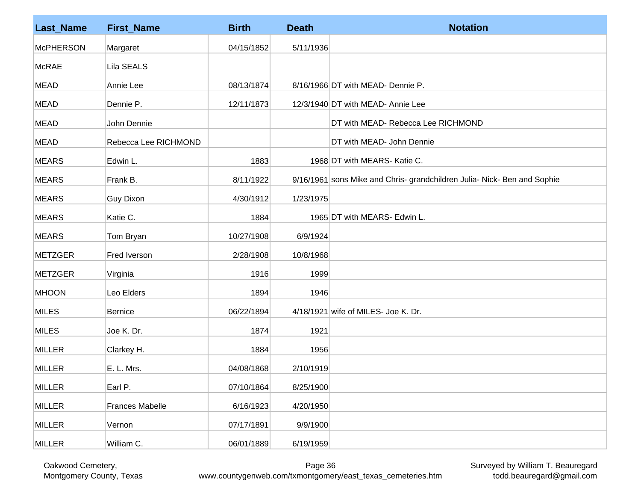| <b>Last_Name</b> | <b>First_Name</b>      | <b>Birth</b> | <b>Death</b> | <b>Notation</b>                                                          |
|------------------|------------------------|--------------|--------------|--------------------------------------------------------------------------|
| <b>McPHERSON</b> | Margaret               | 04/15/1852   | 5/11/1936    |                                                                          |
| <b>McRAE</b>     | Lila SEALS             |              |              |                                                                          |
| <b>MEAD</b>      | Annie Lee              | 08/13/1874   |              | 8/16/1966 DT with MEAD- Dennie P.                                        |
| <b>MEAD</b>      | Dennie P.              | 12/11/1873   |              | 12/3/1940 DT with MEAD- Annie Lee                                        |
| <b>MEAD</b>      | John Dennie            |              |              | DT with MEAD- Rebecca Lee RICHMOND                                       |
| <b>MEAD</b>      | Rebecca Lee RICHMOND   |              |              | DT with MEAD- John Dennie                                                |
| <b>MEARS</b>     | Edwin L.               | 1883         |              | 1968 DT with MEARS- Katie C.                                             |
| <b>MEARS</b>     | Frank B.               | 8/11/1922    |              | 9/16/1961 sons Mike and Chris- grandchildren Julia- Nick- Ben and Sophie |
| <b>MEARS</b>     | <b>Guy Dixon</b>       | 4/30/1912    | 1/23/1975    |                                                                          |
| <b>MEARS</b>     | Katie C.               | 1884         |              | 1965 DT with MEARS- Edwin L.                                             |
| <b>MEARS</b>     | Tom Bryan              | 10/27/1908   | 6/9/1924     |                                                                          |
| <b>METZGER</b>   | Fred Iverson           | 2/28/1908    | 10/8/1968    |                                                                          |
| <b>METZGER</b>   | Virginia               | 1916         | 1999         |                                                                          |
| <b>MHOON</b>     | Leo Elders             | 1894         | 1946         |                                                                          |
| <b>MILES</b>     | <b>Bernice</b>         | 06/22/1894   |              | 4/18/1921 wife of MILES- Joe K. Dr.                                      |
| <b>MILES</b>     | Joe K. Dr.             | 1874         | 1921         |                                                                          |
| <b>MILLER</b>    | Clarkey H.             | 1884         | 1956         |                                                                          |
| <b>MILLER</b>    | E. L. Mrs.             | 04/08/1868   | 2/10/1919    |                                                                          |
| <b>MILLER</b>    | Earl P.                | 07/10/1864   | 8/25/1900    |                                                                          |
| <b>MILLER</b>    | <b>Frances Mabelle</b> | 6/16/1923    | 4/20/1950    |                                                                          |
| <b>MILLER</b>    | Vernon                 | 07/17/1891   | 9/9/1900     |                                                                          |
| <b>MILLER</b>    | William C.             | 06/01/1889   | 6/19/1959    |                                                                          |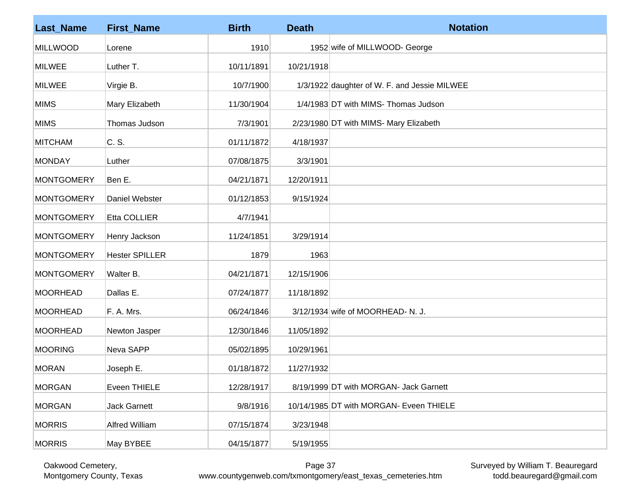| <b>Last_Name</b>  | <b>First_Name</b>     | <b>Birth</b> | <b>Death</b> | <b>Notation</b>                              |
|-------------------|-----------------------|--------------|--------------|----------------------------------------------|
| <b>MILLWOOD</b>   | Lorene                | 1910         |              | 1952 wife of MILLWOOD- George                |
| <b>MILWEE</b>     | Luther T.             | 10/11/1891   | 10/21/1918   |                                              |
| <b>MILWEE</b>     | Virgie B.             | 10/7/1900    |              | 1/3/1922 daughter of W. F. and Jessie MILWEE |
| <b>MIMS</b>       | Mary Elizabeth        | 11/30/1904   |              | 1/4/1983 DT with MIMS- Thomas Judson         |
| <b>MIMS</b>       | Thomas Judson         | 7/3/1901     |              | 2/23/1980 DT with MIMS- Mary Elizabeth       |
| <b>MITCHAM</b>    | C. S.                 | 01/11/1872   | 4/18/1937    |                                              |
| <b>MONDAY</b>     | Luther                | 07/08/1875   | 3/3/1901     |                                              |
| MONTGOMERY        | Ben E.                | 04/21/1871   | 12/20/1911   |                                              |
| <b>MONTGOMERY</b> | Daniel Webster        | 01/12/1853   | 9/15/1924    |                                              |
| <b>MONTGOMERY</b> | Etta COLLIER          | 4/7/1941     |              |                                              |
| <b>MONTGOMERY</b> | Henry Jackson         | 11/24/1851   | 3/29/1914    |                                              |
| <b>MONTGOMERY</b> | <b>Hester SPILLER</b> | 1879         | 1963         |                                              |
| <b>MONTGOMERY</b> | Walter B.             | 04/21/1871   | 12/15/1906   |                                              |
| <b>MOORHEAD</b>   | Dallas E.             | 07/24/1877   | 11/18/1892   |                                              |
| <b>MOORHEAD</b>   | F. A. Mrs.            | 06/24/1846   |              | $3/12/1934$ wife of MOORHEAD-N.J.            |
| MOORHEAD          | Newton Jasper         | 12/30/1846   | 11/05/1892   |                                              |
| <b>MOORING</b>    | Neva SAPP             | 05/02/1895   | 10/29/1961   |                                              |
| <b>MORAN</b>      | Joseph E.             | 01/18/1872   | 11/27/1932   |                                              |
| <b>MORGAN</b>     | Eveen THIELE          | 12/28/1917   |              | 8/19/1999 DT with MORGAN- Jack Garnett       |
| <b>MORGAN</b>     | <b>Jack Garnett</b>   | 9/8/1916     |              | 10/14/1985 DT with MORGAN- Eveen THIELE      |
| <b>MORRIS</b>     | <b>Alfred William</b> | 07/15/1874   | 3/23/1948    |                                              |
| <b>MORRIS</b>     | May BYBEE             | 04/15/1877   | 5/19/1955    |                                              |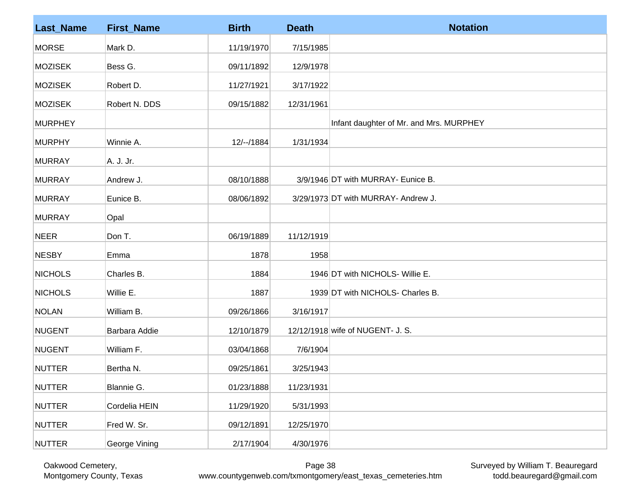| <b>Last_Name</b> | <b>First_Name</b> | <b>Birth</b> | <b>Death</b> | <b>Notation</b>                         |
|------------------|-------------------|--------------|--------------|-----------------------------------------|
| <b>MORSE</b>     | Mark D.           | 11/19/1970   | 7/15/1985    |                                         |
| <b>MOZISEK</b>   | Bess G.           | 09/11/1892   | 12/9/1978    |                                         |
| <b>MOZISEK</b>   | Robert D.         | 11/27/1921   | 3/17/1922    |                                         |
| <b>MOZISEK</b>   | Robert N. DDS     | 09/15/1882   | 12/31/1961   |                                         |
| <b>MURPHEY</b>   |                   |              |              | Infant daughter of Mr. and Mrs. MURPHEY |
| <b>MURPHY</b>    | Winnie A.         | 12/--/1884   | 1/31/1934    |                                         |
| <b>MURRAY</b>    | A. J. Jr.         |              |              |                                         |
| <b>MURRAY</b>    | Andrew J.         | 08/10/1888   |              | 3/9/1946 DT with MURRAY- Eunice B.      |
| <b>MURRAY</b>    | Eunice B.         | 08/06/1892   |              | 3/29/1973 DT with MURRAY- Andrew J.     |
| <b>MURRAY</b>    | Opal              |              |              |                                         |
| <b>NEER</b>      | Don T.            | 06/19/1889   | 11/12/1919   |                                         |
| <b>NESBY</b>     | Emma              | 1878         | 1958         |                                         |
| <b>NICHOLS</b>   | Charles B.        | 1884         |              | 1946 DT with NICHOLS- Willie E.         |
| <b>NICHOLS</b>   | Willie E.         | 1887         |              | 1939 DT with NICHOLS- Charles B.        |
| <b>NOLAN</b>     | William B.        | 09/26/1866   | 3/16/1917    |                                         |
| <b>NUGENT</b>    | Barbara Addie     | 12/10/1879   |              | 12/12/1918 wife of NUGENT- J. S.        |
| NUGENT           | William F.        | 03/04/1868   | 7/6/1904     |                                         |
| NUTTER           | Bertha N.         | 09/25/1861   | 3/25/1943    |                                         |
| <b>NUTTER</b>    | Blannie G.        | 01/23/1888   | 11/23/1931   |                                         |
| <b>NUTTER</b>    | Cordelia HEIN     | 11/29/1920   | 5/31/1993    |                                         |
| <b>NUTTER</b>    | Fred W. Sr.       | 09/12/1891   | 12/25/1970   |                                         |
| NUTTER           | George Vining     | 2/17/1904    | 4/30/1976    |                                         |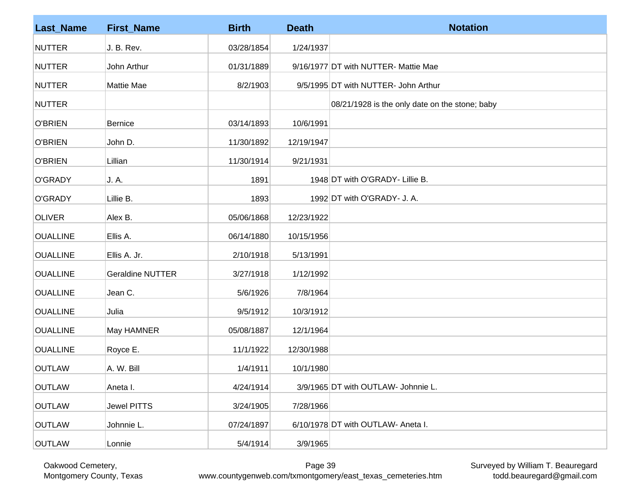| <b>Last_Name</b> | <b>First_Name</b>       | <b>Birth</b> | <b>Death</b> | <b>Notation</b>                                |
|------------------|-------------------------|--------------|--------------|------------------------------------------------|
| <b>NUTTER</b>    | J. B. Rev.              | 03/28/1854   | 1/24/1937    |                                                |
| <b>NUTTER</b>    | John Arthur             | 01/31/1889   |              | 9/16/1977 DT with NUTTER- Mattie Mae           |
| <b>NUTTER</b>    | Mattie Mae              | 8/2/1903     |              | 9/5/1995 DT with NUTTER- John Arthur           |
| <b>NUTTER</b>    |                         |              |              | 08/21/1928 is the only date on the stone; baby |
| <b>O'BRIEN</b>   | Bernice                 | 03/14/1893   | 10/6/1991    |                                                |
| <b>O'BRIEN</b>   | John D.                 | 11/30/1892   | 12/19/1947   |                                                |
| <b>O'BRIEN</b>   | Lillian                 | 11/30/1914   | 9/21/1931    |                                                |
| <b>O'GRADY</b>   | J. A.                   | 1891         |              | 1948 DT with O'GRADY- Lillie B.                |
| O'GRADY          | Lillie B.               | 1893         |              | 1992 DT with O'GRADY- J. A.                    |
| <b>OLIVER</b>    | Alex B.                 | 05/06/1868   | 12/23/1922   |                                                |
| <b>OUALLINE</b>  | Ellis A.                | 06/14/1880   | 10/15/1956   |                                                |
| <b>OUALLINE</b>  | Ellis A. Jr.            | 2/10/1918    | 5/13/1991    |                                                |
| <b>OUALLINE</b>  | <b>Geraldine NUTTER</b> | 3/27/1918    | 1/12/1992    |                                                |
| <b>OUALLINE</b>  | Jean C.                 | 5/6/1926     | 7/8/1964     |                                                |
| <b>OUALLINE</b>  | Julia                   | 9/5/1912     | 10/3/1912    |                                                |
| <b>OUALLINE</b>  | May HAMNER              | 05/08/1887   | 12/1/1964    |                                                |
| <b>OUALLINE</b>  | Royce E.                | 11/1/1922    | 12/30/1988   |                                                |
| <b>OUTLAW</b>    | A. W. Bill              | 1/4/1911     | 10/1/1980    |                                                |
| <b>OUTLAW</b>    | Aneta I.                | 4/24/1914    |              | 3/9/1965 DT with OUTLAW- Johnnie L.            |
| <b>OUTLAW</b>    | <b>Jewel PITTS</b>      | 3/24/1905    | 7/28/1966    |                                                |
| <b>OUTLAW</b>    | Johnnie L.              | 07/24/1897   |              | 6/10/1978 DT with OUTLAW- Aneta I.             |
| <b>OUTLAW</b>    | Lonnie                  | 5/4/1914     | 3/9/1965     |                                                |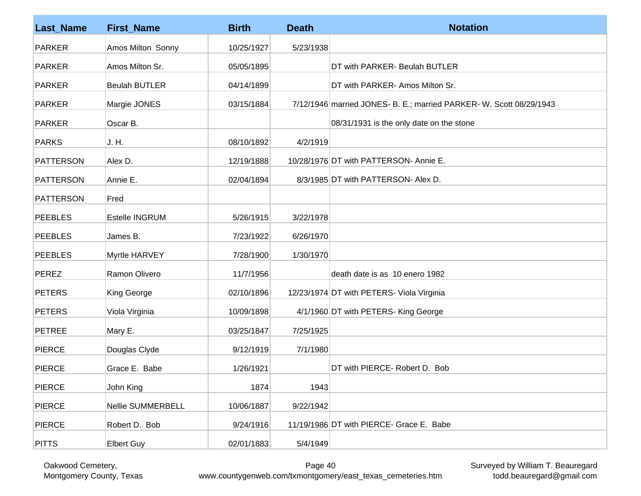| <b>Last_Name</b> | <b>First_Name</b>    | <b>Birth</b> | <b>Death</b> | <b>Notation</b>                                                     |
|------------------|----------------------|--------------|--------------|---------------------------------------------------------------------|
| <b>PARKER</b>    | Amos Milton Sonny    | 10/25/1927   | 5/23/1938    |                                                                     |
| <b>PARKER</b>    | Amos Milton Sr.      | 05/05/1895   |              | DT with PARKER- Beulah BUTLER                                       |
| <b>PARKER</b>    | <b>Beulah BUTLER</b> | 04/14/1899   |              | DT with PARKER- Amos Milton Sr.                                     |
| <b>PARKER</b>    | Margie JONES         | 03/15/1884   |              | 7/12/1946 married JONES- B. E.; married PARKER- W. Scott 08/29/1943 |
| <b>PARKER</b>    | Oscar B.             |              |              | 08/31/1931 is the only date on the stone                            |
| <b>PARKS</b>     | J. H.                | 08/10/1892   | 4/2/1919     |                                                                     |
| <b>PATTERSON</b> | Alex D.              | 12/19/1888   |              | 10/28/1976 DT with PATTERSON- Annie E.                              |
| <b>PATTERSON</b> | Annie E.             | 02/04/1894   |              | 8/3/1985 DT with PATTERSON- Alex D.                                 |
| <b>PATTERSON</b> | Fred                 |              |              |                                                                     |
| <b>PEEBLES</b>   | Estelle INGRUM       | 5/26/1915    | 3/22/1978    |                                                                     |
| <b>PEEBLES</b>   | James B.             | 7/23/1922    | 6/26/1970    |                                                                     |
| <b>PEEBLES</b>   | Myrtle HARVEY        | 7/28/1900    | 1/30/1970    |                                                                     |
| <b>PEREZ</b>     | Ramon Olivero        | 11/7/1956    |              | death date is as 10 enero 1982                                      |
| <b>PETERS</b>    | King George          | 02/10/1896   |              | 12/23/1974 DT with PETERS- Viola Virginia                           |
| <b>PETERS</b>    | Viola Virginia       | 10/09/1898   |              | 4/1/1960 DT with PETERS- King George                                |
| <b>PETREE</b>    | Mary E.              | 03/25/1847   | 7/25/1925    |                                                                     |
| <b>PIERCE</b>    | Douglas Clyde        | 9/12/1919    | 7/1/1980     |                                                                     |
| <b>PIERCE</b>    | Grace E. Babe        | 1/26/1921    |              | DT with PIERCE- Robert D. Bob                                       |
| <b>PIERCE</b>    | John King            | 1874         | 1943         |                                                                     |
| PIERCE           | Nellie SUMMERBELL    | 10/06/1887   | 9/22/1942    |                                                                     |
| <b>PIERCE</b>    | Robert D. Bob        | 9/24/1916    |              | 11/19/1986 DT with PIERCE- Grace E. Babe                            |
| <b>PITTS</b>     | <b>Elbert Guy</b>    | 02/01/1883   | 5/4/1949     |                                                                     |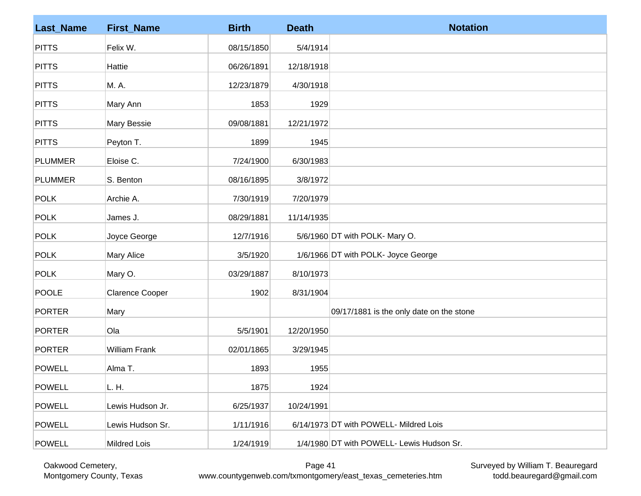| <b>Last_Name</b> | <b>First_Name</b>      | <b>Birth</b> | <b>Death</b> | <b>Notation</b>                           |
|------------------|------------------------|--------------|--------------|-------------------------------------------|
| <b>PITTS</b>     | Felix W.               | 08/15/1850   | 5/4/1914     |                                           |
| <b>PITTS</b>     | Hattie                 | 06/26/1891   | 12/18/1918   |                                           |
| <b>PITTS</b>     | M. A.                  | 12/23/1879   | 4/30/1918    |                                           |
| <b>PITTS</b>     | Mary Ann               | 1853         | 1929         |                                           |
| <b>PITTS</b>     | Mary Bessie            | 09/08/1881   | 12/21/1972   |                                           |
| <b>PITTS</b>     | Peyton T.              | 1899         | 1945         |                                           |
| <b>PLUMMER</b>   | Eloise C.              | 7/24/1900    | 6/30/1983    |                                           |
| <b>PLUMMER</b>   | S. Benton              | 08/16/1895   | 3/8/1972     |                                           |
| <b>POLK</b>      | Archie A.              | 7/30/1919    | 7/20/1979    |                                           |
| <b>POLK</b>      | James J.               | 08/29/1881   | 11/14/1935   |                                           |
| <b>POLK</b>      | Joyce George           | 12/7/1916    |              | 5/6/1960 DT with POLK- Mary O.            |
| <b>POLK</b>      | Mary Alice             | 3/5/1920     |              | 1/6/1966 DT with POLK- Joyce George       |
| <b>POLK</b>      | Mary O.                | 03/29/1887   | 8/10/1973    |                                           |
| <b>POOLE</b>     | <b>Clarence Cooper</b> | 1902         | 8/31/1904    |                                           |
| <b>PORTER</b>    | Mary                   |              |              | 09/17/1881 is the only date on the stone  |
| <b>PORTER</b>    | Ola                    | 5/5/1901     | 12/20/1950   |                                           |
| PORTER           | <b>William Frank</b>   | 02/01/1865   | 3/29/1945    |                                           |
| <b>POWELL</b>    | Alma T.                | 1893         | 1955         |                                           |
| <b>POWELL</b>    | L. H.                  | 1875         | 1924         |                                           |
| <b>POWELL</b>    | Lewis Hudson Jr.       | 6/25/1937    | 10/24/1991   |                                           |
| <b>POWELL</b>    | Lewis Hudson Sr.       | 1/11/1916    |              | 6/14/1973 DT with POWELL- Mildred Lois    |
| <b>POWELL</b>    | Mildred Lois           | 1/24/1919    |              | 1/4/1980 DT with POWELL- Lewis Hudson Sr. |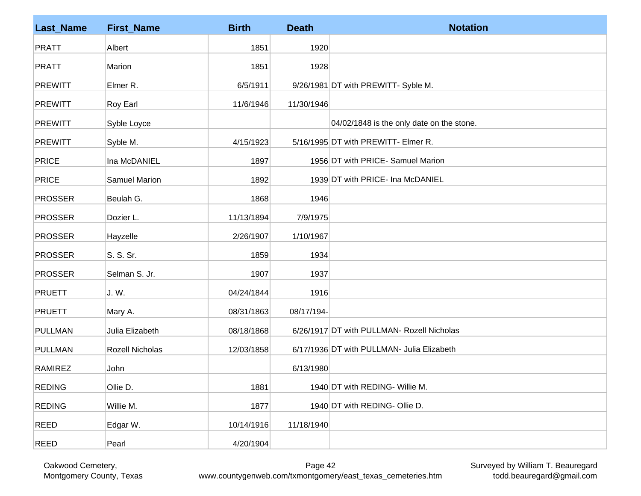| <b>Last_Name</b> | <b>First_Name</b>    | <b>Birth</b> | <b>Death</b> | <b>Notation</b>                            |
|------------------|----------------------|--------------|--------------|--------------------------------------------|
| <b>PRATT</b>     | Albert               | 1851         | 1920         |                                            |
| <b>PRATT</b>     | Marion               | 1851         | 1928         |                                            |
| <b>PREWITT</b>   | Elmer R.             | 6/5/1911     |              | 9/26/1981 DT with PREWITT- Syble M.        |
| <b>PREWITT</b>   | Roy Earl             | 11/6/1946    | 11/30/1946   |                                            |
| <b>PREWITT</b>   | Syble Loyce          |              |              | 04/02/1848 is the only date on the stone.  |
| <b>PREWITT</b>   | Syble M.             | 4/15/1923    |              | 5/16/1995 DT with PREWITT- Elmer R.        |
| <b>PRICE</b>     | Ina McDANIEL         | 1897         |              | 1956 DT with PRICE- Samuel Marion          |
| <b>PRICE</b>     | <b>Samuel Marion</b> | 1892         |              | 1939 DT with PRICE- Ina McDANIEL           |
| <b>PROSSER</b>   | Beulah G.            | 1868         | 1946         |                                            |
| <b>PROSSER</b>   | Dozier L.            | 11/13/1894   | 7/9/1975     |                                            |
| <b>PROSSER</b>   | Hayzelle             | 2/26/1907    | 1/10/1967    |                                            |
| <b>PROSSER</b>   | S. S. Sr.            | 1859         | 1934         |                                            |
| <b>PROSSER</b>   | Selman S. Jr.        | 1907         | 1937         |                                            |
| <b>PRUETT</b>    | J. W.                | 04/24/1844   | 1916         |                                            |
| <b>PRUETT</b>    | Mary A.              | 08/31/1863   | 08/17/194-   |                                            |
| <b>PULLMAN</b>   | Julia Elizabeth      | 08/18/1868   |              | 6/26/1917 DT with PULLMAN- Rozell Nicholas |
| <b>PULLMAN</b>   | Rozell Nicholas      | 12/03/1858   |              | 6/17/1936 DT with PULLMAN- Julia Elizabeth |
| RAMIREZ          | John                 |              | 6/13/1980    |                                            |
| <b>REDING</b>    | Ollie D.             | 1881         |              | 1940 DT with REDING- Willie M.             |
| <b>REDING</b>    | Willie M.            | 1877         |              | 1940 DT with REDING- Ollie D.              |
| REED             | Edgar W.             | 10/14/1916   | 11/18/1940   |                                            |
| <b>REED</b>      | Pearl                | 4/20/1904    |              |                                            |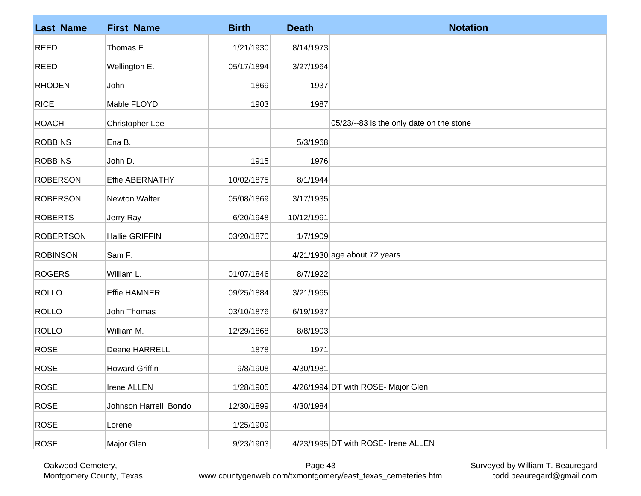| <b>Last_Name</b> | <b>First_Name</b>     | <b>Birth</b> | <b>Death</b> | <b>Notation</b>                          |
|------------------|-----------------------|--------------|--------------|------------------------------------------|
| <b>REED</b>      | Thomas E.             | 1/21/1930    | 8/14/1973    |                                          |
| <b>REED</b>      | Wellington E.         | 05/17/1894   | 3/27/1964    |                                          |
| <b>RHODEN</b>    | John                  | 1869         | 1937         |                                          |
| <b>RICE</b>      | Mable FLOYD           | 1903         | 1987         |                                          |
| <b>ROACH</b>     | Christopher Lee       |              |              | 05/23/--83 is the only date on the stone |
| <b>ROBBINS</b>   | Ena B.                |              | 5/3/1968     |                                          |
| <b>ROBBINS</b>   | John D.               | 1915         | 1976         |                                          |
| <b>ROBERSON</b>  | Effie ABERNATHY       | 10/02/1875   | 8/1/1944     |                                          |
| <b>ROBERSON</b>  | Newton Walter         | 05/08/1869   | 3/17/1935    |                                          |
| <b>ROBERTS</b>   | Jerry Ray             | 6/20/1948    | 10/12/1991   |                                          |
| <b>ROBERTSON</b> | Hallie GRIFFIN        | 03/20/1870   | 1/7/1909     |                                          |
| <b>ROBINSON</b>  | Sam F.                |              |              | $4/21/1930$ age about 72 years           |
| <b>ROGERS</b>    | William L.            | 01/07/1846   | 8/7/1922     |                                          |
| <b>ROLLO</b>     | Effie HAMNER          | 09/25/1884   | 3/21/1965    |                                          |
| <b>ROLLO</b>     | John Thomas           | 03/10/1876   | 6/19/1937    |                                          |
| <b>ROLLO</b>     | William M.            | 12/29/1868   | 8/8/1903     |                                          |
| <b>ROSE</b>      | Deane HARRELL         | 1878         | 1971         |                                          |
| <b>ROSE</b>      | <b>Howard Griffin</b> | 9/8/1908     | 4/30/1981    |                                          |
| <b>ROSE</b>      | Irene ALLEN           | 1/28/1905    |              | 4/26/1994 DT with ROSE- Major Glen       |
| <b>ROSE</b>      | Johnson Harrell Bondo | 12/30/1899   | 4/30/1984    |                                          |
| <b>ROSE</b>      | Lorene                | 1/25/1909    |              |                                          |
| <b>ROSE</b>      | Major Glen            | 9/23/1903    |              | 4/23/1995 DT with ROSE- Irene ALLEN      |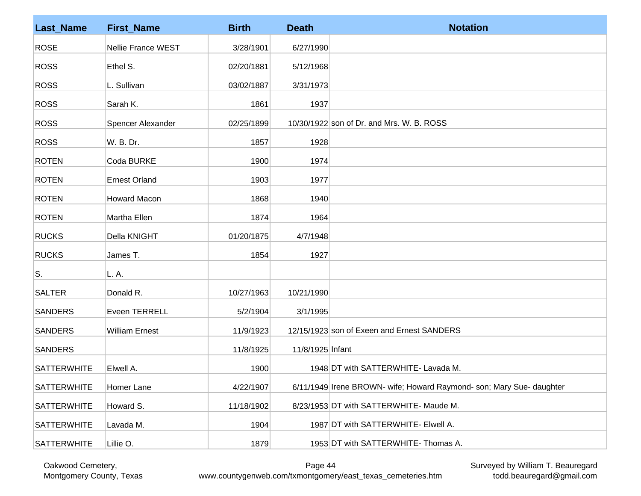| <b>Last_Name</b>   | <b>First_Name</b>     | <b>Birth</b> | <b>Death</b>     | <b>Notation</b>                                                      |
|--------------------|-----------------------|--------------|------------------|----------------------------------------------------------------------|
| <b>ROSE</b>        | Nellie France WEST    | 3/28/1901    | 6/27/1990        |                                                                      |
| <b>ROSS</b>        | Ethel S.              | 02/20/1881   | 5/12/1968        |                                                                      |
| <b>ROSS</b>        | L. Sullivan           | 03/02/1887   | 3/31/1973        |                                                                      |
| <b>ROSS</b>        | Sarah K.              | 1861         | 1937             |                                                                      |
| <b>ROSS</b>        | Spencer Alexander     | 02/25/1899   |                  | 10/30/1922 son of Dr. and Mrs. W. B. ROSS                            |
| <b>ROSS</b>        | W. B. Dr.             | 1857         | 1928             |                                                                      |
| <b>ROTEN</b>       | Coda BURKE            | 1900         | 1974             |                                                                      |
| <b>ROTEN</b>       | <b>Ernest Orland</b>  | 1903         | 1977             |                                                                      |
| <b>ROTEN</b>       | <b>Howard Macon</b>   | 1868         | 1940             |                                                                      |
| <b>ROTEN</b>       | Martha Ellen          | 1874         | 1964             |                                                                      |
| <b>RUCKS</b>       | Della KNIGHT          | 01/20/1875   | 4/7/1948         |                                                                      |
| <b>RUCKS</b>       | James T.              | 1854         | 1927             |                                                                      |
| S.                 | L. A.                 |              |                  |                                                                      |
| <b>SALTER</b>      | Donald R.             | 10/27/1963   | 10/21/1990       |                                                                      |
| <b>SANDERS</b>     | Eveen TERRELL         | 5/2/1904     | 3/1/1995         |                                                                      |
| <b>SANDERS</b>     | <b>William Ernest</b> | 11/9/1923    |                  | 12/15/1923 son of Exeen and Ernest SANDERS                           |
| <b>SANDERS</b>     |                       | 11/8/1925    | 11/8/1925 Infant |                                                                      |
| <b>SATTERWHITE</b> | Elwell A.             | 1900         |                  | 1948 DT with SATTERWHITE- Lavada M.                                  |
| <b>SATTERWHITE</b> | Homer Lane            | 4/22/1907    |                  | 6/11/1949 Irene BROWN- wife; Howard Raymond- son; Mary Sue- daughter |
| <b>SATTERWHITE</b> | Howard S.             | 11/18/1902   |                  | 8/23/1953 DT with SATTERWHITE- Maude M.                              |
| <b>SATTERWHITE</b> | Lavada M.             | 1904         |                  | 1987 DT with SATTERWHITE- Elwell A.                                  |
| <b>SATTERWHITE</b> | Lillie O.             | 1879         |                  | 1953 DT with SATTERWHITE- Thomas A.                                  |

Oakwood Cemetery, Montgomery County, Texas

Surveyed by William T. Beauregard todd.beauregard@gmail.com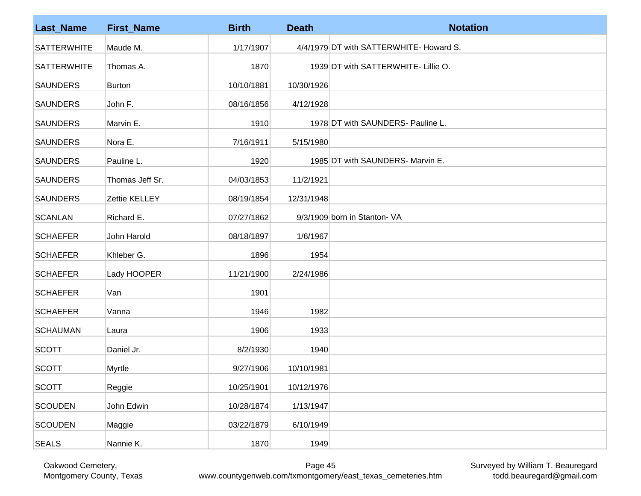| <b>Last_Name</b>   | <b>First_Name</b> | <b>Birth</b> | <b>Death</b> | <b>Notation</b>                         |
|--------------------|-------------------|--------------|--------------|-----------------------------------------|
| <b>SATTERWHITE</b> | Maude M.          | 1/17/1907    |              | 4/4/1979 DT with SATTERWHITE- Howard S. |
| <b>SATTERWHITE</b> | Thomas A.         | 1870         |              | 1939 DT with SATTERWHITE- Lillie O.     |
| <b>SAUNDERS</b>    | Burton            | 10/10/1881   | 10/30/1926   |                                         |
| <b>SAUNDERS</b>    | John F.           | 08/16/1856   | 4/12/1928    |                                         |
| <b>SAUNDERS</b>    | Marvin E.         | 1910         |              | 1978 DT with SAUNDERS- Pauline L.       |
| <b>SAUNDERS</b>    | Nora E.           | 7/16/1911    | 5/15/1980    |                                         |
| <b>SAUNDERS</b>    | Pauline L.        | 1920         |              | 1985 DT with SAUNDERS- Marvin E.        |
| <b>SAUNDERS</b>    | Thomas Jeff Sr.   | 04/03/1853   | 11/2/1921    |                                         |
| <b>SAUNDERS</b>    | Zettie KELLEY     | 08/19/1854   | 12/31/1948   |                                         |
| <b>SCANLAN</b>     | Richard E.        | 07/27/1862   |              | 9/3/1909 born in Stanton- VA            |
| <b>SCHAEFER</b>    | John Harold       | 08/18/1897   | 1/6/1967     |                                         |
| <b>SCHAEFER</b>    | Khleber G.        | 1896         | 1954         |                                         |
| <b>SCHAEFER</b>    | Lady HOOPER       | 11/21/1900   | 2/24/1986    |                                         |
| <b>SCHAEFER</b>    | Van               | 1901         |              |                                         |
| <b>SCHAEFER</b>    | Vanna             | 1946         | 1982         |                                         |
| <b>SCHAUMAN</b>    | Laura             | 1906         | 1933         |                                         |
| <b>SCOTT</b>       | Daniel Jr.        | 8/2/1930     | 1940         |                                         |
| <b>SCOTT</b>       | Myrtle            | 9/27/1906    | 10/10/1981   |                                         |
| <b>SCOTT</b>       | Reggie            | 10/25/1901   | 10/12/1976   |                                         |
| <b>SCOUDEN</b>     | John Edwin        | 10/28/1874   | 1/13/1947    |                                         |
| <b>SCOUDEN</b>     | Maggie            | 03/22/1879   | 6/10/1949    |                                         |
| <b>SEALS</b>       | Nannie K.         | 1870         | 1949         |                                         |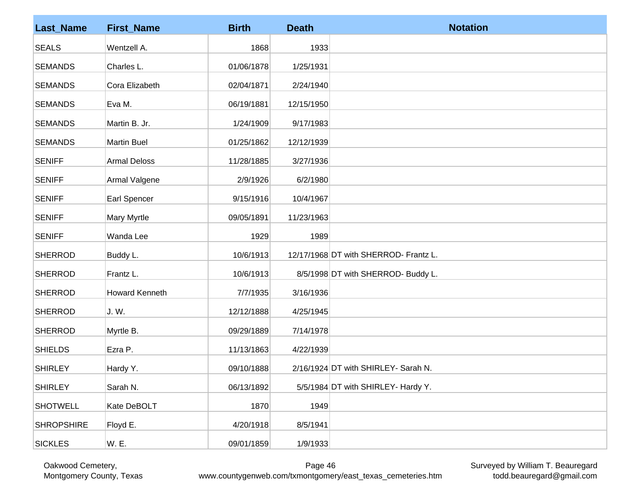| <b>Last_Name</b>  | <b>First_Name</b>   | <b>Birth</b> | <b>Death</b> | <b>Notation</b>                       |
|-------------------|---------------------|--------------|--------------|---------------------------------------|
| <b>SEALS</b>      | Wentzell A.         | 1868         | 1933         |                                       |
| <b>SEMANDS</b>    | Charles L.          | 01/06/1878   | 1/25/1931    |                                       |
| <b>SEMANDS</b>    | Cora Elizabeth      | 02/04/1871   | 2/24/1940    |                                       |
| <b>SEMANDS</b>    | Eva M.              | 06/19/1881   | 12/15/1950   |                                       |
| <b>SEMANDS</b>    | Martin B. Jr.       | 1/24/1909    | 9/17/1983    |                                       |
| <b>SEMANDS</b>    | <b>Martin Buel</b>  | 01/25/1862   | 12/12/1939   |                                       |
| <b>SENIFF</b>     | <b>Armal Deloss</b> | 11/28/1885   | 3/27/1936    |                                       |
| <b>SENIFF</b>     | Armal Valgene       | 2/9/1926     | 6/2/1980     |                                       |
| <b>SENIFF</b>     | Earl Spencer        | 9/15/1916    | 10/4/1967    |                                       |
| <b>SENIFF</b>     | Mary Myrtle         | 09/05/1891   | 11/23/1963   |                                       |
| <b>SENIFF</b>     | Wanda Lee           | 1929         | 1989         |                                       |
| <b>SHERROD</b>    | Buddy L.            | 10/6/1913    |              | 12/17/1968 DT with SHERROD- Frantz L. |
| <b>SHERROD</b>    | Frantz L.           | 10/6/1913    |              | 8/5/1998 DT with SHERROD- Buddy L.    |
| <b>SHERROD</b>    | Howard Kenneth      | 7/7/1935     | 3/16/1936    |                                       |
| <b>SHERROD</b>    | J.W.                | 12/12/1888   | 4/25/1945    |                                       |
| <b>SHERROD</b>    | Myrtle B.           | 09/29/1889   | 7/14/1978    |                                       |
| <b>SHIELDS</b>    | Ezra P.             | 11/13/1863   | 4/22/1939    |                                       |
| <b>SHIRLEY</b>    | Hardy Y.            | 09/10/1888   |              | 2/16/1924 DT with SHIRLEY- Sarah N.   |
| <b>SHIRLEY</b>    | Sarah N.            | 06/13/1892   |              | 5/5/1984 DT with SHIRLEY- Hardy Y.    |
| <b>SHOTWELL</b>   | Kate DeBOLT         | 1870         | 1949         |                                       |
| <b>SHROPSHIRE</b> | Floyd E.            | 4/20/1918    | 8/5/1941     |                                       |
| <b>SICKLES</b>    | W. E.               | 09/01/1859   | 1/9/1933     |                                       |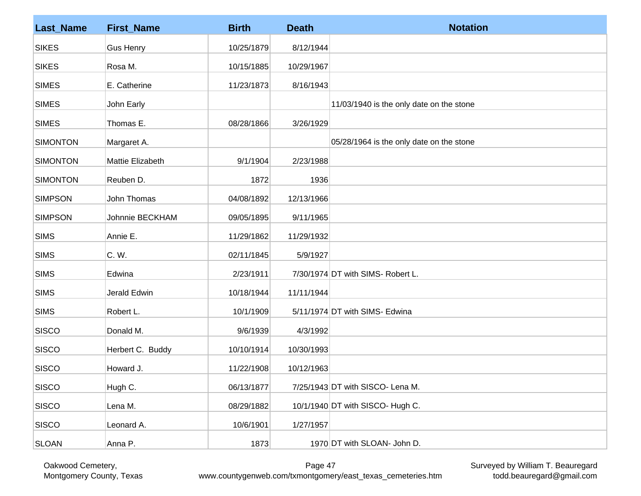| <b>Last_Name</b> | <b>First_Name</b> | <b>Birth</b> | <b>Death</b> | <b>Notation</b>                          |
|------------------|-------------------|--------------|--------------|------------------------------------------|
| <b>SIKES</b>     | <b>Gus Henry</b>  | 10/25/1879   | 8/12/1944    |                                          |
| <b>SIKES</b>     | Rosa M.           | 10/15/1885   | 10/29/1967   |                                          |
| <b>SIMES</b>     | E. Catherine      | 11/23/1873   | 8/16/1943    |                                          |
| <b>SIMES</b>     | John Early        |              |              | 11/03/1940 is the only date on the stone |
| <b>SIMES</b>     | Thomas E.         | 08/28/1866   | 3/26/1929    |                                          |
| <b>SIMONTON</b>  | Margaret A.       |              |              | 05/28/1964 is the only date on the stone |
| <b>SIMONTON</b>  | Mattie Elizabeth  | 9/1/1904     | 2/23/1988    |                                          |
| <b>SIMONTON</b>  | Reuben D.         | 1872         | 1936         |                                          |
| <b>SIMPSON</b>   | John Thomas       | 04/08/1892   | 12/13/1966   |                                          |
| <b>SIMPSON</b>   | Johnnie BECKHAM   | 09/05/1895   | 9/11/1965    |                                          |
| <b>SIMS</b>      | Annie E.          | 11/29/1862   | 11/29/1932   |                                          |
| <b>SIMS</b>      | C. W.             | 02/11/1845   | 5/9/1927     |                                          |
| <b>SIMS</b>      | Edwina            | 2/23/1911    |              | 7/30/1974 DT with SIMS- Robert L.        |
| <b>SIMS</b>      | Jerald Edwin      | 10/18/1944   | 11/11/1944   |                                          |
| <b>SIMS</b>      | Robert L.         | 10/1/1909    |              | 5/11/1974 DT with SIMS- Edwina           |
| <b>SISCO</b>     | Donald M.         | 9/6/1939     | 4/3/1992     |                                          |
| SISCO            | Herbert C. Buddy  | 10/10/1914   | 10/30/1993   |                                          |
| SISCO            | Howard J.         | 11/22/1908   | 10/12/1963   |                                          |
| <b>SISCO</b>     | Hugh C.           | 06/13/1877   |              | 7/25/1943 DT with SISCO- Lena M.         |
| <b>SISCO</b>     | Lena M.           | 08/29/1882   |              | 10/1/1940 DT with SISCO- Hugh C.         |
| <b>SISCO</b>     | Leonard A.        | 10/6/1901    | 1/27/1957    |                                          |
| <b>SLOAN</b>     | Anna P.           | 1873         |              | 1970 DT with SLOAN- John D.              |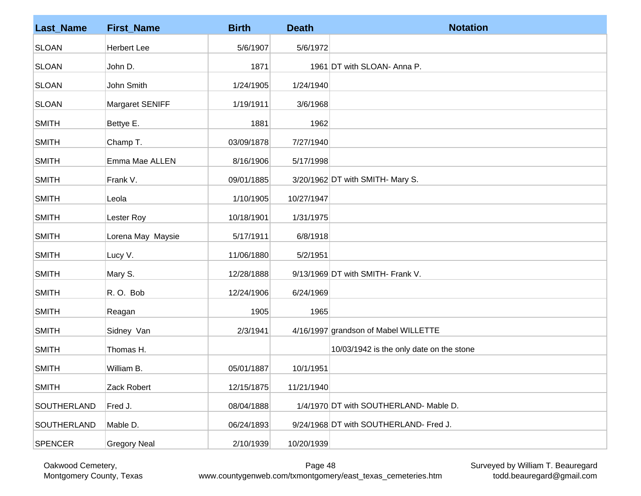| <b>Last_Name</b> | <b>First_Name</b>   | <b>Birth</b> | <b>Death</b> | <b>Notation</b>                          |
|------------------|---------------------|--------------|--------------|------------------------------------------|
| <b>SLOAN</b>     | <b>Herbert Lee</b>  | 5/6/1907     | 5/6/1972     |                                          |
| <b>SLOAN</b>     | John D.             | 1871         |              | 1961 DT with SLOAN- Anna P.              |
| <b>SLOAN</b>     | John Smith          | 1/24/1905    | 1/24/1940    |                                          |
| <b>SLOAN</b>     | Margaret SENIFF     | 1/19/1911    | 3/6/1968     |                                          |
| <b>SMITH</b>     | Bettye E.           | 1881         | 1962         |                                          |
| <b>SMITH</b>     | Champ T.            | 03/09/1878   | 7/27/1940    |                                          |
| <b>SMITH</b>     | Emma Mae ALLEN      | 8/16/1906    | 5/17/1998    |                                          |
| <b>SMITH</b>     | Frank V.            | 09/01/1885   |              | 3/20/1962 DT with SMITH- Mary S.         |
| <b>SMITH</b>     | Leola               | 1/10/1905    | 10/27/1947   |                                          |
| <b>SMITH</b>     | Lester Roy          | 10/18/1901   | 1/31/1975    |                                          |
| <b>SMITH</b>     | Lorena May Maysie   | 5/17/1911    | 6/8/1918     |                                          |
| <b>SMITH</b>     | Lucy V.             | 11/06/1880   | 5/2/1951     |                                          |
| <b>SMITH</b>     | Mary S.             | 12/28/1888   |              | 9/13/1969 DT with SMITH- Frank V.        |
| <b>SMITH</b>     | R.O. Bob            | 12/24/1906   | 6/24/1969    |                                          |
| <b>SMITH</b>     | Reagan              | 1905         | 1965         |                                          |
| <b>SMITH</b>     | Sidney Van          | 2/3/1941     |              | 4/16/1997 grandson of Mabel WILLETTE     |
| <b>SMITH</b>     | Thomas H.           |              |              | 10/03/1942 is the only date on the stone |
| <b>SMITH</b>     | William B.          | 05/01/1887   | 10/1/1951    |                                          |
| <b>SMITH</b>     | Zack Robert         | 12/15/1875   | 11/21/1940   |                                          |
| SOUTHERLAND      | Fred J.             | 08/04/1888   |              | 1/4/1970 DT with SOUTHERLAND- Mable D.   |
| SOUTHERLAND      | Mable D.            | 06/24/1893   |              | 9/24/1968 DT with SOUTHERLAND- Fred J.   |
| <b>SPENCER</b>   | <b>Gregory Neal</b> | 2/10/1939    | 10/20/1939   |                                          |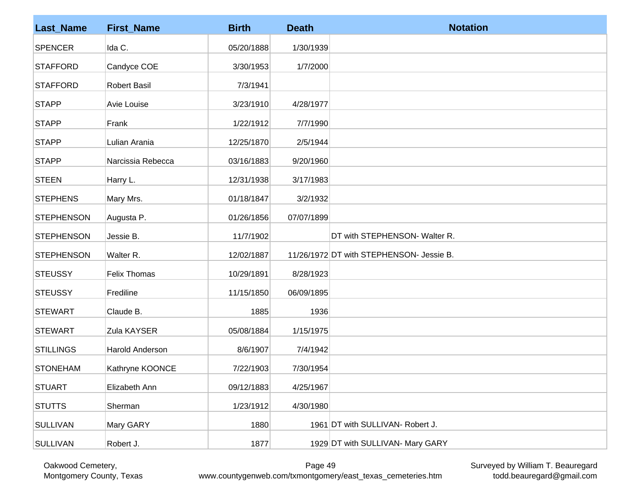| <b>Last_Name</b>  | <b>First_Name</b>   | <b>Birth</b> | <b>Death</b> | <b>Notation</b>                          |
|-------------------|---------------------|--------------|--------------|------------------------------------------|
| <b>SPENCER</b>    | Ida C.              | 05/20/1888   | 1/30/1939    |                                          |
| <b>STAFFORD</b>   | Candyce COE         | 3/30/1953    | 1/7/2000     |                                          |
| <b>STAFFORD</b>   | <b>Robert Basil</b> | 7/3/1941     |              |                                          |
| <b>STAPP</b>      | Avie Louise         | 3/23/1910    | 4/28/1977    |                                          |
| <b>STAPP</b>      | Frank               | 1/22/1912    | 7/7/1990     |                                          |
| <b>STAPP</b>      | Lulian Arania       | 12/25/1870   | 2/5/1944     |                                          |
| <b>STAPP</b>      | Narcissia Rebecca   | 03/16/1883   | 9/20/1960    |                                          |
| <b>STEEN</b>      | Harry L.            | 12/31/1938   | 3/17/1983    |                                          |
| <b>STEPHENS</b>   | Mary Mrs.           | 01/18/1847   | 3/2/1932     |                                          |
| <b>STEPHENSON</b> | Augusta P.          | 01/26/1856   | 07/07/1899   |                                          |
| <b>STEPHENSON</b> | Jessie B.           | 11/7/1902    |              | DT with STEPHENSON- Walter R.            |
| <b>STEPHENSON</b> | Walter R.           | 12/02/1887   |              | 11/26/1972 DT with STEPHENSON- Jessie B. |
| <b>STEUSSY</b>    | <b>Felix Thomas</b> | 10/29/1891   | 8/28/1923    |                                          |
| <b>STEUSSY</b>    | Frediline           | 11/15/1850   | 06/09/1895   |                                          |
| <b>STEWART</b>    | Claude B.           | 1885         | 1936         |                                          |
| <b>STEWART</b>    | Zula KAYSER         | 05/08/1884   | 1/15/1975    |                                          |
| <b>STILLINGS</b>  | Harold Anderson     | 8/6/1907     | 7/4/1942     |                                          |
| <b>STONEHAM</b>   | Kathryne KOONCE     | 7/22/1903    | 7/30/1954    |                                          |
| <b>STUART</b>     | Elizabeth Ann       | 09/12/1883   | 4/25/1967    |                                          |
| <b>STUTTS</b>     | Sherman             | 1/23/1912    | 4/30/1980    |                                          |
| <b>SULLIVAN</b>   | Mary GARY           | 1880         |              | 1961 DT with SULLIVAN- Robert J.         |
| <b>SULLIVAN</b>   | Robert J.           | 1877         |              | 1929 DT with SULLIVAN- Mary GARY         |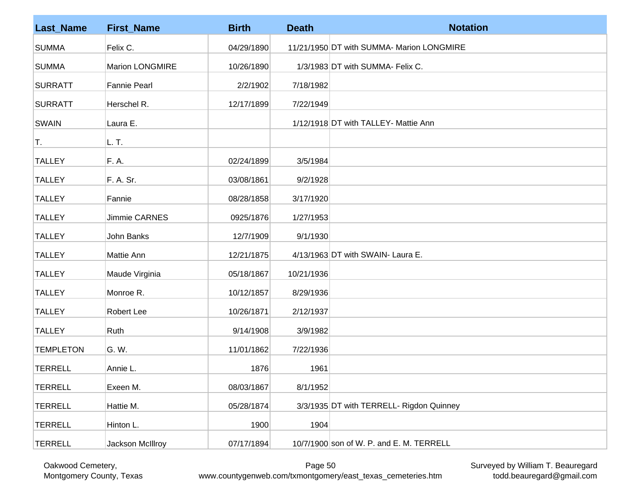| <b>Last_Name</b> | <b>First_Name</b>      | <b>Birth</b> | <b>Death</b> | <b>Notation</b>                           |
|------------------|------------------------|--------------|--------------|-------------------------------------------|
| <b>SUMMA</b>     | Felix C.               | 04/29/1890   |              | 11/21/1950 DT with SUMMA- Marion LONGMIRE |
| <b>SUMMA</b>     | <b>Marion LONGMIRE</b> | 10/26/1890   |              | 1/3/1983 DT with SUMMA- Felix C.          |
| <b>SURRATT</b>   | <b>Fannie Pearl</b>    | 2/2/1902     | 7/18/1982    |                                           |
| <b>SURRATT</b>   | Herschel R.            | 12/17/1899   | 7/22/1949    |                                           |
| <b>SWAIN</b>     | Laura E.               |              |              | 1/12/1918 DT with TALLEY- Mattie Ann      |
| T.               | L. T.                  |              |              |                                           |
| <b>TALLEY</b>    | F. A.                  | 02/24/1899   | 3/5/1984     |                                           |
| <b>TALLEY</b>    | F. A. Sr.              | 03/08/1861   | 9/2/1928     |                                           |
| <b>TALLEY</b>    | Fannie                 | 08/28/1858   | 3/17/1920    |                                           |
| <b>TALLEY</b>    | Jimmie CARNES          | 0925/1876    | 1/27/1953    |                                           |
| <b>TALLEY</b>    | John Banks             | 12/7/1909    | 9/1/1930     |                                           |
| <b>TALLEY</b>    | Mattie Ann             | 12/21/1875   |              | 4/13/1963 DT with SWAIN- Laura E.         |
| <b>TALLEY</b>    | Maude Virginia         | 05/18/1867   | 10/21/1936   |                                           |
| <b>TALLEY</b>    | Monroe R.              | 10/12/1857   | 8/29/1936    |                                           |
| <b>TALLEY</b>    | Robert Lee             | 10/26/1871   | 2/12/1937    |                                           |
| <b>TALLEY</b>    | Ruth                   | 9/14/1908    | 3/9/1982     |                                           |
| <b>TEMPLETON</b> | G. W.                  | 11/01/1862   | 7/22/1936    |                                           |
| <b>TERRELL</b>   | Annie L.               | 1876         | 1961         |                                           |
| <b>TERRELL</b>   | Exeen M.               | 08/03/1867   | 8/1/1952     |                                           |
| <b>TERRELL</b>   | Hattie M.              | 05/28/1874   |              | 3/3/1935 DT with TERRELL- Rigdon Quinney  |
| <b>TERRELL</b>   | Hinton L.              | 1900         | 1904         |                                           |
| <b>TERRELL</b>   | Jackson McIllroy       | 07/17/1894   |              | 10/7/1900 son of W. P. and E. M. TERRELL  |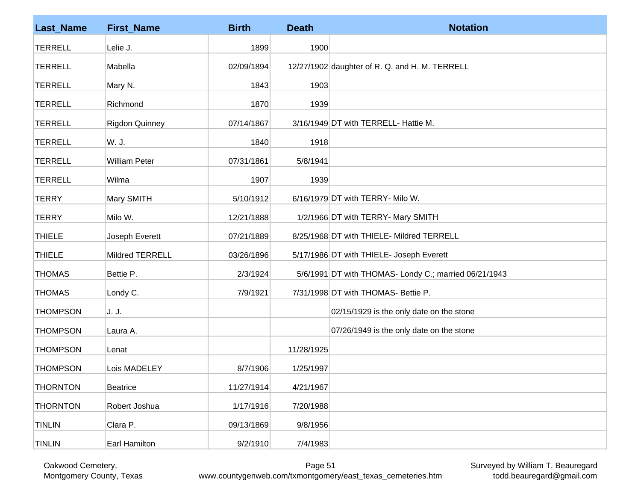| <b>Last_Name</b> | <b>First_Name</b>      | <b>Birth</b> | <b>Death</b> | <b>Notation</b>                                       |
|------------------|------------------------|--------------|--------------|-------------------------------------------------------|
| <b>TERRELL</b>   | Lelie J.               | 1899         | 1900         |                                                       |
| <b>TERRELL</b>   | Mabella                | 02/09/1894   |              | 12/27/1902 daughter of R. Q. and H. M. TERRELL        |
| <b>TERRELL</b>   | Mary N.                | 1843         | 1903         |                                                       |
| <b>TERRELL</b>   | Richmond               | 1870         | 1939         |                                                       |
| <b>TERRELL</b>   | <b>Rigdon Quinney</b>  | 07/14/1867   |              | 3/16/1949 DT with TERRELL- Hattie M.                  |
| <b>TERRELL</b>   | W. J.                  | 1840         | 1918         |                                                       |
| <b>TERRELL</b>   | <b>William Peter</b>   | 07/31/1861   | 5/8/1941     |                                                       |
| <b>TERRELL</b>   | Wilma                  | 1907         | 1939         |                                                       |
| <b>TERRY</b>     | Mary SMITH             | 5/10/1912    |              | 6/16/1979 DT with TERRY- Milo W.                      |
| <b>TERRY</b>     | Milo W.                | 12/21/1888   |              | 1/2/1966 DT with TERRY- Mary SMITH                    |
| <b>THIELE</b>    | Joseph Everett         | 07/21/1889   |              | 8/25/1968 DT with THIELE- Mildred TERRELL             |
| <b>THIELE</b>    | <b>Mildred TERRELL</b> | 03/26/1896   |              | 5/17/1986 DT with THIELE- Joseph Everett              |
| <b>THOMAS</b>    | Bettie P.              | 2/3/1924     |              | 5/6/1991 DT with THOMAS- Londy C.; married 06/21/1943 |
| <b>THOMAS</b>    | Londy C.               | 7/9/1921     |              | 7/31/1998 DT with THOMAS- Bettie P.                   |
| <b>THOMPSON</b>  | J. J.                  |              |              | 02/15/1929 is the only date on the stone              |
| <b>THOMPSON</b>  | Laura A.               |              |              | 07/26/1949 is the only date on the stone              |
| <b>THOMPSON</b>  | Lenat                  |              | 11/28/1925   |                                                       |
| <b>THOMPSON</b>  | Lois MADELEY           | 8/7/1906     | 1/25/1997    |                                                       |
| <b>THORNTON</b>  | <b>Beatrice</b>        | 11/27/1914   | 4/21/1967    |                                                       |
| <b>THORNTON</b>  | Robert Joshua          | 1/17/1916    | 7/20/1988    |                                                       |
| <b>TINLIN</b>    | Clara P.               | 09/13/1869   | 9/8/1956     |                                                       |
| <b>TINLIN</b>    | Earl Hamilton          | 9/2/1910     | 7/4/1983     |                                                       |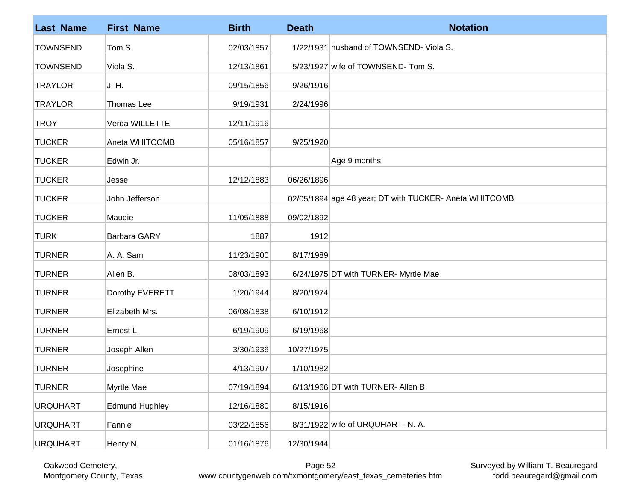| <b>Last_Name</b> | <b>First_Name</b>     | <b>Birth</b> | <b>Death</b> | <b>Notation</b>                                        |
|------------------|-----------------------|--------------|--------------|--------------------------------------------------------|
| <b>TOWNSEND</b>  | Tom S.                | 02/03/1857   |              | 1/22/1931 husband of TOWNSEND- Viola S.                |
| <b>TOWNSEND</b>  | Viola S.              | 12/13/1861   |              | 5/23/1927 wife of TOWNSEND-Tom S.                      |
| <b>TRAYLOR</b>   | J. H.                 | 09/15/1856   | 9/26/1916    |                                                        |
| <b>TRAYLOR</b>   | <b>Thomas Lee</b>     | 9/19/1931    | 2/24/1996    |                                                        |
| <b>TROY</b>      | Verda WILLETTE        | 12/11/1916   |              |                                                        |
| <b>TUCKER</b>    | Aneta WHITCOMB        | 05/16/1857   | 9/25/1920    |                                                        |
| <b>TUCKER</b>    | Edwin Jr.             |              |              | Age 9 months                                           |
| <b>TUCKER</b>    | Jesse                 | 12/12/1883   | 06/26/1896   |                                                        |
| <b>TUCKER</b>    | John Jefferson        |              |              | 02/05/1894 age 48 year; DT with TUCKER- Aneta WHITCOMB |
| <b>TUCKER</b>    | Maudie                | 11/05/1888   | 09/02/1892   |                                                        |
| <b>TURK</b>      | <b>Barbara GARY</b>   | 1887         | 1912         |                                                        |
| <b>TURNER</b>    | A. A. Sam             | 11/23/1900   | 8/17/1989    |                                                        |
| <b>TURNER</b>    | Allen B.              | 08/03/1893   |              | 6/24/1975 DT with TURNER- Myrtle Mae                   |
| <b>TURNER</b>    | Dorothy EVERETT       | 1/20/1944    | 8/20/1974    |                                                        |
| <b>TURNER</b>    | Elizabeth Mrs.        | 06/08/1838   | 6/10/1912    |                                                        |
| <b>TURNER</b>    | Ernest L.             | 6/19/1909    | 6/19/1968    |                                                        |
| <b>TURNER</b>    | Joseph Allen          | 3/30/1936    | 10/27/1975   |                                                        |
| <b>TURNER</b>    | Josephine             | 4/13/1907    | 1/10/1982    |                                                        |
| <b>TURNER</b>    | Myrtle Mae            | 07/19/1894   |              | 6/13/1966 DT with TURNER- Allen B.                     |
| <b>URQUHART</b>  | <b>Edmund Hughley</b> | 12/16/1880   | 8/15/1916    |                                                        |
| <b>URQUHART</b>  | Fannie                | 03/22/1856   |              | 8/31/1922 wife of URQUHART- N. A.                      |
| <b>URQUHART</b>  | Henry N.              | 01/16/1876   | 12/30/1944   |                                                        |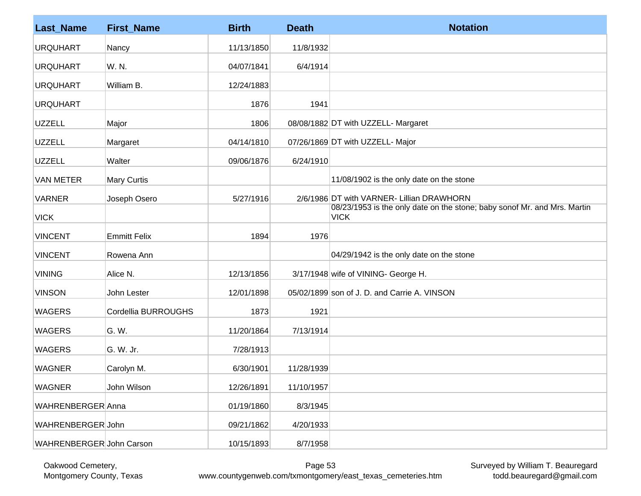| <b>Last_Name</b>         | <b>First_Name</b>   | <b>Birth</b> | <b>Death</b> | <b>Notation</b>                                                                         |
|--------------------------|---------------------|--------------|--------------|-----------------------------------------------------------------------------------------|
| <b>URQUHART</b>          | Nancy               | 11/13/1850   | 11/8/1932    |                                                                                         |
| <b>URQUHART</b>          | W. N.               | 04/07/1841   | 6/4/1914     |                                                                                         |
| <b>URQUHART</b>          | William B.          | 12/24/1883   |              |                                                                                         |
| <b>URQUHART</b>          |                     | 1876         | 1941         |                                                                                         |
| <b>UZZELL</b>            | Major               | 1806         |              | 08/08/1882 DT with UZZELL- Margaret                                                     |
| <b>UZZELL</b>            | Margaret            | 04/14/1810   |              | 07/26/1869 DT with UZZELL- Major                                                        |
| <b>UZZELL</b>            | Walter              | 09/06/1876   | 6/24/1910    |                                                                                         |
| <b>VAN METER</b>         | <b>Mary Curtis</b>  |              |              | 11/08/1902 is the only date on the stone                                                |
| <b>VARNER</b>            | Joseph Osero        | 5/27/1916    |              | 2/6/1986 DT with VARNER- Lillian DRAWHORN                                               |
| <b>VICK</b>              |                     |              |              | 08/23/1953 is the only date on the stone; baby sonof Mr. and Mrs. Martin<br><b>VICK</b> |
| <b>VINCENT</b>           | <b>Emmitt Felix</b> | 1894         | 1976         |                                                                                         |
| <b>VINCENT</b>           | Rowena Ann          |              |              | 04/29/1942 is the only date on the stone                                                |
| <b>VINING</b>            | Alice N.            | 12/13/1856   |              | 3/17/1948 wife of VINING- George H.                                                     |
| <b>VINSON</b>            | John Lester         | 12/01/1898   |              | 05/02/1899 son of J. D. and Carrie A. VINSON                                            |
| <b>WAGERS</b>            | Cordellia BURROUGHS | 1873         | 1921         |                                                                                         |
| <b>WAGERS</b>            | G. W.               | 11/20/1864   | 7/13/1914    |                                                                                         |
| <b>WAGERS</b>            | G. W. Jr.           | 7/28/1913    |              |                                                                                         |
| <b>WAGNER</b>            | Carolyn M.          | 6/30/1901    | 11/28/1939   |                                                                                         |
| <b>WAGNER</b>            | John Wilson         | 12/26/1891   | 11/10/1957   |                                                                                         |
| WAHRENBERGER Anna        |                     | 01/19/1860   | 8/3/1945     |                                                                                         |
| WAHRENBERGER John        |                     | 09/21/1862   | 4/20/1933    |                                                                                         |
| WAHRENBERGER John Carson |                     | 10/15/1893   | 8/7/1958     |                                                                                         |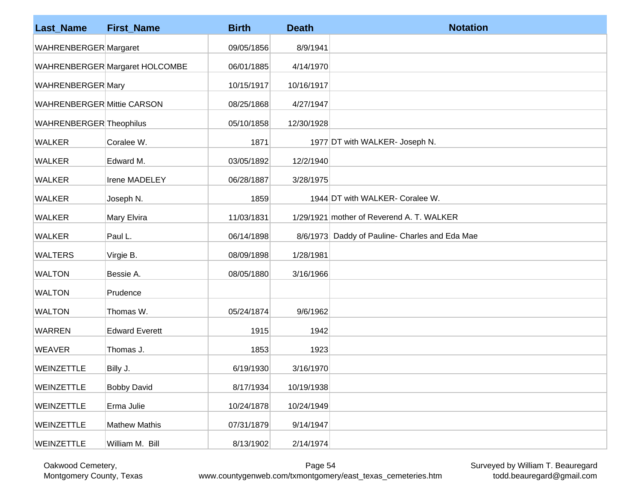| <b>Last_Name</b>                  | <b>First_Name</b>              | <b>Birth</b> | <b>Death</b> | <b>Notation</b>                                |
|-----------------------------------|--------------------------------|--------------|--------------|------------------------------------------------|
| WAHRENBERGER Margaret             |                                | 09/05/1856   | 8/9/1941     |                                                |
|                                   | WAHRENBERGER Margaret HOLCOMBE | 06/01/1885   | 4/14/1970    |                                                |
| WAHRENBERGER Mary                 |                                | 10/15/1917   | 10/16/1917   |                                                |
| <b>WAHRENBERGER Mittie CARSON</b> |                                | 08/25/1868   | 4/27/1947    |                                                |
| WAHRENBERGER Theophilus           |                                | 05/10/1858   | 12/30/1928   |                                                |
| <b>WALKER</b>                     | Coralee W.                     | 1871         |              | 1977 DT with WALKER- Joseph N.                 |
| <b>WALKER</b>                     | Edward M.                      | 03/05/1892   | 12/2/1940    |                                                |
| <b>WALKER</b>                     | Irene MADELEY                  | 06/28/1887   | 3/28/1975    |                                                |
| <b>WALKER</b>                     | Joseph N.                      | 1859         |              | 1944 DT with WALKER- Coralee W.                |
| <b>WALKER</b>                     | Mary Elvira                    | 11/03/1831   |              | 1/29/1921 mother of Reverend A. T. WALKER      |
| <b>WALKER</b>                     | Paul L.                        | 06/14/1898   |              | 8/6/1973 Daddy of Pauline- Charles and Eda Mae |
| <b>WALTERS</b>                    | Virgie B.                      | 08/09/1898   | 1/28/1981    |                                                |
| <b>WALTON</b>                     | Bessie A.                      | 08/05/1880   | 3/16/1966    |                                                |
| <b>WALTON</b>                     | Prudence                       |              |              |                                                |
| <b>WALTON</b>                     | Thomas W.                      | 05/24/1874   | 9/6/1962     |                                                |
| <b>WARREN</b>                     | <b>Edward Everett</b>          | 1915         | 1942         |                                                |
| <b>WEAVER</b>                     | Thomas J.                      | 1853         | 1923         |                                                |
| WEINZETTLE                        | Billy J.                       | 6/19/1930    | 3/16/1970    |                                                |
| WEINZETTLE                        | <b>Bobby David</b>             | 8/17/1934    | 10/19/1938   |                                                |
| WEINZETTLE                        | Erma Julie                     | 10/24/1878   | 10/24/1949   |                                                |
| WEINZETTLE                        | <b>Mathew Mathis</b>           | 07/31/1879   | 9/14/1947    |                                                |
| WEINZETTLE                        | William M. Bill                | 8/13/1902    | 2/14/1974    |                                                |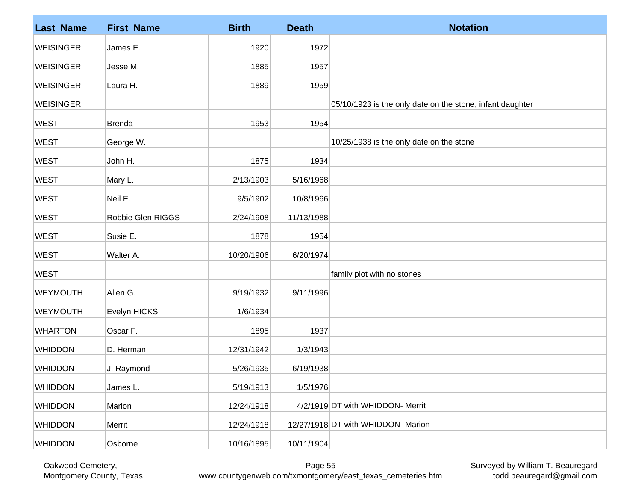| <b>Last_Name</b> | <b>First_Name</b> | <b>Birth</b> | <b>Death</b> | <b>Notation</b>                                           |
|------------------|-------------------|--------------|--------------|-----------------------------------------------------------|
| <b>WEISINGER</b> | James E.          | 1920         | 1972         |                                                           |
| <b>WEISINGER</b> | Jesse M.          | 1885         | 1957         |                                                           |
| <b>WEISINGER</b> | Laura H.          | 1889         | 1959         |                                                           |
| <b>WEISINGER</b> |                   |              |              | 05/10/1923 is the only date on the stone; infant daughter |
| <b>WEST</b>      | <b>Brenda</b>     | 1953         | 1954         |                                                           |
| <b>WEST</b>      | George W.         |              |              | 10/25/1938 is the only date on the stone                  |
| <b>WEST</b>      | John H.           | 1875         | 1934         |                                                           |
| <b>WEST</b>      | Mary L.           | 2/13/1903    | 5/16/1968    |                                                           |
| <b>WEST</b>      | Neil E.           | 9/5/1902     | 10/8/1966    |                                                           |
| <b>WEST</b>      | Robbie Glen RIGGS | 2/24/1908    | 11/13/1988   |                                                           |
| <b>WEST</b>      | Susie E.          | 1878         | 1954         |                                                           |
| <b>WEST</b>      | Walter A.         | 10/20/1906   | 6/20/1974    |                                                           |
| <b>WEST</b>      |                   |              |              | family plot with no stones                                |
| <b>WEYMOUTH</b>  | Allen G.          | 9/19/1932    | 9/11/1996    |                                                           |
| <b>WEYMOUTH</b>  | Evelyn HICKS      | 1/6/1934     |              |                                                           |
| <b>WHARTON</b>   | Oscar F.          | 1895         | 1937         |                                                           |
| <b>WHIDDON</b>   | D. Herman         | 12/31/1942   | 1/3/1943     |                                                           |
| <b>WHIDDON</b>   | J. Raymond        | 5/26/1935    | 6/19/1938    |                                                           |
| <b>WHIDDON</b>   | James L.          | 5/19/1913    | 1/5/1976     |                                                           |
| <b>WHIDDON</b>   | Marion            | 12/24/1918   |              | 4/2/1919 DT with WHIDDON- Merrit                          |
| <b>WHIDDON</b>   | Merrit            | 12/24/1918   |              | 12/27/1918 DT with WHIDDON- Marion                        |
| <b>WHIDDON</b>   | Osborne           | 10/16/1895   | 10/11/1904   |                                                           |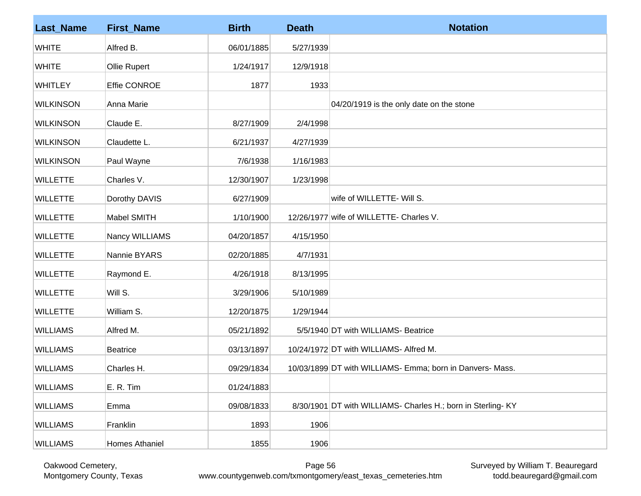| <b>Last_Name</b> | <b>First_Name</b> | <b>Birth</b> | <b>Death</b> | <b>Notation</b>                                             |
|------------------|-------------------|--------------|--------------|-------------------------------------------------------------|
| <b>WHITE</b>     | Alfred B.         | 06/01/1885   | 5/27/1939    |                                                             |
| <b>WHITE</b>     | Ollie Rupert      | 1/24/1917    | 12/9/1918    |                                                             |
| <b>WHITLEY</b>   | Effie CONROE      | 1877         | 1933         |                                                             |
| <b>WILKINSON</b> | Anna Marie        |              |              | 04/20/1919 is the only date on the stone                    |
| <b>WILKINSON</b> | Claude E.         | 8/27/1909    | 2/4/1998     |                                                             |
| <b>WILKINSON</b> | Claudette L.      | 6/21/1937    | 4/27/1939    |                                                             |
| <b>WILKINSON</b> | Paul Wayne        | 7/6/1938     | 1/16/1983    |                                                             |
| <b>WILLETTE</b>  | Charles V.        | 12/30/1907   | 1/23/1998    |                                                             |
| <b>WILLETTE</b>  | Dorothy DAVIS     | 6/27/1909    |              | wife of WILLETTE- Will S.                                   |
| <b>WILLETTE</b>  | Mabel SMITH       | 1/10/1900    |              | 12/26/1977 wife of WILLETTE- Charles V.                     |
| <b>WILLETTE</b>  | Nancy WILLIAMS    | 04/20/1857   | 4/15/1950    |                                                             |
| <b>WILLETTE</b>  | Nannie BYARS      | 02/20/1885   | 4/7/1931     |                                                             |
| <b>WILLETTE</b>  | Raymond E.        | 4/26/1918    | 8/13/1995    |                                                             |
| <b>WILLETTE</b>  | Will S.           | 3/29/1906    | 5/10/1989    |                                                             |
| <b>WILLETTE</b>  | William S.        | 12/20/1875   | 1/29/1944    |                                                             |
| <b>WILLIAMS</b>  | Alfred M.         | 05/21/1892   |              | 5/5/1940 DT with WILLIAMS- Beatrice                         |
| <b>WILLIAMS</b>  | <b>Beatrice</b>   | 03/13/1897   |              | 10/24/1972 DT with WILLIAMS- Alfred M.                      |
| <b>WILLIAMS</b>  | Charles H.        | 09/29/1834   |              | 10/03/1899 DT with WILLIAMS- Emma; born in Danvers- Mass.   |
| <b>WILLIAMS</b>  | E. R. Tim         | 01/24/1883   |              |                                                             |
| <b>WILLIAMS</b>  | Emma              | 09/08/1833   |              | 8/30/1901 DT with WILLIAMS- Charles H.; born in Sterling-KY |
| <b>WILLIAMS</b>  | Franklin          | 1893         | 1906         |                                                             |
| <b>WILLIAMS</b>  | Homes Athaniel    | 1855         | 1906         |                                                             |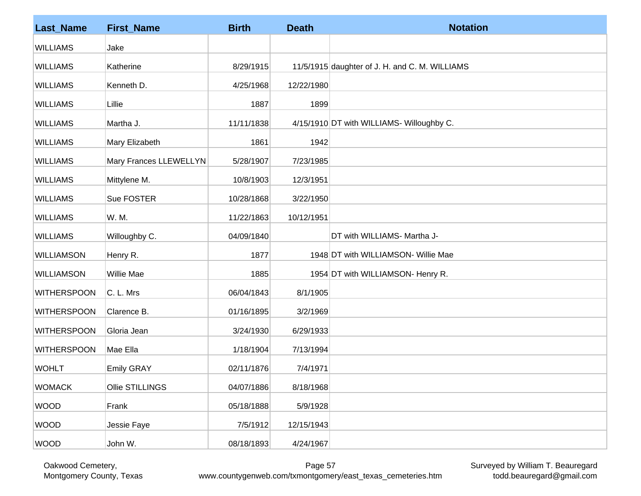| <b>Last_Name</b>   | <b>First_Name</b>      | <b>Birth</b> | <b>Death</b> | <b>Notation</b>                                |
|--------------------|------------------------|--------------|--------------|------------------------------------------------|
| <b>WILLIAMS</b>    | Jake                   |              |              |                                                |
| <b>WILLIAMS</b>    | Katherine              | 8/29/1915    |              | 11/5/1915 daughter of J. H. and C. M. WILLIAMS |
| <b>WILLIAMS</b>    | Kenneth D.             | 4/25/1968    | 12/22/1980   |                                                |
| <b>WILLIAMS</b>    | Lillie                 | 1887         | 1899         |                                                |
| <b>WILLIAMS</b>    | Martha J.              | 11/11/1838   |              | 4/15/1910 DT with WILLIAMS- Willoughby C.      |
| <b>WILLIAMS</b>    | Mary Elizabeth         | 1861         | 1942         |                                                |
| <b>WILLIAMS</b>    | Mary Frances LLEWELLYN | 5/28/1907    | 7/23/1985    |                                                |
| <b>WILLIAMS</b>    | Mittylene M.           | 10/8/1903    | 12/3/1951    |                                                |
| <b>WILLIAMS</b>    | Sue FOSTER             | 10/28/1868   | 3/22/1950    |                                                |
| <b>WILLIAMS</b>    | W. M.                  | 11/22/1863   | 10/12/1951   |                                                |
| <b>WILLIAMS</b>    | Willoughby C.          | 04/09/1840   |              | DT with WILLIAMS- Martha J-                    |
| <b>WILLIAMSON</b>  | Henry R.               | 1877         |              | 1948 DT with WILLIAMSON- Willie Mae            |
| <b>WILLIAMSON</b>  | <b>Willie Mae</b>      | 1885         |              | 1954 DT with WILLIAMSON- Henry R.              |
| <b>WITHERSPOON</b> | C. L. Mrs              | 06/04/1843   | 8/1/1905     |                                                |
| <b>WITHERSPOON</b> | Clarence B.            | 01/16/1895   | 3/2/1969     |                                                |
| <b>WITHERSPOON</b> | Gloria Jean            | 3/24/1930    | 6/29/1933    |                                                |
| <b>WITHERSPOON</b> | Mae Ella               | 1/18/1904    | 7/13/1994    |                                                |
| <b>WOHLT</b>       | <b>Emily GRAY</b>      | 02/11/1876   | 7/4/1971     |                                                |
| <b>WOMACK</b>      | Ollie STILLINGS        | 04/07/1886   | 8/18/1968    |                                                |
| <b>WOOD</b>        | Frank                  | 05/18/1888   | 5/9/1928     |                                                |
| <b>WOOD</b>        | Jessie Faye            | 7/5/1912     | 12/15/1943   |                                                |
| <b>WOOD</b>        | John W.                | 08/18/1893   | 4/24/1967    |                                                |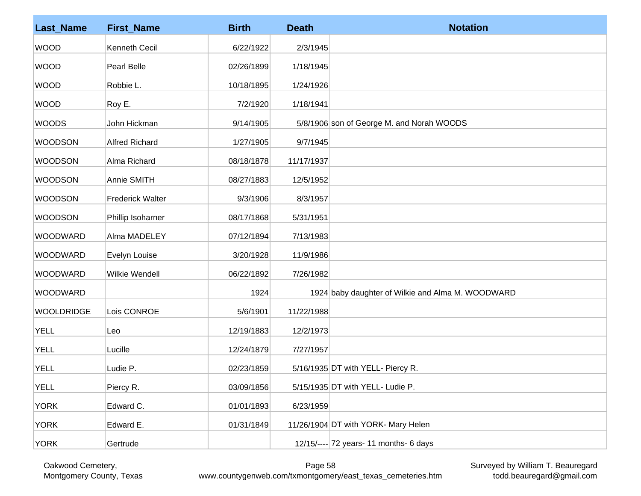| <b>Last_Name</b>  | <b>First_Name</b>       | <b>Birth</b> | <b>Death</b> | <b>Notation</b>                                   |
|-------------------|-------------------------|--------------|--------------|---------------------------------------------------|
| <b>WOOD</b>       | Kenneth Cecil           | 6/22/1922    | 2/3/1945     |                                                   |
| <b>WOOD</b>       | Pearl Belle             | 02/26/1899   | 1/18/1945    |                                                   |
| <b>WOOD</b>       | Robbie L.               | 10/18/1895   | 1/24/1926    |                                                   |
| <b>WOOD</b>       | Roy E.                  | 7/2/1920     | 1/18/1941    |                                                   |
| <b>WOODS</b>      | John Hickman            | 9/14/1905    |              | 5/8/1906 son of George M. and Norah WOODS         |
| <b>WOODSON</b>    | <b>Alfred Richard</b>   | 1/27/1905    | 9/7/1945     |                                                   |
| <b>WOODSON</b>    | Alma Richard            | 08/18/1878   | 11/17/1937   |                                                   |
| <b>WOODSON</b>    | Annie SMITH             | 08/27/1883   | 12/5/1952    |                                                   |
| <b>WOODSON</b>    | <b>Frederick Walter</b> | 9/3/1906     | 8/3/1957     |                                                   |
| <b>WOODSON</b>    | Phillip Isoharner       | 08/17/1868   | 5/31/1951    |                                                   |
| <b>WOODWARD</b>   | Alma MADELEY            | 07/12/1894   | 7/13/1983    |                                                   |
| <b>WOODWARD</b>   | Evelyn Louise           | 3/20/1928    | 11/9/1986    |                                                   |
| WOODWARD          | <b>Wilkie Wendell</b>   | 06/22/1892   | 7/26/1982    |                                                   |
| WOODWARD          |                         | 1924         |              | 1924 baby daughter of Wilkie and Alma M. WOODWARD |
| <b>WOOLDRIDGE</b> | Lois CONROE             | 5/6/1901     | 11/22/1988   |                                                   |
| <b>YELL</b>       | Leo                     | 12/19/1883   | 12/2/1973    |                                                   |
| <b>YELL</b>       | Lucille                 | 12/24/1879   | 7/27/1957    |                                                   |
| <b>YELL</b>       | Ludie P.                | 02/23/1859   |              | 5/16/1935 DT with YELL- Piercy R.                 |
| <b>YELL</b>       | Piercy R.               | 03/09/1856   |              | 5/15/1935 DT with YELL- Ludie P.                  |
| <b>YORK</b>       | Edward C.               | 01/01/1893   | 6/23/1959    |                                                   |
| <b>YORK</b>       | Edward E.               | 01/31/1849   |              | 11/26/1904 DT with YORK- Mary Helen               |
| <b>YORK</b>       | Gertrude                |              |              | $12/15/---$ 72 years-11 months-6 days             |